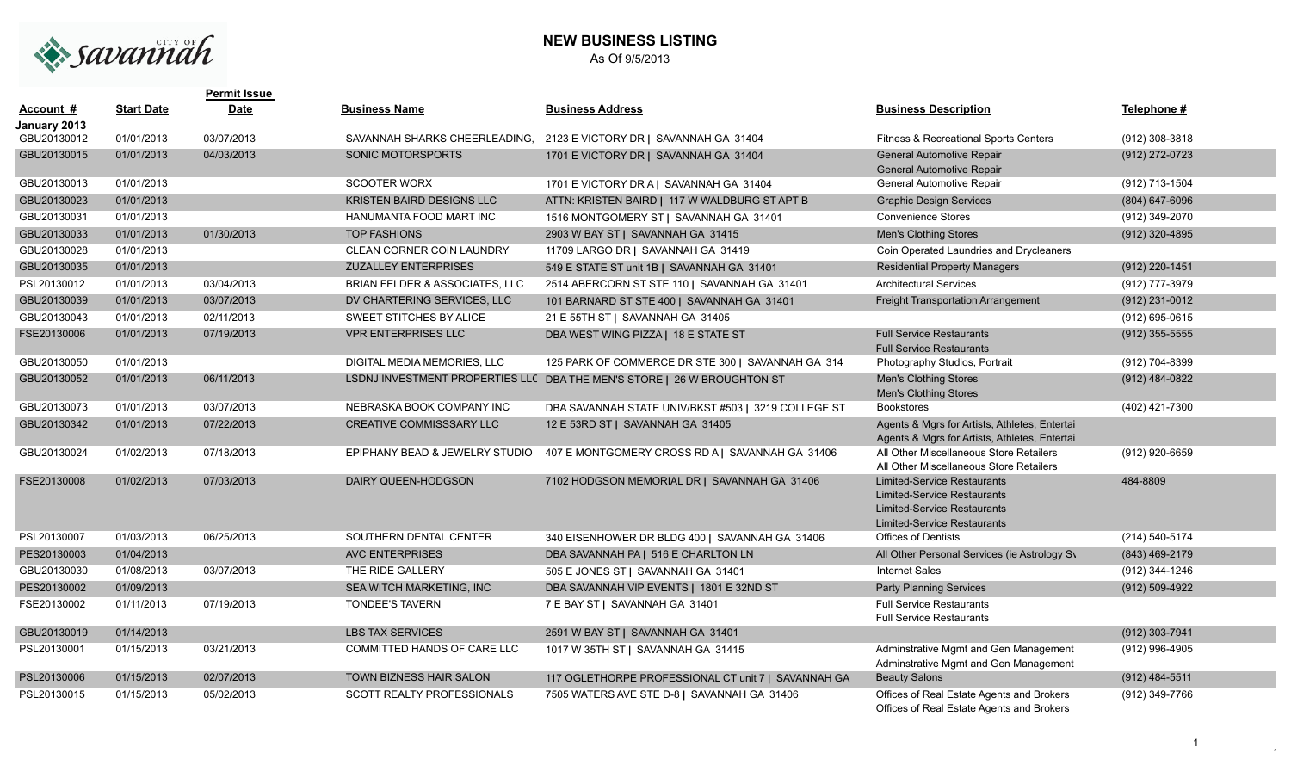

## **NEW BUSINESS LISTING** As Of 9/5/2013

|                             |                   | <b>Permit Issue</b> |                                           |                                                                         |                                                                                                                                               |                  |
|-----------------------------|-------------------|---------------------|-------------------------------------------|-------------------------------------------------------------------------|-----------------------------------------------------------------------------------------------------------------------------------------------|------------------|
| Account #                   | <b>Start Date</b> | <b>Date</b>         | <b>Business Name</b>                      | <b>Business Address</b>                                                 | <b>Business Description</b>                                                                                                                   | Telephone #      |
| January 2013<br>GBU20130012 | 01/01/2013        | 03/07/2013          |                                           | SAVANNAH SHARKS CHEERLEADING, 2123 E VICTORY DR   SAVANNAH GA 31404     | <b>Fitness &amp; Recreational Sports Centers</b>                                                                                              | (912) 308-3818   |
| GBU20130015                 | 01/01/2013        | 04/03/2013          | SONIC MOTORSPORTS                         | 1701 E VICTORY DR   SAVANNAH GA 31404                                   | <b>General Automotive Repair</b><br>General Automotive Repair                                                                                 | (912) 272-0723   |
| GBU20130013                 | 01/01/2013        |                     | <b>SCOOTER WORX</b>                       | 1701 E VICTORY DR A   SAVANNAH GA 31404                                 | General Automotive Repair                                                                                                                     | (912) 713-1504   |
| GBU20130023                 | 01/01/2013        |                     | <b>KRISTEN BAIRD DESIGNS LLC</b>          | ATTN: KRISTEN BAIRD   117 W WALDBURG ST APT B                           | <b>Graphic Design Services</b>                                                                                                                | (804) 647-6096   |
| GBU20130031                 | 01/01/2013        |                     | HANUMANTA FOOD MART INC                   | 1516 MONTGOMERY ST   SAVANNAH GA 31401                                  | <b>Convenience Stores</b>                                                                                                                     | (912) 349-2070   |
| GBU20130033                 | 01/01/2013        | 01/30/2013          | <b>TOP FASHIONS</b>                       | 2903 W BAY ST   SAVANNAH GA 31415                                       | <b>Men's Clothing Stores</b>                                                                                                                  | (912) 320-4895   |
| GBU20130028                 | 01/01/2013        |                     | CLEAN CORNER COIN LAUNDRY                 | 11709 LARGO DR   SAVANNAH GA 31419                                      | Coin Operated Laundries and Drycleaners                                                                                                       |                  |
| GBU20130035                 | 01/01/2013        |                     | <b>ZUZALLEY ENTERPRISES</b>               | 549 E STATE ST unit 1B   SAVANNAH GA 31401                              | <b>Residential Property Managers</b>                                                                                                          | (912) 220-1451   |
| PSL20130012                 | 01/01/2013        | 03/04/2013          | <b>BRIAN FELDER &amp; ASSOCIATES, LLC</b> | 2514 ABERCORN ST STE 110   SAVANNAH GA 31401                            | <b>Architectural Services</b>                                                                                                                 | (912) 777-3979   |
| GBU20130039                 | 01/01/2013        | 03/07/2013          | DV CHARTERING SERVICES, LLC               | 101 BARNARD ST STE 400   SAVANNAH GA 31401                              | Freight Transportation Arrangement                                                                                                            | (912) 231-0012   |
| GBU20130043                 | 01/01/2013        | 02/11/2013          | SWEET STITCHES BY ALICE                   | 21 E 55TH ST   SAVANNAH GA 31405                                        |                                                                                                                                               | (912) 695-0615   |
| FSE20130006                 | 01/01/2013        | 07/19/2013          | <b>VPR ENTERPRISES LLC</b>                | DBA WEST WING PIZZA   18 E STATE ST                                     | <b>Full Service Restaurants</b><br><b>Full Service Restaurants</b>                                                                            | $(912)$ 355-5555 |
| GBU20130050                 | 01/01/2013        |                     | DIGITAL MEDIA MEMORIES, LLC               | 125 PARK OF COMMERCE DR STE 300   SAVANNAH GA 314                       | Photography Studios, Portrait                                                                                                                 | (912) 704-8399   |
| GBU20130052                 | 01/01/2013        | 06/11/2013          |                                           | LSDNJ INVESTMENT PROPERTIES LLC DBA THE MEN'S STORE   26 W BROUGHTON ST | <b>Men's Clothing Stores</b><br><b>Men's Clothing Stores</b>                                                                                  | $(912)$ 484-0822 |
| GBU20130073                 | 01/01/2013        | 03/07/2013          | NEBRASKA BOOK COMPANY INC                 | DBA SAVANNAH STATE UNIV/BKST #503   3219 COLLEGE ST                     | <b>Bookstores</b>                                                                                                                             | (402) 421-7300   |
| GBU20130342                 | 01/01/2013        | 07/22/2013          | CREATIVE COMMISSSARY LLC                  | 12 E 53RD ST   SAVANNAH GA 31405                                        | Agents & Mgrs for Artists, Athletes, Entertai<br>Agents & Mgrs for Artists, Athletes, Entertai                                                |                  |
| GBU20130024                 | 01/02/2013        | 07/18/2013          | EPIPHANY BEAD & JEWELRY STUDIO            | 407 E MONTGOMERY CROSS RD A   SAVANNAH GA 31406                         | All Other Miscellaneous Store Retailers<br>All Other Miscellaneous Store Retailers                                                            | (912) 920-6659   |
| FSE20130008                 | 01/02/2013        | 07/03/2013          | DAIRY QUEEN-HODGSON                       | 7102 HODGSON MEMORIAL DR   SAVANNAH GA 31406                            | <b>Limited-Service Restaurants</b><br><b>Limited-Service Restaurants</b><br><b>Limited-Service Restaurants</b><br>Limited-Service Restaurants | 484-8809         |
| PSL20130007                 | 01/03/2013        | 06/25/2013          | SOUTHERN DENTAL CENTER                    | 340 EISENHOWER DR BLDG 400   SAVANNAH GA 31406                          | <b>Offices of Dentists</b>                                                                                                                    | (214) 540-5174   |
| PES20130003                 | 01/04/2013        |                     | <b>AVC ENTERPRISES</b>                    | DBA SAVANNAH PA   516 E CHARLTON LN                                     | All Other Personal Services (ie Astrology Sy                                                                                                  | (843) 469-2179   |
| GBU20130030                 | 01/08/2013        | 03/07/2013          | THE RIDE GALLERY                          | 505 E JONES ST   SAVANNAH GA 31401                                      | <b>Internet Sales</b>                                                                                                                         | (912) 344-1246   |
| PES20130002                 | 01/09/2013        |                     | SEA WITCH MARKETING, INC                  | DBA SAVANNAH VIP EVENTS   1801 E 32ND ST                                | <b>Party Planning Services</b>                                                                                                                | (912) 509-4922   |
| FSE20130002                 | 01/11/2013        | 07/19/2013          | <b>TONDEE'S TAVERN</b>                    | 7 E BAY ST   SAVANNAH GA 31401                                          | <b>Full Service Restaurants</b><br><b>Full Service Restaurants</b>                                                                            |                  |
| GBU20130019                 | 01/14/2013        |                     | <b>LBS TAX SERVICES</b>                   | 2591 W BAY ST   SAVANNAH GA 31401                                       |                                                                                                                                               | (912) 303-7941   |
| PSL20130001                 | 01/15/2013        | 03/21/2013          | COMMITTED HANDS OF CARE LLC               | 1017 W 35TH ST   SAVANNAH GA 31415                                      | Adminstrative Mgmt and Gen Management<br>Adminstrative Mgmt and Gen Management                                                                | (912) 996-4905   |
| PSL20130006                 | 01/15/2013        | 02/07/2013          | TOWN BIZNESS HAIR SALON                   | 117 OGLETHORPE PROFESSIONAL CT unit 7   SAVANNAH GA                     | <b>Beauty Salons</b>                                                                                                                          | (912) 484-5511   |
| PSL20130015                 | 01/15/2013        | 05/02/2013          | <b>SCOTT REALTY PROFESSIONALS</b>         | 7505 WATERS AVE STE D-8   SAVANNAH GA 31406                             | Offices of Real Estate Agents and Brokers<br>Offices of Real Estate Agents and Brokers                                                        | (912) 349-7766   |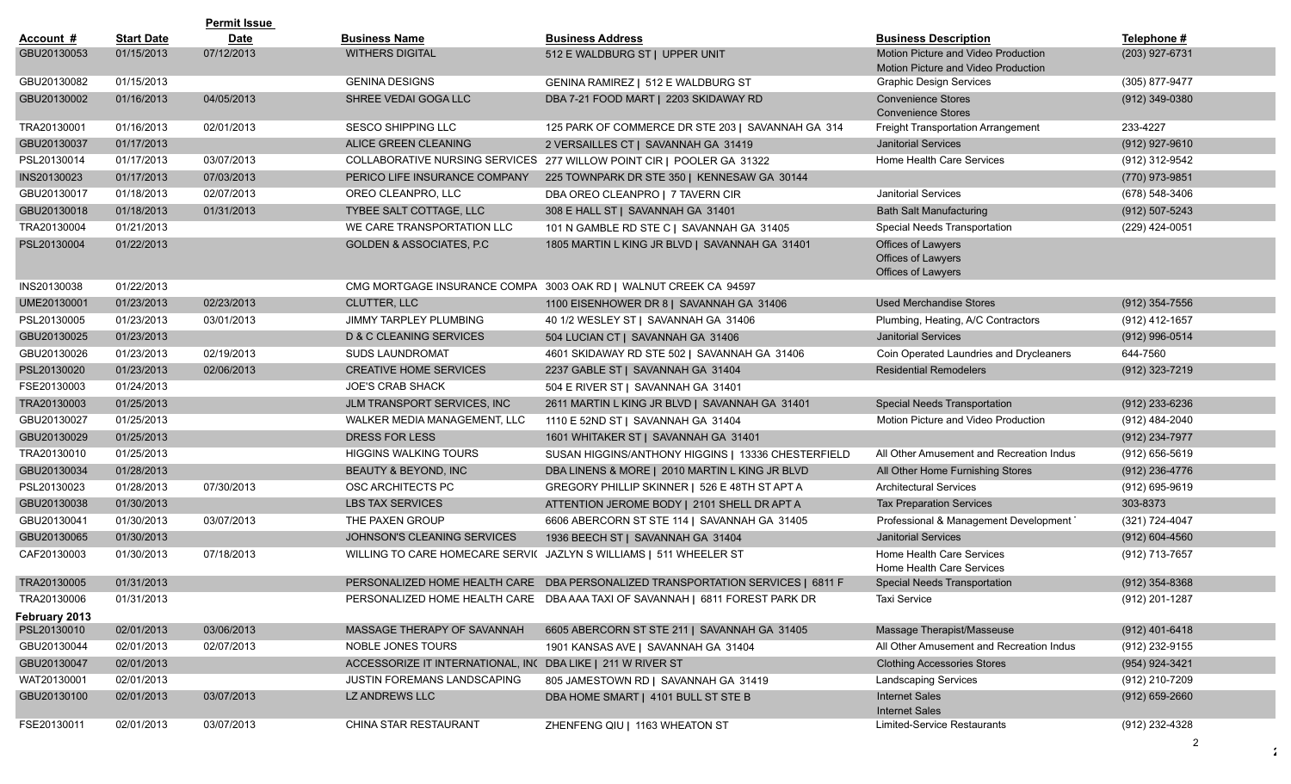|                              |                   | <b>Permit Issue</b> |                                                             |                                                                                 |                                                                            |                    |
|------------------------------|-------------------|---------------------|-------------------------------------------------------------|---------------------------------------------------------------------------------|----------------------------------------------------------------------------|--------------------|
| Account #                    | <b>Start Date</b> | <b>Date</b>         | <b>Business Name</b>                                        | <b>Business Address</b>                                                         | <b>Business Description</b>                                                | Telephone #        |
| GBU20130053                  | 01/15/2013        | 07/12/2013          | <b>WITHERS DIGITAL</b>                                      | 512 E WALDBURG ST   UPPER UNIT                                                  | Motion Picture and Video Production<br>Motion Picture and Video Production | (203) 927-6731     |
| GBU20130082                  | 01/15/2013        |                     | <b>GENINA DESIGNS</b>                                       | GENINA RAMIREZ   512 E WALDBURG ST                                              | <b>Graphic Design Services</b>                                             | (305) 877-9477     |
| GBU20130002                  | 01/16/2013        | 04/05/2013          | SHREE VEDAI GOGA LLC                                        | DBA 7-21 FOOD MART   2203 SKIDAWAY RD                                           | <b>Convenience Stores</b><br><b>Convenience Stores</b>                     | (912) 349-0380     |
| TRA20130001                  | 01/16/2013        | 02/01/2013          | <b>SESCO SHIPPING LLC</b>                                   | 125 PARK OF COMMERCE DR STE 203   SAVANNAH GA 314                               | Freight Transportation Arrangement                                         | 233-4227           |
| GBU20130037                  | 01/17/2013        |                     | ALICE GREEN CLEANING                                        | 2 VERSAILLES CT   SAVANNAH GA 31419                                             | <b>Janitorial Services</b>                                                 | (912) 927-9610     |
| PSL20130014                  | 01/17/2013        | 03/07/2013          |                                                             | COLLABORATIVE NURSING SERVICES 277 WILLOW POINT CIR   POOLER GA 31322           | Home Health Care Services                                                  | (912) 312-9542     |
| INS20130023                  | 01/17/2013        | 07/03/2013          | PERICO LIFE INSURANCE COMPANY                               | 225 TOWNPARK DR STE 350   KENNESAW GA 30144                                     |                                                                            | (770) 973-9851     |
| GBU20130017                  | 01/18/2013        | 02/07/2013          | OREO CLEANPRO, LLC                                          | DBA OREO CLEANPRO   7 TAVERN CIR                                                | <b>Janitorial Services</b>                                                 | (678) 548-3406     |
| GBU20130018                  | 01/18/2013        | 01/31/2013          | TYBEE SALT COTTAGE, LLC                                     | 308 E HALL ST   SAVANNAH GA 31401                                               | <b>Bath Salt Manufacturing</b>                                             | (912) 507-5243     |
| TRA20130004                  | 01/21/2013        |                     | WE CARE TRANSPORTATION LLC                                  | 101 N GAMBLE RD STE C   SAVANNAH GA 31405                                       | Special Needs Transportation                                               | (229) 424-0051     |
| PSL20130004                  | 01/22/2013        |                     | <b>GOLDEN &amp; ASSOCIATES, P.C.</b>                        | 1805 MARTIN L KING JR BLVD   SAVANNAH GA 31401                                  | Offices of Lawyers<br>Offices of Lawyers<br>Offices of Lawyers             |                    |
| INS20130038                  | 01/22/2013        |                     |                                                             | CMG MORTGAGE INSURANCE COMPA 3003 OAK RD   WALNUT CREEK CA 94597                |                                                                            |                    |
| UME20130001                  | 01/23/2013        | 02/23/2013          | <b>CLUTTER, LLC</b>                                         | 1100 EISENHOWER DR 8   SAVANNAH GA 31406                                        | <b>Used Merchandise Stores</b>                                             | $(912)$ 354-7556   |
| PSL20130005                  | 01/23/2013        | 03/01/2013          | <b>JIMMY TARPLEY PLUMBING</b>                               | 40 1/2 WESLEY ST   SAVANNAH GA 31406                                            | Plumbing, Heating, A/C Contractors                                         | (912) 412-1657     |
| GBU20130025                  | 01/23/2013        |                     | <b>D &amp; C CLEANING SERVICES</b>                          | 504 LUCIAN CT   SAVANNAH GA 31406                                               | <b>Janitorial Services</b>                                                 | (912) 996-0514     |
| GBU20130026                  | 01/23/2013        | 02/19/2013          | <b>SUDS LAUNDROMAT</b>                                      | 4601 SKIDAWAY RD STE 502   SAVANNAH GA 31406                                    | Coin Operated Laundries and Drycleaners                                    | 644-7560           |
| PSL20130020                  | 01/23/2013        | 02/06/2013          | <b>CREATIVE HOME SERVICES</b>                               | 2237 GABLE ST   SAVANNAH GA 31404                                               | <b>Residential Remodelers</b>                                              | (912) 323-7219     |
| FSE20130003                  | 01/24/2013        |                     | <b>JOE'S CRAB SHACK</b>                                     | 504 E RIVER ST   SAVANNAH GA 31401                                              |                                                                            |                    |
| TRA20130003                  | 01/25/2013        |                     | JLM TRANSPORT SERVICES, INC                                 | 2611 MARTIN L KING JR BLVD   SAVANNAH GA 31401                                  | Special Needs Transportation                                               | $(912)$ 233-6236   |
| GBU20130027                  | 01/25/2013        |                     | WALKER MEDIA MANAGEMENT, LLC                                | 1110 E 52ND ST   SAVANNAH GA 31404                                              | Motion Picture and Video Production                                        | (912) 484-2040     |
| GBU20130029                  | 01/25/2013        |                     | <b>DRESS FOR LESS</b>                                       | 1601 WHITAKER ST   SAVANNAH GA 31401                                            |                                                                            | (912) 234-7977     |
| TRA20130010                  | 01/25/2013        |                     | <b>HIGGINS WALKING TOURS</b>                                | SUSAN HIGGINS/ANTHONY HIGGINS   13336 CHESTERFIELD                              | All Other Amusement and Recreation Indus                                   | $(912) 656 - 5619$ |
| GBU20130034                  | 01/28/2013        |                     | BEAUTY & BEYOND, INC                                        | DBA LINENS & MORE   2010 MARTIN L KING JR BLVD                                  | All Other Home Furnishing Stores                                           | (912) 236-4776     |
| PSL20130023                  | 01/28/2013        | 07/30/2013          | OSC ARCHITECTS PC                                           | GREGORY PHILLIP SKINNER   526 E 48TH ST APT A                                   | <b>Architectural Services</b>                                              | (912) 695-9619     |
| GBU20130038                  | 01/30/2013        |                     | <b>LBS TAX SERVICES</b>                                     | ATTENTION JEROME BODY   2101 SHELL DR APT A                                     | <b>Tax Preparation Services</b>                                            | 303-8373           |
| GBU20130041                  | 01/30/2013        | 03/07/2013          | THE PAXEN GROUP                                             | 6606 ABERCORN ST STE 114   SAVANNAH GA 31405                                    | Professional & Management Development                                      | (321) 724-4047     |
| GBU20130065                  | 01/30/2013        |                     | JOHNSON'S CLEANING SERVICES                                 | 1936 BEECH ST   SAVANNAH GA 31404                                               | <b>Janitorial Services</b>                                                 | $(912) 604 - 4560$ |
| CAF20130003                  | 01/30/2013        | 07/18/2013          |                                                             | WILLING TO CARE HOMECARE SERVI( JAZLYN S WILLIAMS   511 WHEELER ST              | Home Health Care Services<br>Home Health Care Services                     | (912) 713-7657     |
| TRA20130005                  | 01/31/2013        |                     |                                                             | PERSONALIZED HOME HEALTH CARE DBA PERSONALIZED TRANSPORTATION SERVICES   6811 F | <b>Special Needs Transportation</b>                                        | $(912)$ 354-8368   |
| TRA20130006                  | 01/31/2013        |                     |                                                             | PERSONALIZED HOME HEALTH CARE DBA AAA TAXI OF SAVANNAH   6811 FOREST PARK DR    | Taxi Service                                                               | (912) 201-1287     |
| February 2013<br>PSL20130010 | 02/01/2013        | 03/06/2013          | MASSAGE THERAPY OF SAVANNAH                                 | 6605 ABERCORN ST STE 211   SAVANNAH GA 31405                                    | Massage Therapist/Masseuse                                                 | $(912)$ 401-6418   |
| GBU20130044                  | 02/01/2013        | 02/07/2013          | NOBLE JONES TOURS                                           | 1901 KANSAS AVE   SAVANNAH GA 31404                                             | All Other Amusement and Recreation Indus                                   | (912) 232-9155     |
| GBU20130047                  | 02/01/2013        |                     | ACCESSORIZE IT INTERNATIONAL, INC DBA LIKE   211 W RIVER ST |                                                                                 | <b>Clothing Accessories Stores</b>                                         | (954) 924-3421     |
| WAT20130001                  | 02/01/2013        |                     | JUSTIN FOREMANS LANDSCAPING                                 | 805 JAMESTOWN RD   SAVANNAH GA 31419                                            | <b>Landscaping Services</b>                                                | (912) 210-7209     |
| GBU20130100                  | 02/01/2013        | 03/07/2013          | LZ ANDREWS LLC                                              | DBA HOME SMART   4101 BULL ST STE B                                             | <b>Internet Sales</b><br><b>Internet Sales</b>                             | $(912)$ 659-2660   |
| FSE20130011                  | 02/01/2013        | 03/07/2013          | CHINA STAR RESTAURANT                                       | ZHENFENG QIU   1163 WHEATON ST                                                  | Limited-Service Restaurants                                                | (912) 232-4328     |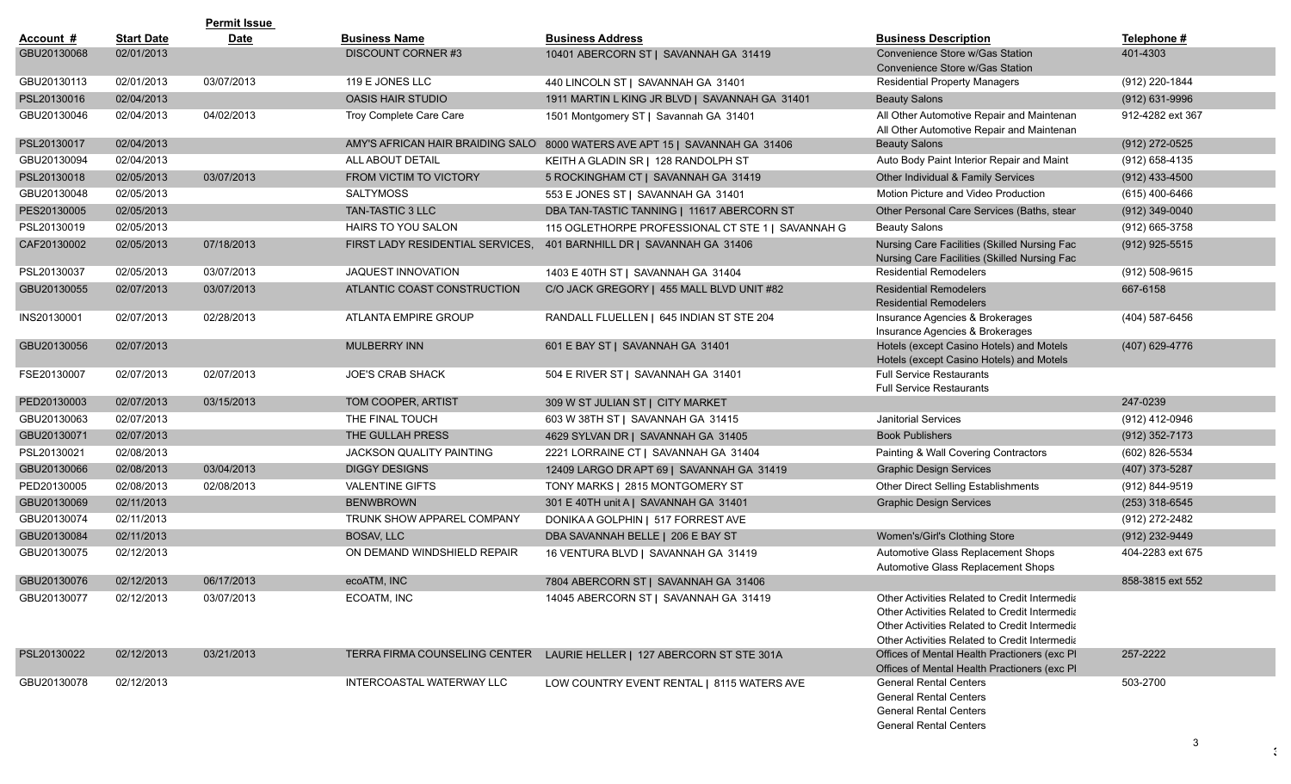|             |                   | <b>Permit Issue</b> |                                  |                                                                             |                                                                                                                                                                                                  |                  |
|-------------|-------------------|---------------------|----------------------------------|-----------------------------------------------------------------------------|--------------------------------------------------------------------------------------------------------------------------------------------------------------------------------------------------|------------------|
| Account #   | <b>Start Date</b> | <b>Date</b>         | <b>Business Name</b>             | <b>Business Address</b>                                                     | <b>Business Description</b>                                                                                                                                                                      | Telephone #      |
| GBU20130068 | 02/01/2013        |                     | <b>DISCOUNT CORNER#3</b>         | 10401 ABERCORN ST   SAVANNAH GA 31419                                       | Convenience Store w/Gas Station<br>Convenience Store w/Gas Station                                                                                                                               | 401-4303         |
| GBU20130113 | 02/01/2013        | 03/07/2013          | 119 E JONES LLC                  | 440 LINCOLN ST   SAVANNAH GA 31401                                          | <b>Residential Property Managers</b>                                                                                                                                                             | (912) 220-1844   |
| PSL20130016 | 02/04/2013        |                     | <b>OASIS HAIR STUDIO</b>         | 1911 MARTIN L KING JR BLVD   SAVANNAH GA 31401                              | <b>Beauty Salons</b>                                                                                                                                                                             | (912) 631-9996   |
| GBU20130046 | 02/04/2013        | 04/02/2013          | Troy Complete Care Care          | 1501 Montgomery ST   Savannah GA 31401                                      | All Other Automotive Repair and Maintenan<br>All Other Automotive Repair and Maintenan                                                                                                           | 912-4282 ext 367 |
| PSL20130017 | 02/04/2013        |                     |                                  | AMY'S AFRICAN HAIR BRAIDING SALO 8000 WATERS AVE APT 15   SAVANNAH GA 31406 | <b>Beauty Salons</b>                                                                                                                                                                             | (912) 272-0525   |
| GBU20130094 | 02/04/2013        |                     | ALL ABOUT DETAIL                 | KEITH A GLADIN SR   128 RANDOLPH ST                                         | Auto Body Paint Interior Repair and Maint                                                                                                                                                        | (912) 658-4135   |
| PSL20130018 | 02/05/2013        | 03/07/2013          | <b>FROM VICTIM TO VICTORY</b>    | 5 ROCKINGHAM CT   SAVANNAH GA 31419                                         | Other Individual & Family Services                                                                                                                                                               | $(912)$ 433-4500 |
| GBU20130048 | 02/05/2013        |                     | <b>SALTYMOSS</b>                 | 553 E JONES ST   SAVANNAH GA 31401                                          | Motion Picture and Video Production                                                                                                                                                              | (615) 400-6466   |
| PES20130005 | 02/05/2013        |                     | <b>TAN-TASTIC 3 LLC</b>          | DBA TAN-TASTIC TANNING   11617 ABERCORN ST                                  | Other Personal Care Services (Baths, stear                                                                                                                                                       | $(912)$ 349-0040 |
| PSL20130019 | 02/05/2013        |                     | HAIRS TO YOU SALON               | 115 OGLETHORPE PROFESSIONAL CT STE 1   SAVANNAH G                           | <b>Beauty Salons</b>                                                                                                                                                                             | (912) 665-3758   |
| CAF20130002 | 02/05/2013        | 07/18/2013          | FIRST LADY RESIDENTIAL SERVICES, | 401 BARNHILL DR   SAVANNAH GA 31406                                         | Nursing Care Facilities (Skilled Nursing Fac<br>Nursing Care Facilities (Skilled Nursing Fac                                                                                                     | $(912)$ 925-5515 |
| PSL20130037 | 02/05/2013        | 03/07/2013          | JAQUEST INNOVATION               | 1403 E 40TH ST   SAVANNAH GA 31404                                          | <b>Residential Remodelers</b>                                                                                                                                                                    | (912) 508-9615   |
| GBU20130055 | 02/07/2013        | 03/07/2013          | ATLANTIC COAST CONSTRUCTION      | C/O JACK GREGORY   455 MALL BLVD UNIT #82                                   | <b>Residential Remodelers</b><br><b>Residential Remodelers</b>                                                                                                                                   | 667-6158         |
| INS20130001 | 02/07/2013        | 02/28/2013          | ATLANTA EMPIRE GROUP             | RANDALL FLUELLEN   645 INDIAN ST STE 204                                    | Insurance Agencies & Brokerages<br>Insurance Agencies & Brokerages                                                                                                                               | (404) 587-6456   |
| GBU20130056 | 02/07/2013        |                     | <b>MULBERRY INN</b>              | 601 E BAY ST   SAVANNAH GA 31401                                            | Hotels (except Casino Hotels) and Motels<br>Hotels (except Casino Hotels) and Motels                                                                                                             | (407) 629-4776   |
| FSE20130007 | 02/07/2013        | 02/07/2013          | <b>JOE'S CRAB SHACK</b>          | 504 E RIVER ST   SAVANNAH GA 31401                                          | <b>Full Service Restaurants</b><br><b>Full Service Restaurants</b>                                                                                                                               |                  |
| PED20130003 | 02/07/2013        | 03/15/2013          | TOM COOPER, ARTIST               | 309 W ST JULIAN ST   CITY MARKET                                            |                                                                                                                                                                                                  | 247-0239         |
| GBU20130063 | 02/07/2013        |                     | THE FINAL TOUCH                  | 603 W 38TH ST   SAVANNAH GA 31415                                           | <b>Janitorial Services</b>                                                                                                                                                                       | (912) 412-0946   |
| GBU20130071 | 02/07/2013        |                     | THE GULLAH PRESS                 | 4629 SYLVAN DR   SAVANNAH GA 31405                                          | <b>Book Publishers</b>                                                                                                                                                                           | $(912)$ 352-7173 |
| PSL20130021 | 02/08/2013        |                     | JACKSON QUALITY PAINTING         | 2221 LORRAINE CT   SAVANNAH GA 31404                                        | Painting & Wall Covering Contractors                                                                                                                                                             | (602) 826-5534   |
| GBU20130066 | 02/08/2013        | 03/04/2013          | <b>DIGGY DESIGNS</b>             | 12409 LARGO DR APT 69   SAVANNAH GA 31419                                   | <b>Graphic Design Services</b>                                                                                                                                                                   | (407) 373-5287   |
| PED20130005 | 02/08/2013        | 02/08/2013          | <b>VALENTINE GIFTS</b>           | TONY MARKS   2815 MONTGOMERY ST                                             | Other Direct Selling Establishments                                                                                                                                                              | (912) 844-9519   |
| GBU20130069 | 02/11/2013        |                     | <b>BENWBROWN</b>                 | 301 E 40TH unit A   SAVANNAH GA 31401                                       | <b>Graphic Design Services</b>                                                                                                                                                                   | $(253)$ 318-6545 |
| GBU20130074 | 02/11/2013        |                     | TRUNK SHOW APPAREL COMPANY       | DONIKA A GOLPHIN   517 FORREST AVE                                          |                                                                                                                                                                                                  | (912) 272-2482   |
| GBU20130084 | 02/11/2013        |                     | <b>BOSAV, LLC</b>                | DBA SAVANNAH BELLE   206 E BAY ST                                           | Women's/Girl's Clothing Store                                                                                                                                                                    | (912) 232-9449   |
| GBU20130075 | 02/12/2013        |                     | ON DEMAND WINDSHIELD REPAIR      | 16 VENTURA BLVD   SAVANNAH GA 31419                                         | Automotive Glass Replacement Shops<br>Automotive Glass Replacement Shops                                                                                                                         | 404-2283 ext 675 |
| GBU20130076 | 02/12/2013        | 06/17/2013          | ecoATM, INC                      | 7804 ABERCORN ST   SAVANNAH GA 31406                                        |                                                                                                                                                                                                  | 858-3815 ext 552 |
| GBU20130077 | 02/12/2013        | 03/07/2013          | ECOATM, INC                      | 14045 ABERCORN ST   SAVANNAH GA 31419                                       | Other Activities Related to Credit Intermedia<br>Other Activities Related to Credit Intermedia<br>Other Activities Related to Credit Intermedia<br>Other Activities Related to Credit Intermedia |                  |
| PSL20130022 | 02/12/2013        | 03/21/2013          |                                  | TERRA FIRMA COUNSELING CENTER LAURIE HELLER   127 ABERCORN ST STE 301A      | Offices of Mental Health Practioners (exc PI)<br>Offices of Mental Health Practioners (exc PI                                                                                                    | 257-2222         |
| GBU20130078 | 02/12/2013        |                     | INTERCOASTAL WATERWAY LLC        | LOW COUNTRY EVENT RENTAL   8115 WATERS AVE                                  | <b>General Rental Centers</b><br><b>General Rental Centers</b><br><b>General Rental Centers</b><br><b>General Rental Centers</b>                                                                 | 503-2700         |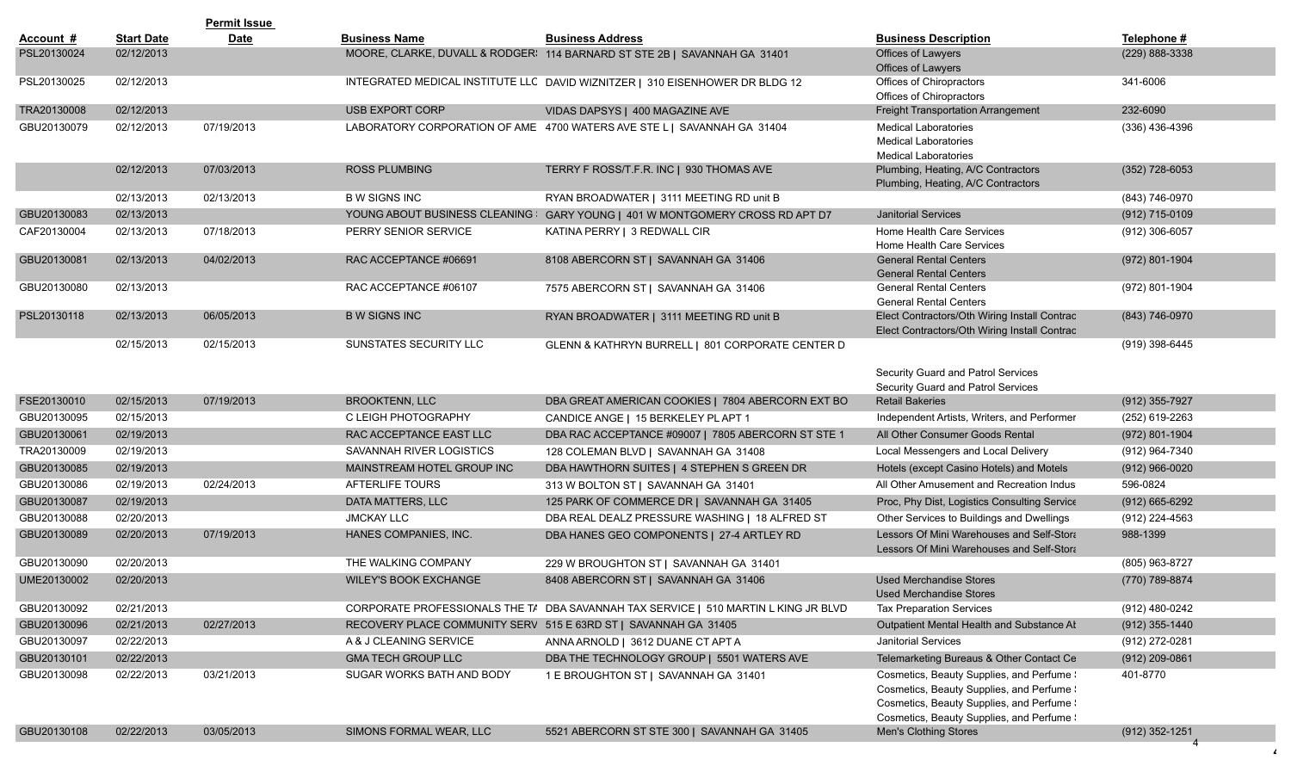|             |                   | <b>Permit Issue</b> |                                                                 |                                                                                     |                                                                                                                                                                                  |                    |
|-------------|-------------------|---------------------|-----------------------------------------------------------------|-------------------------------------------------------------------------------------|----------------------------------------------------------------------------------------------------------------------------------------------------------------------------------|--------------------|
| Account #   | <b>Start Date</b> | <b>Date</b>         | <b>Business Name</b>                                            | <b>Business Address</b>                                                             | <b>Business Description</b>                                                                                                                                                      | Telephone #        |
| PSL20130024 | 02/12/2013        |                     |                                                                 | MOORE, CLARKE, DUVALL & RODGER! 114 BARNARD ST STE 2B   SAVANNAH GA 31401           | Offices of Lawyers<br>Offices of Lawyers                                                                                                                                         | (229) 888-3338     |
| PSL20130025 | 02/12/2013        |                     |                                                                 | INTEGRATED MEDICAL INSTITUTE LLC DAVID WIZNITZER   310 EISENHOWER DR BLDG 12        | Offices of Chiropractors<br>Offices of Chiropractors                                                                                                                             | 341-6006           |
| TRA20130008 | 02/12/2013        |                     | <b>USB EXPORT CORP</b>                                          | VIDAS DAPSYS   400 MAGAZINE AVE                                                     | Freight Transportation Arrangement                                                                                                                                               | 232-6090           |
| GBU20130079 | 02/12/2013        | 07/19/2013          |                                                                 | LABORATORY CORPORATION OF AME 4700 WATERS AVE STE L   SAVANNAH GA 31404             | <b>Medical Laboratories</b><br><b>Medical Laboratories</b><br><b>Medical Laboratories</b>                                                                                        | $(336)$ 436-4396   |
|             | 02/12/2013        | 07/03/2013          | <b>ROSS PLUMBING</b>                                            | TERRY F ROSS/T.F.R. INC   930 THOMAS AVE                                            | Plumbing, Heating, A/C Contractors<br>Plumbing, Heating, A/C Contractors                                                                                                         | $(352)$ 728-6053   |
|             | 02/13/2013        | 02/13/2013          | <b>B W SIGNS INC</b>                                            | RYAN BROADWATER   3111 MEETING RD unit B                                            |                                                                                                                                                                                  | (843) 746-0970     |
| GBU20130083 | 02/13/2013        |                     | YOUNG ABOUT BUSINESS CLEANING                                   | GARY YOUNG   401 W MONTGOMERY CROSS RD APT D7                                       | <b>Janitorial Services</b>                                                                                                                                                       | (912) 715-0109     |
| CAF20130004 | 02/13/2013        | 07/18/2013          | PERRY SENIOR SERVICE                                            | KATINA PERRY   3 REDWALL CIR                                                        | Home Health Care Services<br>Home Health Care Services                                                                                                                           | (912) 306-6057     |
| GBU20130081 | 02/13/2013        | 04/02/2013          | RAC ACCEPTANCE #06691                                           | 8108 ABERCORN ST   SAVANNAH GA 31406                                                | <b>General Rental Centers</b><br><b>General Rental Centers</b>                                                                                                                   | (972) 801-1904     |
| GBU20130080 | 02/13/2013        |                     | RAC ACCEPTANCE #06107                                           | 7575 ABERCORN ST   SAVANNAH GA 31406                                                | <b>General Rental Centers</b><br><b>General Rental Centers</b>                                                                                                                   | (972) 801-1904     |
| PSL20130118 | 02/13/2013        | 06/05/2013          | <b>B W SIGNS INC</b>                                            | RYAN BROADWATER   3111 MEETING RD unit B                                            | Elect Contractors/Oth Wiring Install Contrac<br>Elect Contractors/Oth Wiring Install Contrac                                                                                     | (843) 746-0970     |
|             | 02/15/2013        | 02/15/2013          | SUNSTATES SECURITY LLC                                          | GLENN & KATHRYN BURRELL   801 CORPORATE CENTER D                                    | Security Guard and Patrol Services<br>Security Guard and Patrol Services                                                                                                         | (919) 398-6445     |
| FSE20130010 | 02/15/2013        | 07/19/2013          | <b>BROOKTENN, LLC</b>                                           | DBA GREAT AMERICAN COOKIES   7804 ABERCORN EXT BO                                   | <b>Retail Bakeries</b>                                                                                                                                                           | (912) 355-7927     |
| GBU20130095 | 02/15/2013        |                     | C LEIGH PHOTOGRAPHY                                             | CANDICE ANGE   15 BERKELEY PL APT 1                                                 | Independent Artists, Writers, and Performer                                                                                                                                      | (252) 619-2263     |
| GBU20130061 | 02/19/2013        |                     | RAC ACCEPTANCE EAST LLC                                         | DBA RAC ACCEPTANCE #09007   7805 ABERCORN ST STE 1                                  | All Other Consumer Goods Rental                                                                                                                                                  | $(972) 801 - 1904$ |
| TRA20130009 | 02/19/2013        |                     | SAVANNAH RIVER LOGISTICS                                        | 128 COLEMAN BLVD   SAVANNAH GA 31408                                                | Local Messengers and Local Delivery                                                                                                                                              | (912) 964-7340     |
| GBU20130085 | 02/19/2013        |                     | MAINSTREAM HOTEL GROUP INC                                      | DBA HAWTHORN SUITES   4 STEPHEN S GREEN DR                                          | Hotels (except Casino Hotels) and Motels                                                                                                                                         | $(912)$ 966-0020   |
| GBU20130086 | 02/19/2013        | 02/24/2013          | <b>AFTERLIFE TOURS</b>                                          | 313 W BOLTON ST   SAVANNAH GA 31401                                                 | All Other Amusement and Recreation Indus                                                                                                                                         | 596-0824           |
| GBU20130087 | 02/19/2013        |                     | DATA MATTERS, LLC                                               | 125 PARK OF COMMERCE DR   SAVANNAH GA 31405                                         | Proc, Phy Dist, Logistics Consulting Service                                                                                                                                     | $(912)$ 665-6292   |
| GBU20130088 | 02/20/2013        |                     | <b>JMCKAY LLC</b>                                               | DBA REAL DEALZ PRESSURE WASHING   18 ALFRED ST                                      | Other Services to Buildings and Dwellings                                                                                                                                        | (912) 224-4563     |
| GBU20130089 | 02/20/2013        | 07/19/2013          | HANES COMPANIES, INC.                                           | DBA HANES GEO COMPONENTS   27-4 ARTLEY RD                                           | Lessors Of Mini Warehouses and Self-Stora<br>Lessors Of Mini Warehouses and Self-Stora                                                                                           | 988-1399           |
| GBU20130090 | 02/20/2013        |                     | THE WALKING COMPANY                                             | 229 W BROUGHTON ST   SAVANNAH GA 31401                                              |                                                                                                                                                                                  | (805) 963-8727     |
| UME20130002 | 02/20/2013        |                     | <b>WILEY'S BOOK EXCHANGE</b>                                    | 8408 ABERCORN ST   SAVANNAH GA 31406                                                | <b>Used Merchandise Stores</b><br><b>Used Merchandise Stores</b>                                                                                                                 | (770) 789-8874     |
| GBU20130092 | 02/21/2013        |                     |                                                                 | CORPORATE PROFESSIONALS THE T/ DBA SAVANNAH TAX SERVICE   510 MARTIN L KING JR BLVD | <b>Tax Preparation Services</b>                                                                                                                                                  | (912) 480-0242     |
| GBU20130096 | 02/21/2013        | 02/27/2013          | RECOVERY PLACE COMMUNITY SERV 515 E 63RD ST   SAVANNAH GA 31405 |                                                                                     | Outpatient Mental Health and Substance At                                                                                                                                        | $(912)$ 355-1440   |
| GBU20130097 | 02/22/2013        |                     | A & J CLEANING SERVICE                                          | ANNA ARNOLD   3612 DUANE CT APT A                                                   | <b>Janitorial Services</b>                                                                                                                                                       | (912) 272-0281     |
| GBU20130101 | 02/22/2013        |                     | <b>GMA TECH GROUP LLC</b>                                       | DBA THE TECHNOLOGY GROUP   5501 WATERS AVE                                          | Telemarketing Bureaus & Other Contact Ce                                                                                                                                         | $(912)$ 209-0861   |
| GBU20130098 | 02/22/2013        | 03/21/2013          | SUGAR WORKS BATH AND BODY                                       | 1 E BROUGHTON ST   SAVANNAH GA 31401                                                | Cosmetics, Beauty Supplies, and Perfume \<br>Cosmetics, Beauty Supplies, and Perfume !<br>Cosmetics, Beauty Supplies, and Perfume !<br>Cosmetics, Beauty Supplies, and Perfume \ | 401-8770           |
| GBU20130108 | 02/22/2013        | 03/05/2013          | SIMONS FORMAL WEAR, LLC                                         | 5521 ABERCORN ST STE 300   SAVANNAH GA 31405                                        | Men's Clothing Stores                                                                                                                                                            | (912) 352-1251     |
|             |                   |                     |                                                                 |                                                                                     |                                                                                                                                                                                  |                    |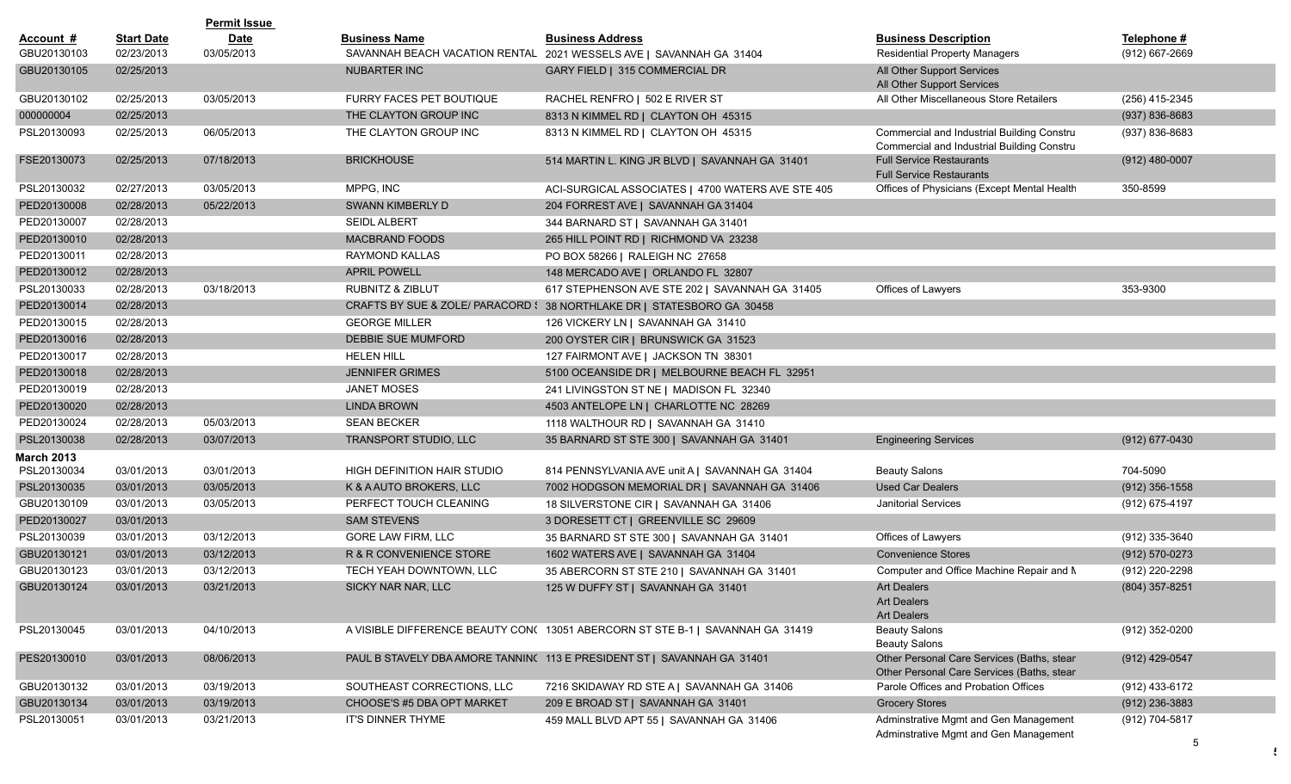|                   |                   | <b>Permit Issue</b> |                              |                                                                                |                                                                                          |                    |
|-------------------|-------------------|---------------------|------------------------------|--------------------------------------------------------------------------------|------------------------------------------------------------------------------------------|--------------------|
| Account #         | <b>Start Date</b> | Date                | <b>Business Name</b>         | <b>Business Address</b>                                                        | <b>Business Description</b>                                                              | Telephone #        |
| GBU20130103       | 02/23/2013        | 03/05/2013          |                              | SAVANNAH BEACH VACATION RENTAL 2021 WESSELS AVE   SAVANNAH GA 31404            | <b>Residential Property Managers</b>                                                     | (912) 667-2669     |
| GBU20130105       | 02/25/2013        |                     | NUBARTER INC                 | GARY FIELD   315 COMMERCIAL DR                                                 | All Other Support Services<br>All Other Support Services                                 |                    |
| GBU20130102       | 02/25/2013        | 03/05/2013          | FURRY FACES PET BOUTIQUE     | RACHEL RENFRO   502 E RIVER ST                                                 | All Other Miscellaneous Store Retailers                                                  | (256) 415-2345     |
| 000000004         | 02/25/2013        |                     | THE CLAYTON GROUP INC        | 8313 N KIMMEL RD   CLAYTON OH 45315                                            |                                                                                          | $(937) 836 - 8683$ |
| PSL20130093       | 02/25/2013        | 06/05/2013          | THE CLAYTON GROUP INC        | 8313 N KIMMEL RD   CLAYTON OH 45315                                            | Commercial and Industrial Building Constru<br>Commercial and Industrial Building Constru | (937) 836-8683     |
| FSE20130073       | 02/25/2013        | 07/18/2013          | <b>BRICKHOUSE</b>            | 514 MARTIN L. KING JR BLVD   SAVANNAH GA 31401                                 | <b>Full Service Restaurants</b><br><b>Full Service Restaurants</b>                       | $(912)$ 480-0007   |
| PSL20130032       | 02/27/2013        | 03/05/2013          | MPPG, INC                    | ACI-SURGICAL ASSOCIATES   4700 WATERS AVE STE 405                              | Offices of Physicians (Except Mental Health                                              | 350-8599           |
| PED20130008       | 02/28/2013        | 05/22/2013          | SWANN KIMBERLY D             | 204 FORREST AVE   SAVANNAH GA 31404                                            |                                                                                          |                    |
| PED20130007       | 02/28/2013        |                     | <b>SEIDL ALBERT</b>          | 344 BARNARD ST   SAVANNAH GA 31401                                             |                                                                                          |                    |
| PED20130010       | 02/28/2013        |                     | <b>MACBRAND FOODS</b>        | 265 HILL POINT RD   RICHMOND VA 23238                                          |                                                                                          |                    |
| PED20130011       | 02/28/2013        |                     | <b>RAYMOND KALLAS</b>        | PO BOX 58266   RALEIGH NC 27658                                                |                                                                                          |                    |
| PED20130012       | 02/28/2013        |                     | <b>APRIL POWELL</b>          | 148 MERCADO AVE   ORLANDO FL 32807                                             |                                                                                          |                    |
| PSL20130033       | 02/28/2013        | 03/18/2013          | RUBNITZ & ZIBLUT             | 617 STEPHENSON AVE STE 202   SAVANNAH GA 31405                                 | Offices of Lawyers                                                                       | 353-9300           |
| PED20130014       | 02/28/2013        |                     |                              | CRAFTS BY SUE & ZOLE/ PARACORD : 38 NORTHLAKE DR   STATESBORO GA 30458         |                                                                                          |                    |
| PED20130015       | 02/28/2013        |                     | <b>GEORGE MILLER</b>         | 126 VICKERY LN   SAVANNAH GA 31410                                             |                                                                                          |                    |
| PED20130016       | 02/28/2013        |                     | DEBBIE SUE MUMFORD           | 200 OYSTER CIR   BRUNSWICK GA 31523                                            |                                                                                          |                    |
| PED20130017       | 02/28/2013        |                     | <b>HELEN HILL</b>            | 127 FAIRMONT AVE   JACKSON TN 38301                                            |                                                                                          |                    |
| PED20130018       | 02/28/2013        |                     | <b>JENNIFER GRIMES</b>       | 5100 OCEANSIDE DR   MELBOURNE BEACH FL 32951                                   |                                                                                          |                    |
| PED20130019       | 02/28/2013        |                     | <b>JANET MOSES</b>           | 241 LIVINGSTON ST NE   MADISON FL 32340                                        |                                                                                          |                    |
| PED20130020       | 02/28/2013        |                     | <b>LINDA BROWN</b>           | 4503 ANTELOPE LN   CHARLOTTE NC 28269                                          |                                                                                          |                    |
| PED20130024       | 02/28/2013        | 05/03/2013          | <b>SEAN BECKER</b>           | 1118 WALTHOUR RD   SAVANNAH GA 31410                                           |                                                                                          |                    |
| PSL20130038       | 02/28/2013        | 03/07/2013          | <b>TRANSPORT STUDIO, LLC</b> | 35 BARNARD ST STE 300   SAVANNAH GA 31401                                      | <b>Engineering Services</b>                                                              | $(912)$ 677-0430   |
| <b>March 2013</b> |                   |                     |                              |                                                                                |                                                                                          |                    |
| PSL20130034       | 03/01/2013        | 03/01/2013          | HIGH DEFINITION HAIR STUDIO  | 814 PENNSYLVANIA AVE unit A   SAVANNAH GA 31404                                | <b>Beauty Salons</b>                                                                     | 704-5090           |
| PSL20130035       | 03/01/2013        | 03/05/2013          | K & A AUTO BROKERS, LLC      | 7002 HODGSON MEMORIAL DR   SAVANNAH GA 31406                                   | <b>Used Car Dealers</b>                                                                  | $(912)$ 356-1558   |
| GBU20130109       | 03/01/2013        | 03/05/2013          | PERFECT TOUCH CLEANING       | 18 SILVERSTONE CIR   SAVANNAH GA 31406                                         | <b>Janitorial Services</b>                                                               | (912) 675-4197     |
| PED20130027       | 03/01/2013        |                     | <b>SAM STEVENS</b>           | 3 DORESETT CT   GREENVILLE SC 29609                                            |                                                                                          |                    |
| PSL20130039       | 03/01/2013        | 03/12/2013          | <b>GORE LAW FIRM, LLC</b>    | 35 BARNARD ST STE 300   SAVANNAH GA 31401                                      | Offices of Lawyers                                                                       | (912) 335-3640     |
| GBU20130121       | 03/01/2013        | 03/12/2013          | R & R CONVENIENCE STORE      | 1602 WATERS AVE   SAVANNAH GA 31404                                            | <b>Convenience Stores</b>                                                                | (912) 570-0273     |
| GBU20130123       | 03/01/2013        | 03/12/2013          | TECH YEAH DOWNTOWN, LLC      | 35 ABERCORN ST STE 210   SAVANNAH GA 31401                                     | Computer and Office Machine Repair and N                                                 | (912) 220-2298     |
| GBU20130124       | 03/01/2013        | 03/21/2013          | SICKY NAR NAR, LLC           | 125 W DUFFY ST   SAVANNAH GA 31401                                             | Art Dealers<br><b>Art Dealers</b><br><b>Art Dealers</b>                                  | (804) 357-8251     |
| PSL20130045       | 03/01/2013        | 04/10/2013          |                              | A VISIBLE DIFFERENCE BEAUTY CON( 13051 ABERCORN ST STE B-1   SAVANNAH GA 31419 | <b>Beauty Salons</b><br><b>Beauty Salons</b>                                             | (912) 352-0200     |
| PES20130010       | 03/01/2013        | 08/06/2013          |                              | PAUL B STAVELY DBA AMORE TANNIN(113 E PRESIDENT ST   SAVANNAH GA 31401         | Other Personal Care Services (Baths, stear<br>Other Personal Care Services (Baths, stear | (912) 429-0547     |
| GBU20130132       | 03/01/2013        | 03/19/2013          | SOUTHEAST CORRECTIONS, LLC   | 7216 SKIDAWAY RD STE A   SAVANNAH GA 31406                                     | Parole Offices and Probation Offices                                                     | (912) 433-6172     |
| GBU20130134       | 03/01/2013        | 03/19/2013          | CHOOSE'S #5 DBA OPT MARKET   | 209 E BROAD ST   SAVANNAH GA 31401                                             | <b>Grocery Stores</b>                                                                    | (912) 236-3883     |
| PSL20130051       | 03/01/2013        | 03/21/2013          | IT'S DINNER THYME            | 459 MALL BLVD APT 55   SAVANNAH GA 31406                                       | Adminstrative Mgmt and Gen Management<br>Adminstrative Mgmt and Gen Management           | (912) 704-5817     |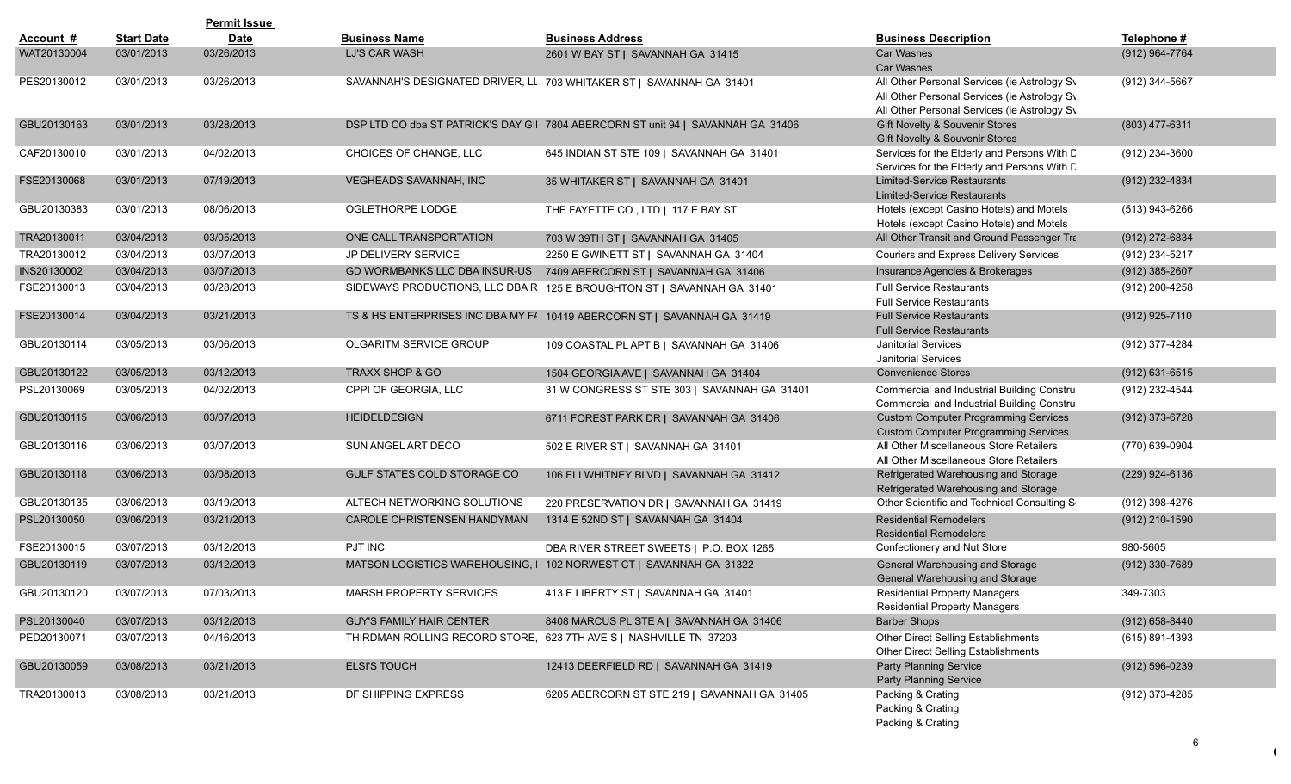|             |                   | <b>Permit Issue</b> |                                      |                                                                                  |                                                                                                                                              |                    |
|-------------|-------------------|---------------------|--------------------------------------|----------------------------------------------------------------------------------|----------------------------------------------------------------------------------------------------------------------------------------------|--------------------|
| Account #   | <b>Start Date</b> | <b>Date</b>         | <b>Business Name</b>                 | <b>Business Address</b>                                                          | <b>Business Description</b>                                                                                                                  | Telephone #        |
| WAT20130004 | 03/01/2013        | 03/26/2013          | LJ'S CAR WASH                        | 2601 W BAY ST   SAVANNAH GA 31415                                                | <b>Car Washes</b><br>Car Washes                                                                                                              | (912) 964-7764     |
| PES20130012 | 03/01/2013        | 03/26/2013          |                                      | SAVANNAH'S DESIGNATED DRIVER, LL 703 WHITAKER ST   SAVANNAH GA 31401             | All Other Personal Services (ie Astrology Sv<br>All Other Personal Services (ie Astrology Sv<br>All Other Personal Services (ie Astrology Sv | (912) 344-5667     |
| GBU20130163 | 03/01/2013        | 03/28/2013          |                                      | DSP LTD CO dba ST PATRICK'S DAY GII 7804 ABERCORN ST unit 94   SAVANNAH GA 31406 | Gift Novelty & Souvenir Stores<br>Gift Novelty & Souvenir Stores                                                                             | (803) 477-6311     |
| CAF20130010 | 03/01/2013        | 04/02/2013          | CHOICES OF CHANGE, LLC               | 645 INDIAN ST STE 109   SAVANNAH GA 31401                                        | Services for the Elderly and Persons With D<br>Services for the Elderly and Persons With D                                                   | (912) 234-3600     |
| FSE20130068 | 03/01/2013        | 07/19/2013          | VEGHEADS SAVANNAH, INC               | 35 WHITAKER ST   SAVANNAH GA 31401                                               | <b>Limited-Service Restaurants</b><br><b>Limited-Service Restaurants</b>                                                                     | (912) 232-4834     |
| GBU20130383 | 03/01/2013        | 08/06/2013          | OGLETHORPE LODGE                     | THE FAYETTE CO., LTD   117 E BAY ST                                              | Hotels (except Casino Hotels) and Motels<br>Hotels (except Casino Hotels) and Motels                                                         | (513) 943-6266     |
| TRA20130011 | 03/04/2013        | 03/05/2013          | ONE CALL TRANSPORTATION              | 703 W 39TH ST   SAVANNAH GA 31405                                                | All Other Transit and Ground Passenger Tra                                                                                                   | (912) 272-6834     |
| TRA20130012 | 03/04/2013        | 03/07/2013          | JP DELIVERY SERVICE                  | 2250 E GWINETT ST   SAVANNAH GA 31404                                            | Couriers and Express Delivery Services                                                                                                       | (912) 234-5217     |
| INS20130002 | 03/04/2013        | 03/07/2013          | <b>GD WORMBANKS LLC DBA INSUR-US</b> | 7409 ABERCORN ST   SAVANNAH GA 31406                                             | Insurance Agencies & Brokerages                                                                                                              | $(912)$ 385-2607   |
| FSE20130013 | 03/04/2013        | 03/28/2013          |                                      | SIDEWAYS PRODUCTIONS, LLC DBA R 125 E BROUGHTON ST   SAVANNAH GA 31401           | <b>Full Service Restaurants</b><br><b>Full Service Restaurants</b>                                                                           | (912) 200-4258     |
| FSE20130014 | 03/04/2013        | 03/21/2013          |                                      | TS & HS ENTERPRISES INC DBA MY F/ 10419 ABERCORN ST   SAVANNAH GA 31419          | <b>Full Service Restaurants</b><br><b>Full Service Restaurants</b>                                                                           | (912) 925-7110     |
| GBU20130114 | 03/05/2013        | 03/06/2013          | <b>OLGARITM SERVICE GROUP</b>        | 109 COASTAL PL APT B   SAVANNAH GA 31406                                         | <b>Janitorial Services</b><br><b>Janitorial Services</b>                                                                                     | (912) 377-4284     |
| GBU20130122 | 03/05/2013        | 03/12/2013          | <b>TRAXX SHOP &amp; GO</b>           | 1504 GEORGIA AVE   SAVANNAH GA 31404                                             | <b>Convenience Stores</b>                                                                                                                    | $(912)$ 631-6515   |
| PSL20130069 | 03/05/2013        | 04/02/2013          | CPPI OF GEORGIA, LLC                 | 31 W CONGRESS ST STE 303   SAVANNAH GA 31401                                     | Commercial and Industrial Building Constru<br>Commercial and Industrial Building Constru                                                     | (912) 232-4544     |
| GBU20130115 | 03/06/2013        | 03/07/2013          | <b>HEIDELDESIGN</b>                  | 6711 FOREST PARK DR   SAVANNAH GA 31406                                          | <b>Custom Computer Programming Services</b><br><b>Custom Computer Programming Services</b>                                                   | (912) 373-6728     |
| GBU20130116 | 03/06/2013        | 03/07/2013          | SUN ANGEL ART DECO                   | 502 E RIVER ST   SAVANNAH GA 31401                                               | All Other Miscellaneous Store Retailers<br>All Other Miscellaneous Store Retailers                                                           | (770) 639-0904     |
| GBU20130118 | 03/06/2013        | 03/08/2013          | <b>GULF STATES COLD STORAGE CO</b>   | 106 ELI WHITNEY BLVD   SAVANNAH GA 31412                                         | Refrigerated Warehousing and Storage<br>Refrigerated Warehousing and Storage                                                                 | (229) 924-6136     |
| GBU20130135 | 03/06/2013        | 03/19/2013          | ALTECH NETWORKING SOLUTIONS          | 220 PRESERVATION DR   SAVANNAH GA 31419                                          | Other Scientific and Technical Consulting S                                                                                                  | (912) 398-4276     |
| PSL20130050 | 03/06/2013        | 03/21/2013          | CAROLE CHRISTENSEN HANDYMAN          | 1314 E 52ND ST   SAVANNAH GA 31404                                               | <b>Residential Remodelers</b><br><b>Residential Remodelers</b>                                                                               | (912) 210-1590     |
| FSE20130015 | 03/07/2013        | 03/12/2013          | PJT INC                              | DBA RIVER STREET SWEETS   P.O. BOX 1265                                          | Confectionery and Nut Store                                                                                                                  | 980-5605           |
| GBU20130119 | 03/07/2013        | 03/12/2013          | MATSON LOGISTICS WAREHOUSING, I      | 102 NORWEST CT   SAVANNAH GA 31322                                               | General Warehousing and Storage<br>General Warehousing and Storage                                                                           | (912) 330-7689     |
| GBU20130120 | 03/07/2013        | 07/03/2013          | MARSH PROPERTY SERVICES              | 413 E LIBERTY ST   SAVANNAH GA 31401                                             | <b>Residential Property Managers</b><br><b>Residential Property Managers</b>                                                                 | 349-7303           |
| PSL20130040 | 03/07/2013        | 03/12/2013          | <b>GUY'S FAMILY HAIR CENTER</b>      | 8408 MARCUS PL STE A   SAVANNAH GA 31406                                         | <b>Barber Shops</b>                                                                                                                          | $(912)$ 658-8440   |
| PED20130071 | 03/07/2013        | 04/16/2013          |                                      | THIRDMAN ROLLING RECORD STORE, 623 7TH AVE S   NASHVILLE TN 37203                | Other Direct Selling Establishments<br>Other Direct Selling Establishments                                                                   | (615) 891-4393     |
| GBU20130059 | 03/08/2013        | 03/21/2013          | <b>ELSI'S TOUCH</b>                  | 12413 DEERFIELD RD   SAVANNAH GA 31419                                           | <b>Party Planning Service</b><br>Party Planning Service                                                                                      | $(912) 596 - 0239$ |
| TRA20130013 | 03/08/2013        | 03/21/2013          | DF SHIPPING EXPRESS                  | 6205 ABERCORN ST STE 219   SAVANNAH GA 31405                                     | Packing & Crating<br>Packing & Crating<br>Packing & Crating                                                                                  | (912) 373-4285     |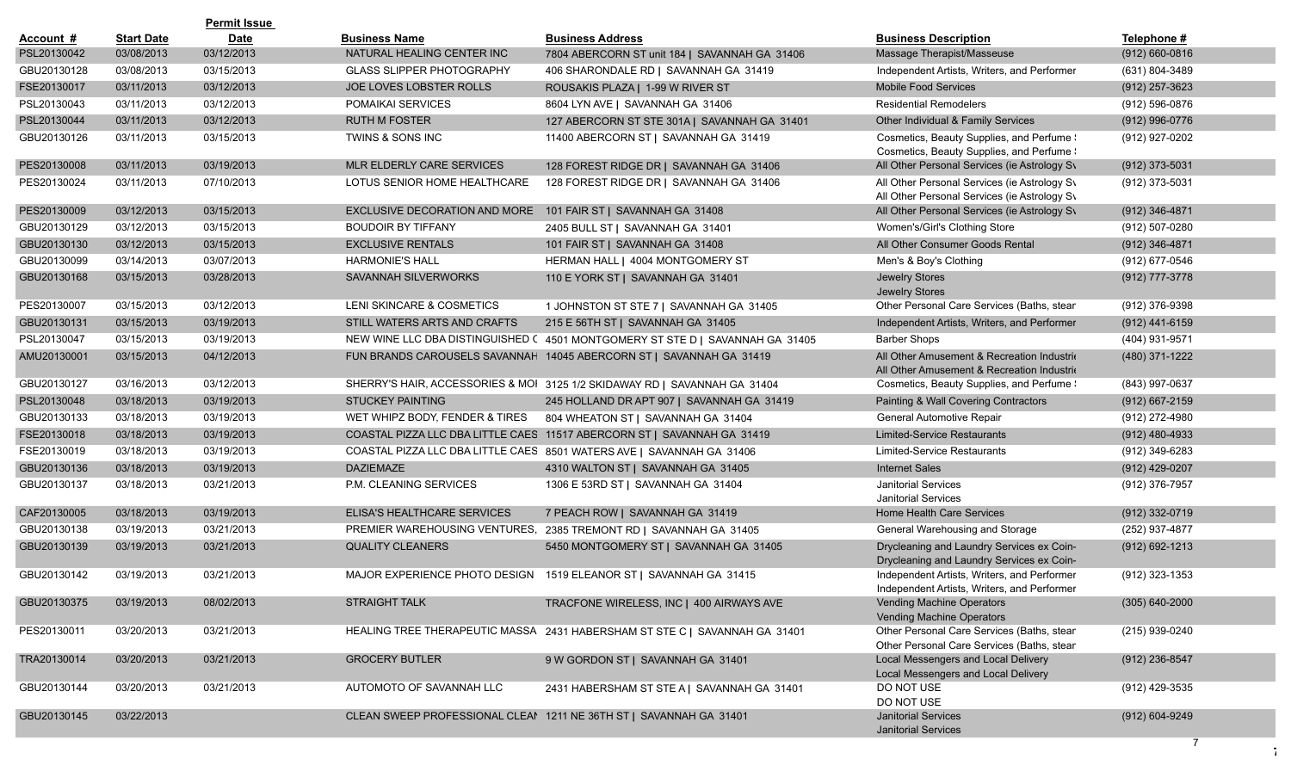|             |                   | <b>Permit Issue</b> |                                                               |                                                                              |                                                                                              |                    |
|-------------|-------------------|---------------------|---------------------------------------------------------------|------------------------------------------------------------------------------|----------------------------------------------------------------------------------------------|--------------------|
| Account #   | <b>Start Date</b> | <b>Date</b>         | <b>Business Name</b>                                          | <b>Business Address</b>                                                      | <b>Business Description</b>                                                                  | Telephone #        |
| PSL20130042 | 03/08/2013        | 03/12/2013          | NATURAL HEALING CENTER INC                                    | 7804 ABERCORN ST unit 184   SAVANNAH GA 31406                                | Massage Therapist/Masseuse                                                                   | $(912) 660 - 0816$ |
| GBU20130128 | 03/08/2013        | 03/15/2013          | <b>GLASS SLIPPER PHOTOGRAPHY</b>                              | 406 SHARONDALE RD   SAVANNAH GA 31419                                        | Independent Artists, Writers, and Performer                                                  | (631) 804-3489     |
| FSE20130017 | 03/11/2013        | 03/12/2013          | JOE LOVES LOBSTER ROLLS                                       | ROUSAKIS PLAZA   1-99 W RIVER ST                                             | <b>Mobile Food Services</b>                                                                  | $(912)$ 257-3623   |
| PSL20130043 | 03/11/2013        | 03/12/2013          | POMAIKAI SERVICES                                             | 8604 LYN AVE   SAVANNAH GA 31406                                             | <b>Residential Remodelers</b>                                                                | (912) 596-0876     |
| PSL20130044 | 03/11/2013        | 03/12/2013          | <b>RUTH M FOSTER</b>                                          | 127 ABERCORN ST STE 301A   SAVANNAH GA 31401                                 | Other Individual & Family Services                                                           | (912) 996-0776     |
| GBU20130126 | 03/11/2013        | 03/15/2013          | TWINS & SONS INC                                              | 11400 ABERCORN ST   SAVANNAH GA 31419                                        | Cosmetics, Beauty Supplies, and Perfume !<br>Cosmetics, Beauty Supplies, and Perfume !       | (912) 927-0202     |
| PES20130008 | 03/11/2013        | 03/19/2013          | MLR ELDERLY CARE SERVICES                                     | 128 FOREST RIDGE DR   SAVANNAH GA 31406                                      | All Other Personal Services (ie Astrology Sv                                                 | (912) 373-5031     |
| PES20130024 | 03/11/2013        | 07/10/2013          | LOTUS SENIOR HOME HEALTHCARE                                  | 128 FOREST RIDGE DR   SAVANNAH GA 31406                                      | All Other Personal Services (ie Astrology Sv<br>All Other Personal Services (ie Astrology Sv | (912) 373-5031     |
| PES20130009 | 03/12/2013        | 03/15/2013          | EXCLUSIVE DECORATION AND MORE 101 FAIR ST   SAVANNAH GA 31408 |                                                                              | All Other Personal Services (ie Astrology Sv                                                 | (912) 346-4871     |
| GBU20130129 | 03/12/2013        | 03/15/2013          | <b>BOUDOIR BY TIFFANY</b>                                     | 2405 BULL ST   SAVANNAH GA 31401                                             | Women's/Girl's Clothing Store                                                                | (912) 507-0280     |
| GBU20130130 | 03/12/2013        | 03/15/2013          | <b>EXCLUSIVE RENTALS</b>                                      | 101 FAIR ST   SAVANNAH GA 31408                                              | All Other Consumer Goods Rental                                                              | (912) 346-4871     |
| GBU20130099 | 03/14/2013        | 03/07/2013          | <b>HARMONIE'S HALL</b>                                        | HERMAN HALL   4004 MONTGOMERY ST                                             | Men's & Boy's Clothing                                                                       | (912) 677-0546     |
| GBU20130168 | 03/15/2013        | 03/28/2013          | SAVANNAH SILVERWORKS                                          | 110 E YORK ST   SAVANNAH GA 31401                                            | <b>Jewelry Stores</b><br>Jewelry Stores                                                      | (912) 777-3778     |
| PES20130007 | 03/15/2013        | 03/12/2013          | LENI SKINCARE & COSMETICS                                     | 1 JOHNSTON ST STE 7   SAVANNAH GA 31405                                      | Other Personal Care Services (Baths, stear                                                   | (912) 376-9398     |
| GBU20130131 | 03/15/2013        | 03/19/2013          | STILL WATERS ARTS AND CRAFTS                                  | 215 E 56TH ST   SAVANNAH GA 31405                                            | Independent Artists, Writers, and Performer                                                  | (912) 441-6159     |
| PSL20130047 | 03/15/2013        | 03/19/2013          |                                                               | NEW WINE LLC DBA DISTINGUISHED (4501 MONTGOMERY ST STE D   SAVANNAH GA 31405 | <b>Barber Shops</b>                                                                          | (404) 931-9571     |
| AMU20130001 | 03/15/2013        | 04/12/2013          |                                                               | FUN BRANDS CAROUSELS SAVANNAH 14045 ABERCORN ST   SAVANNAH GA 31419          | All Other Amusement & Recreation Industrio<br>All Other Amusement & Recreation Industrio     | (480) 371-1222     |
| GBU20130127 | 03/16/2013        | 03/12/2013          |                                                               | SHERRY'S HAIR, ACCESSORIES & MOI 3125 1/2 SKIDAWAY RD   SAVANNAH GA 31404    | Cosmetics, Beauty Supplies, and Perfume !                                                    | (843) 997-0637     |
| PSL20130048 | 03/18/2013        | 03/19/2013          | <b>STUCKEY PAINTING</b>                                       | 245 HOLLAND DR APT 907   SAVANNAH GA 31419                                   | Painting & Wall Covering Contractors                                                         | $(912)$ 667-2159   |
| GBU20130133 | 03/18/2013        | 03/19/2013          | WET WHIPZ BODY, FENDER & TIRES                                | 804 WHEATON ST   SAVANNAH GA 31404                                           | General Automotive Repair                                                                    | (912) 272-4980     |
| FSE20130018 | 03/18/2013        | 03/19/2013          |                                                               | COASTAL PIZZA LLC DBA LITTLE CAES 11517 ABERCORN ST   SAVANNAH GA 31419      | <b>Limited-Service Restaurants</b>                                                           | $(912)$ 480-4933   |
| FSE20130019 | 03/18/2013        | 03/19/2013          |                                                               | COASTAL PIZZA LLC DBA LITTLE CAES 8501 WATERS AVE   SAVANNAH GA 31406        | Limited-Service Restaurants                                                                  | (912) 349-6283     |
| GBU20130136 | 03/18/2013        | 03/19/2013          | <b>DAZIEMAZE</b>                                              | 4310 WALTON ST   SAVANNAH GA 31405                                           | <b>Internet Sales</b>                                                                        | (912) 429-0207     |
| GBU20130137 | 03/18/2013        | 03/21/2013          | P.M. CLEANING SERVICES                                        | 1306 E 53RD ST   SAVANNAH GA 31404                                           | <b>Janitorial Services</b><br><b>Janitorial Services</b>                                     | (912) 376-7957     |
| CAF20130005 | 03/18/2013        | 03/19/2013          | ELISA'S HEALTHCARE SERVICES                                   | 7 PEACH ROW   SAVANNAH GA 31419                                              | Home Health Care Services                                                                    | (912) 332-0719     |
| GBU20130138 | 03/19/2013        | 03/21/2013          |                                                               | PREMIER WAREHOUSING VENTURES, 2385 TREMONT RD   SAVANNAH GA 31405            | General Warehousing and Storage                                                              | (252) 937-4877     |
| GBU20130139 | 03/19/2013        | 03/21/2013          | <b>QUALITY CLEANERS</b>                                       | 5450 MONTGOMERY ST   SAVANNAH GA 31405                                       | Drycleaning and Laundry Services ex Coin-<br>Drycleaning and Laundry Services ex Coin-       | $(912)$ 692-1213   |
| GBU20130142 | 03/19/2013        | 03/21/2013          |                                                               | MAJOR EXPERIENCE PHOTO DESIGN 1519 ELEANOR ST   SAVANNAH GA 31415            | Independent Artists, Writers, and Performer<br>Independent Artists, Writers, and Performer   | (912) 323-1353     |
| GBU20130375 | 03/19/2013        | 08/02/2013          | STRAIGHT TALK                                                 | TRACFONE WIRELESS, INC   400 AIRWAYS AVE                                     | Vending Machine Operators<br>Vending Machine Operators                                       | $(305) 640 - 2000$ |
| PES20130011 | 03/20/2013        | 03/21/2013          |                                                               | HEALING TREE THERAPEUTIC MASSA 2431 HABERSHAM ST STE C   SAVANNAH GA 31401   | Other Personal Care Services (Baths, stear<br>Other Personal Care Services (Baths, stear     | (215) 939-0240     |
| TRA20130014 | 03/20/2013        | 03/21/2013          | <b>GROCERY BUTLER</b>                                         | 9 W GORDON ST   SAVANNAH GA 31401                                            | Local Messengers and Local Delivery<br>Local Messengers and Local Delivery                   | (912) 236-8547     |
| GBU20130144 | 03/20/2013        | 03/21/2013          | AUTOMOTO OF SAVANNAH LLC                                      | 2431 HABERSHAM ST STE A   SAVANNAH GA 31401                                  | DO NOT USE<br>DO NOT USE                                                                     | (912) 429-3535     |
| GBU20130145 | 03/22/2013        |                     |                                                               | CLEAN SWEEP PROFESSIONAL CLEAN 1211 NE 36TH ST   SAVANNAH GA 31401           | <b>Janitorial Services</b><br>Janitorial Services                                            | (912) 604-9249     |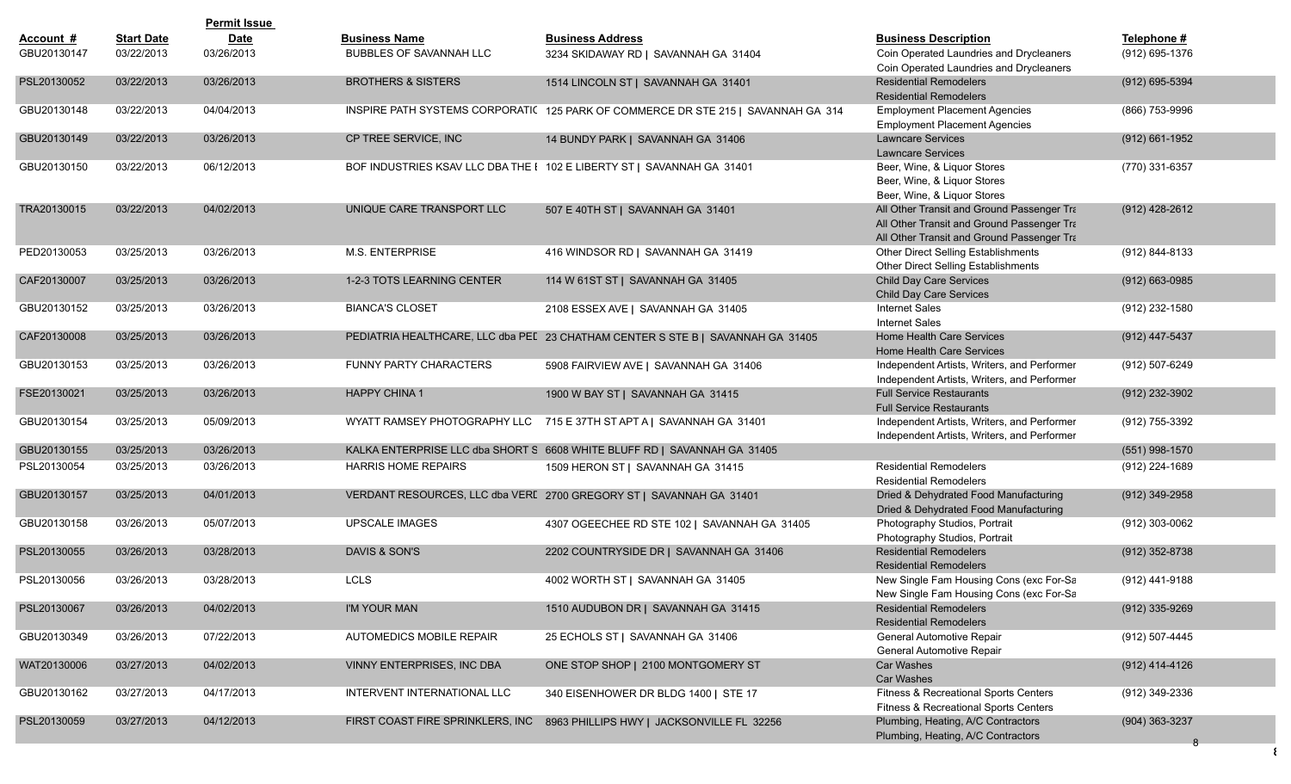|             |                   | <b>Permit Issue</b> |                                  |                                                                                   |                                                                                                                                        |                  |
|-------------|-------------------|---------------------|----------------------------------|-----------------------------------------------------------------------------------|----------------------------------------------------------------------------------------------------------------------------------------|------------------|
| Account #   | <b>Start Date</b> | <b>Date</b>         | <b>Business Name</b>             | <b>Business Address</b>                                                           | <b>Business Description</b>                                                                                                            | Telephone #      |
| GBU20130147 | 03/22/2013        | 03/26/2013          | <b>BUBBLES OF SAVANNAH LLC</b>   | 3234 SKIDAWAY RD   SAVANNAH GA 31404                                              | Coin Operated Laundries and Drycleaners<br>Coin Operated Laundries and Drycleaners                                                     | (912) 695-1376   |
| PSL20130052 | 03/22/2013        | 03/26/2013          | <b>BROTHERS &amp; SISTERS</b>    | 1514 LINCOLN ST   SAVANNAH GA 31401                                               | <b>Residential Remodelers</b><br><b>Residential Remodelers</b>                                                                         | (912) 695-5394   |
| GBU20130148 | 03/22/2013        | 04/04/2013          |                                  | INSPIRE PATH SYSTEMS CORPORATIC 125 PARK OF COMMERCE DR STE 215   SAVANNAH GA 314 | <b>Employment Placement Agencies</b><br><b>Employment Placement Agencies</b>                                                           | (866) 753-9996   |
| GBU20130149 | 03/22/2013        | 03/26/2013          | CP TREE SERVICE, INC             | 14 BUNDY PARK   SAVANNAH GA 31406                                                 | <b>Lawncare Services</b><br><b>Lawncare Services</b>                                                                                   | (912) 661-1952   |
| GBU20130150 | 03/22/2013        | 06/12/2013          |                                  | BOF INDUSTRIES KSAV LLC DBA THE I 102 E LIBERTY ST   SAVANNAH GA 31401            | Beer, Wine, & Liguor Stores<br>Beer, Wine, & Liquor Stores<br>Beer, Wine, & Liquor Stores                                              | (770) 331-6357   |
| TRA20130015 | 03/22/2013        | 04/02/2013          | UNIQUE CARE TRANSPORT LLC        | 507 E 40TH ST   SAVANNAH GA 31401                                                 | All Other Transit and Ground Passenger Tra<br>All Other Transit and Ground Passenger Tra<br>All Other Transit and Ground Passenger Tra | (912) 428-2612   |
| PED20130053 | 03/25/2013        | 03/26/2013          | <b>M.S. ENTERPRISE</b>           | 416 WINDSOR RD   SAVANNAH GA 31419                                                | Other Direct Selling Establishments<br>Other Direct Selling Establishments                                                             | (912) 844-8133   |
| CAF20130007 | 03/25/2013        | 03/26/2013          | 1-2-3 TOTS LEARNING CENTER       | 114 W 61ST ST   SAVANNAH GA 31405                                                 | Child Day Care Services<br><b>Child Day Care Services</b>                                                                              | (912) 663-0985   |
| GBU20130152 | 03/25/2013        | 03/26/2013          | <b>BIANCA'S CLOSET</b>           | 2108 ESSEX AVE   SAVANNAH GA 31405                                                | <b>Internet Sales</b><br><b>Internet Sales</b>                                                                                         | (912) 232-1580   |
| CAF20130008 | 03/25/2013        | 03/26/2013          |                                  | PEDIATRIA HEALTHCARE, LLC dba PEL 23 CHATHAM CENTER S STE B   SAVANNAH GA 31405   | Home Health Care Services<br>Home Health Care Services                                                                                 | (912) 447-5437   |
| GBU20130153 | 03/25/2013        | 03/26/2013          | <b>FUNNY PARTY CHARACTERS</b>    | 5908 FAIRVIEW AVE   SAVANNAH GA 31406                                             | Independent Artists, Writers, and Performer<br>Independent Artists, Writers, and Performer                                             | (912) 507-6249   |
| FSE20130021 | 03/25/2013        | 03/26/2013          | <b>HAPPY CHINA 1</b>             | 1900 W BAY ST   SAVANNAH GA 31415                                                 | <b>Full Service Restaurants</b><br><b>Full Service Restaurants</b>                                                                     | (912) 232-3902   |
| GBU20130154 | 03/25/2013        | 05/09/2013          |                                  | WYATT RAMSEY PHOTOGRAPHY LLC 715 E 37TH ST APT A   SAVANNAH GA 31401              | Independent Artists, Writers, and Performer<br>Independent Artists, Writers, and Performer                                             | (912) 755-3392   |
| GBU20130155 | 03/25/2013        | 03/26/2013          |                                  | KALKA ENTERPRISE LLC dba SHORT S 6608 WHITE BLUFF RD   SAVANNAH GA 31405          |                                                                                                                                        | $(551)$ 998-1570 |
| PSL20130054 | 03/25/2013        | 03/26/2013          | <b>HARRIS HOME REPAIRS</b>       | 1509 HERON ST   SAVANNAH GA 31415                                                 | <b>Residential Remodelers</b><br><b>Residential Remodelers</b>                                                                         | (912) 224-1689   |
| GBU20130157 | 03/25/2013        | 04/01/2013          |                                  | VERDANT RESOURCES, LLC dba VERI 2700 GREGORY ST   SAVANNAH GA 31401               | Dried & Dehydrated Food Manufacturing<br>Dried & Dehydrated Food Manufacturing                                                         | (912) 349-2958   |
| GBU20130158 | 03/26/2013        | 05/07/2013          | <b>UPSCALE IMAGES</b>            | 4307 OGEECHEE RD STE 102   SAVANNAH GA 31405                                      | Photography Studios, Portrait<br>Photography Studios, Portrait                                                                         | (912) 303-0062   |
| PSL20130055 | 03/26/2013        | 03/28/2013          | DAVIS & SON'S                    | 2202 COUNTRYSIDE DR   SAVANNAH GA 31406                                           | <b>Residential Remodelers</b><br><b>Residential Remodelers</b>                                                                         | (912) 352-8738   |
| PSL20130056 | 03/26/2013        | 03/28/2013          | <b>LCLS</b>                      | 4002 WORTH ST   SAVANNAH GA 31405                                                 | New Single Fam Housing Cons (exc For-Sa<br>New Single Fam Housing Cons (exc For-Sa                                                     | (912) 441-9188   |
| PSL20130067 | 03/26/2013        | 04/02/2013          | I'M YOUR MAN                     | 1510 AUDUBON DR   SAVANNAH GA 31415                                               | <b>Residential Remodelers</b><br><b>Residential Remodelers</b>                                                                         | (912) 335-9269   |
| GBU20130349 | 03/26/2013        | 07/22/2013          | AUTOMEDICS MOBILE REPAIR         | 25 ECHOLS ST   SAVANNAH GA 31406                                                  | General Automotive Repair<br>General Automotive Repair                                                                                 | (912) 507-4445   |
| WAT20130006 | 03/27/2013        | 04/02/2013          | VINNY ENTERPRISES, INC DBA       | ONE STOP SHOP   2100 MONTGOMERY ST                                                | Car Washes<br><b>Car Washes</b>                                                                                                        | (912) 414-4126   |
| GBU20130162 | 03/27/2013        | 04/17/2013          | INTERVENT INTERNATIONAL LLC      | 340 EISENHOWER DR BLDG 1400   STE 17                                              | Fitness & Recreational Sports Centers<br>Fitness & Recreational Sports Centers                                                         | (912) 349-2336   |
| PSL20130059 | 03/27/2013        | 04/12/2013          | FIRST COAST FIRE SPRINKLERS, INC | 8963 PHILLIPS HWY   JACKSONVILLE FL 32256                                         | Plumbing, Heating, A/C Contractors<br>Plumbing, Heating, A/C Contractors                                                               | (904) 363-3237   |
|             |                   |                     |                                  |                                                                                   |                                                                                                                                        |                  |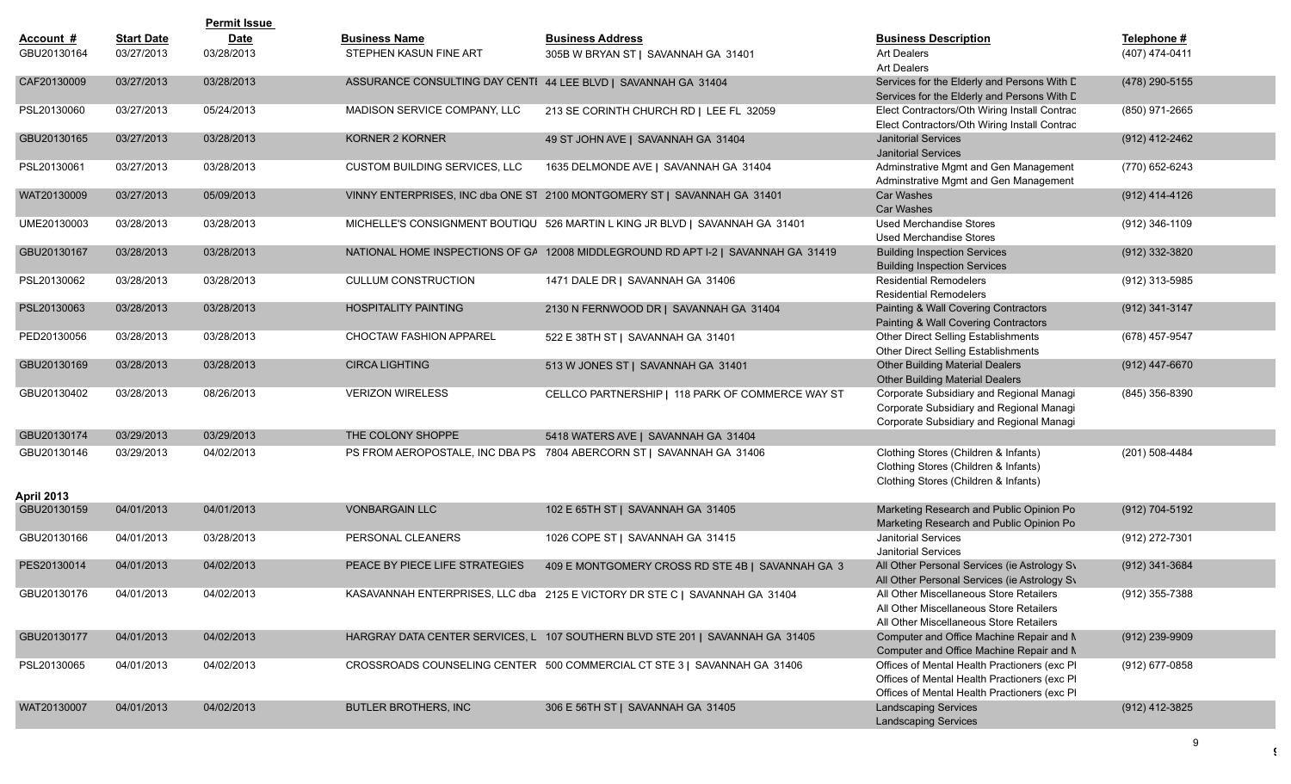|                           |                   | <b>Permit Issue</b> |                                                                |                                                                                   |                                                                                                                                               |                  |
|---------------------------|-------------------|---------------------|----------------------------------------------------------------|-----------------------------------------------------------------------------------|-----------------------------------------------------------------------------------------------------------------------------------------------|------------------|
| Account #                 | <b>Start Date</b> | <b>Date</b>         | <b>Business Name</b>                                           | <b>Business Address</b>                                                           | <b>Business Description</b>                                                                                                                   | Telephone #      |
| GBU20130164               | 03/27/2013        | 03/28/2013          | STEPHEN KASUN FINE ART                                         | 305B W BRYAN ST   SAVANNAH GA 31401                                               | Art Dealers<br><b>Art Dealers</b>                                                                                                             | (407) 474-0411   |
| CAF20130009               | 03/27/2013        | 03/28/2013          | ASSURANCE CONSULTING DAY CENTI 44 LEE BLVD   SAVANNAH GA 31404 |                                                                                   | Services for the Elderly and Persons With D<br>Services for the Elderly and Persons With D                                                    | (478) 290-5155   |
| PSL20130060               | 03/27/2013        | 05/24/2013          | MADISON SERVICE COMPANY, LLC                                   | 213 SE CORINTH CHURCH RD   LEE FL 32059                                           | Elect Contractors/Oth Wiring Install Contrac<br>Elect Contractors/Oth Wiring Install Contrac                                                  | (850) 971-2665   |
| GBU20130165               | 03/27/2013        | 03/28/2013          | KORNER 2 KORNER                                                | 49 ST JOHN AVE   SAVANNAH GA 31404                                                | <b>Janitorial Services</b><br><b>Janitorial Services</b>                                                                                      | (912) 412-2462   |
| PSL20130061               | 03/27/2013        | 03/28/2013          | <b>CUSTOM BUILDING SERVICES, LLC</b>                           | 1635 DELMONDE AVE   SAVANNAH GA 31404                                             | Adminstrative Mgmt and Gen Management<br>Adminstrative Mgmt and Gen Management                                                                | (770) 652-6243   |
| WAT20130009               | 03/27/2013        | 05/09/2013          |                                                                | VINNY ENTERPRISES, INC dba ONE ST 2100 MONTGOMERY ST   SAVANNAH GA 31401          | Car Washes<br><b>Car Washes</b>                                                                                                               | (912) 414-4126   |
| UME20130003               | 03/28/2013        | 03/28/2013          |                                                                | MICHELLE'S CONSIGNMENT BOUTIQU 526 MARTIN L KING JR BLVD   SAVANNAH GA 31401      | <b>Used Merchandise Stores</b><br><b>Used Merchandise Stores</b>                                                                              | (912) 346-1109   |
| GBU20130167               | 03/28/2013        | 03/28/2013          |                                                                | NATIONAL HOME INSPECTIONS OF GA 12008 MIDDLEGROUND RD APT I-2   SAVANNAH GA 31419 | <b>Building Inspection Services</b><br><b>Building Inspection Services</b>                                                                    | (912) 332-3820   |
| PSL20130062               | 03/28/2013        | 03/28/2013          | <b>CULLUM CONSTRUCTION</b>                                     | 1471 DALE DR   SAVANNAH GA 31406                                                  | <b>Residential Remodelers</b><br><b>Residential Remodelers</b>                                                                                | $(912)$ 313-5985 |
| PSL20130063               | 03/28/2013        | 03/28/2013          | <b>HOSPITALITY PAINTING</b>                                    | 2130 N FERNWOOD DR   SAVANNAH GA 31404                                            | Painting & Wall Covering Contractors<br>Painting & Wall Covering Contractors                                                                  | (912) 341-3147   |
| PED20130056               | 03/28/2013        | 03/28/2013          | CHOCTAW FASHION APPAREL                                        | 522 E 38TH ST   SAVANNAH GA 31401                                                 | Other Direct Selling Establishments<br>Other Direct Selling Establishments                                                                    | (678) 457-9547   |
| GBU20130169               | 03/28/2013        | 03/28/2013          | <b>CIRCA LIGHTING</b>                                          | 513 W JONES ST   SAVANNAH GA 31401                                                | <b>Other Building Material Dealers</b><br><b>Other Building Material Dealers</b>                                                              | (912) 447-6670   |
| GBU20130402               | 03/28/2013        | 08/26/2013          | <b>VERIZON WIRELESS</b>                                        | CELLCO PARTNERSHIP   118 PARK OF COMMERCE WAY ST                                  | Corporate Subsidiary and Regional Managi<br>Corporate Subsidiary and Regional Managi<br>Corporate Subsidiary and Regional Managi              | (845) 356-8390   |
| GBU20130174               | 03/29/2013        | 03/29/2013          | THE COLONY SHOPPE                                              | 5418 WATERS AVE   SAVANNAH GA 31404                                               |                                                                                                                                               |                  |
| GBU20130146<br>April 2013 | 03/29/2013        | 04/02/2013          |                                                                | PS FROM AEROPOSTALE, INC DBA PS 7804 ABERCORN ST   SAVANNAH GA 31406              | Clothing Stores (Children & Infants)<br>Clothing Stores (Children & Infants)<br>Clothing Stores (Children & Infants)                          | (201) 508-4484   |
| GBU20130159               | 04/01/2013        | 04/01/2013          | <b>VONBARGAIN LLC</b>                                          | 102 E 65TH ST   SAVANNAH GA 31405                                                 | Marketing Research and Public Opinion Pol<br>Marketing Research and Public Opinion Pol                                                        | (912) 704-5192   |
| GBU20130166               | 04/01/2013        | 03/28/2013          | PERSONAL CLEANERS                                              | 1026 COPE ST   SAVANNAH GA 31415                                                  | <b>Janitorial Services</b><br><b>Janitorial Services</b>                                                                                      | (912) 272-7301   |
| PES20130014               | 04/01/2013        | 04/02/2013          | PEACE BY PIECE LIFE STRATEGIES                                 | 409 E MONTGOMERY CROSS RD STE 4B   SAVANNAH GA 3                                  | All Other Personal Services (ie Astrology Sv<br>All Other Personal Services (ie Astrology Sv                                                  | (912) 341-3684   |
| GBU20130176               | 04/01/2013        | 04/02/2013          |                                                                | KASAVANNAH ENTERPRISES, LLC dba 2125 E VICTORY DR STE C   SAVANNAH GA 31404       | All Other Miscellaneous Store Retailers<br>All Other Miscellaneous Store Retailers<br>All Other Miscellaneous Store Retailers                 | (912) 355-7388   |
| GBU20130177               | 04/01/2013        | 04/02/2013          |                                                                | HARGRAY DATA CENTER SERVICES, L 107 SOUTHERN BLVD STE 201   SAVANNAH GA 31405     | Computer and Office Machine Repair and N<br>Computer and Office Machine Repair and N                                                          | (912) 239-9909   |
| PSL20130065               | 04/01/2013        | 04/02/2013          |                                                                | CROSSROADS COUNSELING CENTER 500 COMMERCIAL CT STE 3   SAVANNAH GA 31406          | Offices of Mental Health Practioners (exc Pl<br>Offices of Mental Health Practioners (exc PI<br>Offices of Mental Health Practioners (exc PI) | (912) 677-0858   |
| WAT20130007               | 04/01/2013        | 04/02/2013          | <b>BUTLER BROTHERS, INC</b>                                    | 306 E 56TH ST   SAVANNAH GA 31405                                                 | <b>Landscaping Services</b><br><b>Landscaping Services</b>                                                                                    | (912) 412-3825   |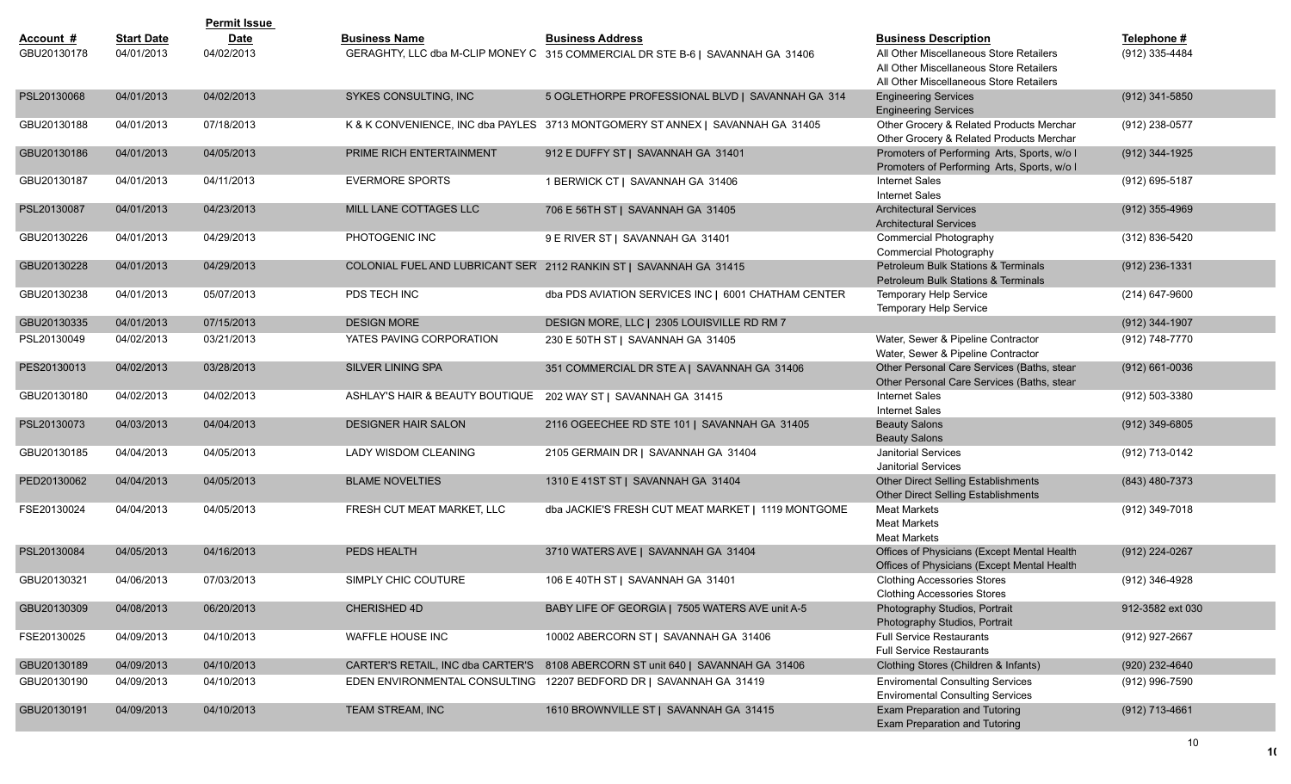|             |                   | <b>Permit Issue</b> |                                 |                                                                                 |                                                                |                    |
|-------------|-------------------|---------------------|---------------------------------|---------------------------------------------------------------------------------|----------------------------------------------------------------|--------------------|
| Account #   | <b>Start Date</b> | <b>Date</b>         | <b>Business Name</b>            | <b>Business Address</b>                                                         | <b>Business Description</b>                                    | Telephone #        |
| GBU20130178 | 04/01/2013        | 04/02/2013          |                                 | GERAGHTY, LLC dba M-CLIP MONEY C 315 COMMERCIAL DR STE B-6   SAVANNAH GA 31406  | All Other Miscellaneous Store Retailers                        | (912) 335-4484     |
|             |                   |                     |                                 |                                                                                 | All Other Miscellaneous Store Retailers                        |                    |
|             |                   |                     |                                 |                                                                                 | All Other Miscellaneous Store Retailers                        |                    |
| PSL20130068 | 04/01/2013        | 04/02/2013          | <b>SYKES CONSULTING. INC</b>    | 5 OGLETHORPE PROFESSIONAL BLVD   SAVANNAH GA 314                                | <b>Engineering Services</b><br><b>Engineering Services</b>     | (912) 341-5850     |
| GBU20130188 | 04/01/2013        | 07/18/2013          |                                 | K & K CONVENIENCE, INC dba PAYLES 3713 MONTGOMERY ST ANNEX   SAVANNAH GA 31405  | Other Grocery & Related Products Merchar                       | (912) 238-0577     |
|             |                   |                     |                                 |                                                                                 | Other Grocery & Related Products Merchar                       |                    |
| GBU20130186 | 04/01/2013        | 04/05/2013          | PRIME RICH ENTERTAINMENT        | 912 E DUFFY ST   SAVANNAH GA 31401                                              | Promoters of Performing Arts, Sports, w/o I                    | (912) 344-1925     |
|             |                   |                     |                                 |                                                                                 | Promoters of Performing Arts, Sports, w/o I                    |                    |
| GBU20130187 | 04/01/2013        | 04/11/2013          | <b>EVERMORE SPORTS</b>          | 1 BERWICK CT   SAVANNAH GA 31406                                                | Internet Sales                                                 | (912) 695-5187     |
|             |                   |                     |                                 |                                                                                 | <b>Internet Sales</b>                                          |                    |
| PSL20130087 | 04/01/2013        | 04/23/2013          | MILL LANE COTTAGES LLC          | 706 E 56TH ST   SAVANNAH GA 31405                                               | <b>Architectural Services</b>                                  | $(912)$ 355-4969   |
| GBU20130226 | 04/01/2013        | 04/29/2013          | PHOTOGENIC INC                  |                                                                                 | <b>Architectural Services</b><br><b>Commercial Photography</b> | (312) 836-5420     |
|             |                   |                     |                                 | 9 E RIVER ST   SAVANNAH GA 31401                                                | Commercial Photography                                         |                    |
| GBU20130228 | 04/01/2013        | 04/29/2013          |                                 | COLONIAL FUEL AND LUBRICANT SER 2112 RANKIN ST   SAVANNAH GA 31415              | Petroleum Bulk Stations & Terminals                            | (912) 236-1331     |
|             |                   |                     |                                 |                                                                                 | Petroleum Bulk Stations & Terminals                            |                    |
| GBU20130238 | 04/01/2013        | 05/07/2013          | PDS TECH INC                    | dba PDS AVIATION SERVICES INC   6001 CHATHAM CENTER                             | Temporary Help Service                                         | (214) 647-9600     |
|             |                   |                     |                                 |                                                                                 | Temporary Help Service                                         |                    |
| GBU20130335 | 04/01/2013        | 07/15/2013          | <b>DESIGN MORE</b>              | DESIGN MORE, LLC   2305 LOUISVILLE RD RM 7                                      |                                                                | (912) 344-1907     |
| PSL20130049 | 04/02/2013        | 03/21/2013          | YATES PAVING CORPORATION        | 230 E 50TH ST   SAVANNAH GA 31405                                               | Water, Sewer & Pipeline Contractor                             | (912) 748-7770     |
|             |                   |                     |                                 |                                                                                 | Water, Sewer & Pipeline Contractor                             |                    |
| PES20130013 | 04/02/2013        | 03/28/2013          | <b>SILVER LINING SPA</b>        | 351 COMMERCIAL DR STE A   SAVANNAH GA 31406                                     | Other Personal Care Services (Baths, stear                     | $(912) 661 - 0036$ |
|             |                   |                     |                                 |                                                                                 | Other Personal Care Services (Baths, stear                     |                    |
| GBU20130180 | 04/02/2013        | 04/02/2013          | ASHLAY'S HAIR & BEAUTY BOUTIQUE | 202 WAY ST   SAVANNAH GA 31415                                                  | <b>Internet Sales</b>                                          | (912) 503-3380     |
|             |                   |                     |                                 |                                                                                 | <b>Internet Sales</b>                                          |                    |
| PSL20130073 | 04/03/2013        | 04/04/2013          | <b>DESIGNER HAIR SALON</b>      | 2116 OGEECHEE RD STE 101   SAVANNAH GA 31405                                    | <b>Beauty Salons</b><br><b>Beauty Salons</b>                   | (912) 349-6805     |
| GBU20130185 | 04/04/2013        | 04/05/2013          | LADY WISDOM CLEANING            | 2105 GERMAIN DR   SAVANNAH GA 31404                                             | <b>Janitorial Services</b>                                     | (912) 713-0142     |
|             |                   |                     |                                 |                                                                                 | <b>Janitorial Services</b>                                     |                    |
| PED20130062 | 04/04/2013        | 04/05/2013          | <b>BLAME NOVELTIES</b>          | 1310 E 41ST ST   SAVANNAH GA 31404                                              | Other Direct Selling Establishments                            | (843) 480-7373     |
|             |                   |                     |                                 |                                                                                 | Other Direct Selling Establishments                            |                    |
| FSE20130024 | 04/04/2013        | 04/05/2013          | FRESH CUT MEAT MARKET, LLC      | dba JACKIE'S FRESH CUT MEAT MARKET   1119 MONTGOME                              | <b>Meat Markets</b>                                            | (912) 349-7018     |
|             |                   |                     |                                 |                                                                                 | <b>Meat Markets</b>                                            |                    |
|             |                   |                     |                                 |                                                                                 | <b>Meat Markets</b>                                            |                    |
| PSL20130084 | 04/05/2013        | 04/16/2013          | PEDS HEALTH                     | 3710 WATERS AVE   SAVANNAH GA 31404                                             | Offices of Physicians (Except Mental Health                    | (912) 224-0267     |
|             |                   |                     |                                 |                                                                                 | Offices of Physicians (Except Mental Health                    |                    |
| GBU20130321 | 04/06/2013        | 07/03/2013          | SIMPLY CHIC COUTURE             | 106 E 40TH ST   SAVANNAH GA 31401                                               | <b>Clothing Accessories Stores</b>                             | (912) 346-4928     |
|             |                   |                     |                                 |                                                                                 | <b>Clothing Accessories Stores</b>                             |                    |
| GBU20130309 | 04/08/2013        | 06/20/2013          | CHERISHED 4D                    | BABY LIFE OF GEORGIA   7505 WATERS AVE unit A-5                                 | Photography Studios, Portrait<br>Photography Studios, Portrait | 912-3582 ext 030   |
| FSE20130025 | 04/09/2013        | 04/10/2013          | WAFFLE HOUSE INC                | 10002 ABERCORN ST   SAVANNAH GA 31406                                           | <b>Full Service Restaurants</b>                                | (912) 927-2667     |
|             |                   |                     |                                 |                                                                                 | <b>Full Service Restaurants</b>                                |                    |
| GBU20130189 | 04/09/2013        | 04/10/2013          |                                 | CARTER'S RETAIL, INC dba CARTER'S 8108 ABERCORN ST unit 640   SAVANNAH GA 31406 | Clothing Stores (Children & Infants)                           | (920) 232-4640     |
| GBU20130190 | 04/09/2013        | 04/10/2013          |                                 | EDEN ENVIRONMENTAL CONSULTING 12207 BEDFORD DR   SAVANNAH GA 31419              | <b>Enviromental Consulting Services</b>                        | (912) 996-7590     |
|             |                   |                     |                                 |                                                                                 | <b>Enviromental Consulting Services</b>                        |                    |
| GBU20130191 | 04/09/2013        | 04/10/2013          | TEAM STREAM, INC                | 1610 BROWNVILLE ST   SAVANNAH GA 31415                                          | Exam Preparation and Tutoring                                  | (912) 713-4661     |
|             |                   |                     |                                 |                                                                                 | Exam Preparation and Tutoring                                  |                    |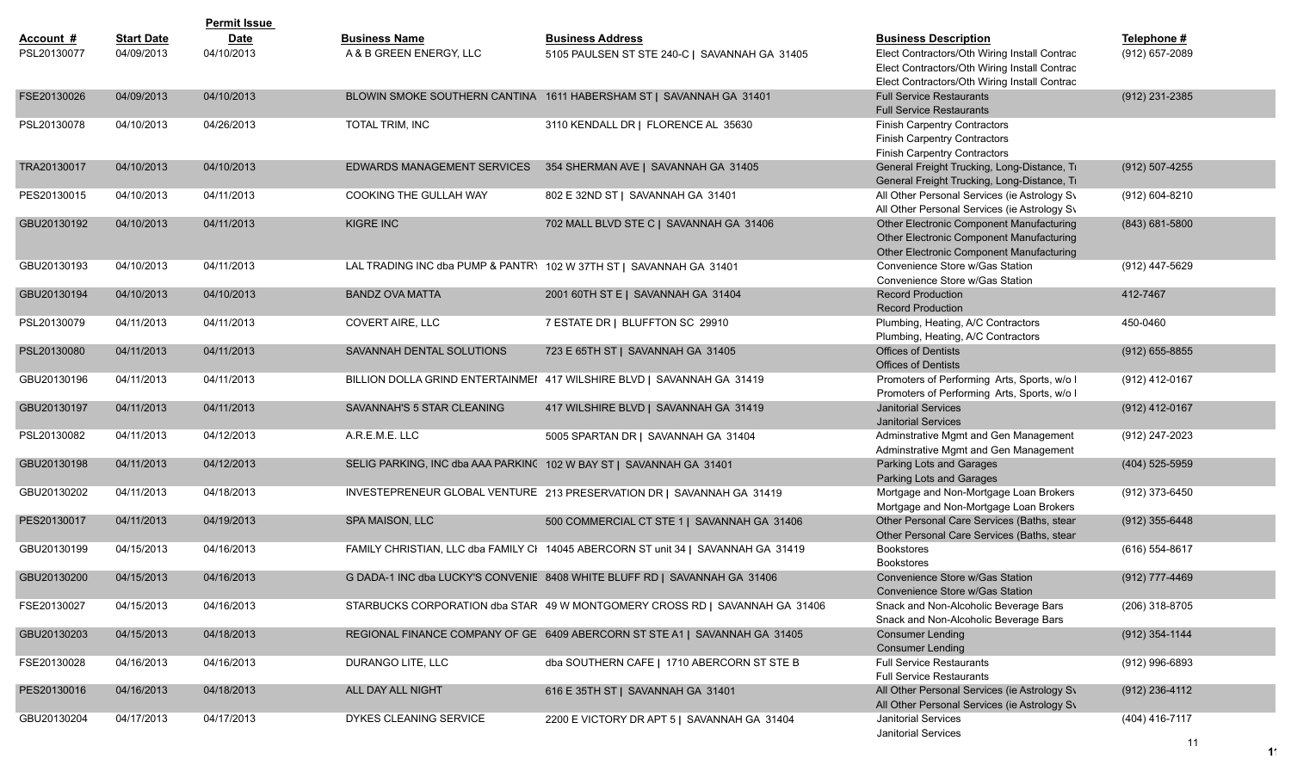|             |                   | <b>Permit Issue</b> |                             |                                                                                   |                                                                                             |                    |
|-------------|-------------------|---------------------|-----------------------------|-----------------------------------------------------------------------------------|---------------------------------------------------------------------------------------------|--------------------|
| Account #   | <b>Start Date</b> | <b>Date</b>         | <b>Business Name</b>        | <b>Business Address</b>                                                           | <b>Business Description</b>                                                                 | Telephone #        |
| PSL20130077 | 04/09/2013        | 04/10/2013          | A & B GREEN ENERGY. LLC     | 5105 PAULSEN ST STE 240-C   SAVANNAH GA 31405                                     | Elect Contractors/Oth Wiring Install Contrac                                                | (912) 657-2089     |
|             |                   |                     |                             |                                                                                   | Elect Contractors/Oth Wiring Install Contrac                                                |                    |
|             |                   |                     |                             |                                                                                   | Elect Contractors/Oth Wiring Install Contrac                                                |                    |
| FSE20130026 | 04/09/2013        | 04/10/2013          |                             | BLOWIN SMOKE SOUTHERN CANTINA 1611 HABERSHAM ST   SAVANNAH GA 31401               | <b>Full Service Restaurants</b>                                                             | $(912)$ 231-2385   |
|             |                   |                     |                             |                                                                                   | <b>Full Service Restaurants</b>                                                             |                    |
| PSL20130078 | 04/10/2013        | 04/26/2013          | <b>TOTAL TRIM, INC</b>      | 3110 KENDALL DR   FLORENCE AL 35630                                               | <b>Finish Carpentry Contractors</b>                                                         |                    |
|             |                   |                     |                             |                                                                                   | <b>Finish Carpentry Contractors</b>                                                         |                    |
|             |                   |                     |                             |                                                                                   | <b>Finish Carpentry Contractors</b>                                                         |                    |
| TRA20130017 | 04/10/2013        | 04/10/2013          | EDWARDS MANAGEMENT SERVICES | 354 SHERMAN AVE   SAVANNAH GA 31405                                               | General Freight Trucking, Long-Distance, Tr                                                 | $(912)$ 507-4255   |
| PES20130015 |                   | 04/11/2013          | COOKING THE GULLAH WAY      | 802 E 32ND ST   SAVANNAH GA 31401                                                 | General Freight Trucking, Long-Distance, Tr<br>All Other Personal Services (ie Astrology Sv |                    |
|             | 04/10/2013        |                     |                             |                                                                                   | All Other Personal Services (ie Astrology Sv                                                | (912) 604-8210     |
| GBU20130192 | 04/10/2013        | 04/11/2013          | <b>KIGRE INC</b>            | 702 MALL BLVD STE C   SAVANNAH GA 31406                                           | Other Electronic Component Manufacturing                                                    | $(843) 681 - 5800$ |
|             |                   |                     |                             |                                                                                   | Other Electronic Component Manufacturing                                                    |                    |
|             |                   |                     |                             |                                                                                   | Other Electronic Component Manufacturing                                                    |                    |
| GBU20130193 | 04/10/2013        | 04/11/2013          |                             | LAL TRADING INC dba PUMP & PANTR\ 102 W 37TH ST   SAVANNAH GA 31401               | Convenience Store w/Gas Station                                                             | (912) 447-5629     |
|             |                   |                     |                             |                                                                                   | Convenience Store w/Gas Station                                                             |                    |
| GBU20130194 | 04/10/2013        | 04/10/2013          | <b>BANDZ OVA MATTA</b>      | 2001 60TH ST E   SAVANNAH GA 31404                                                | <b>Record Production</b>                                                                    | 412-7467           |
|             |                   |                     |                             |                                                                                   | <b>Record Production</b>                                                                    |                    |
| PSL20130079 | 04/11/2013        | 04/11/2013          | COVERT AIRE, LLC            | 7 ESTATE DR   BLUFFTON SC 29910                                                   | Plumbing, Heating, A/C Contractors                                                          | 450-0460           |
|             |                   |                     |                             |                                                                                   | Plumbing, Heating, A/C Contractors                                                          |                    |
| PSL20130080 | 04/11/2013        | 04/11/2013          | SAVANNAH DENTAL SOLUTIONS   | 723 E 65TH ST   SAVANNAH GA 31405                                                 | <b>Offices of Dentists</b>                                                                  | $(912)$ 655-8855   |
|             |                   |                     |                             |                                                                                   | <b>Offices of Dentists</b>                                                                  |                    |
| GBU20130196 | 04/11/2013        | 04/11/2013          |                             | BILLION DOLLA GRIND ENTERTAINMEI 417 WILSHIRE BLVD   SAVANNAH GA 31419            | Promoters of Performing Arts, Sports, w/o I                                                 | (912) 412-0167     |
|             |                   |                     |                             |                                                                                   | Promoters of Performing Arts, Sports, w/o I                                                 |                    |
| GBU20130197 | 04/11/2013        | 04/11/2013          | SAVANNAH'S 5 STAR CLEANING  | 417 WILSHIRE BLVD   SAVANNAH GA 31419                                             | <b>Janitorial Services</b><br><b>Janitorial Services</b>                                    | (912) 412-0167     |
| PSL20130082 | 04/11/2013        | 04/12/2013          | A.R.E.M.E. LLC              | 5005 SPARTAN DR   SAVANNAH GA 31404                                               | Adminstrative Mgmt and Gen Management                                                       |                    |
|             |                   |                     |                             |                                                                                   | Adminstrative Mgmt and Gen Management                                                       | (912) 247-2023     |
| GBU20130198 | 04/11/2013        | 04/12/2013          |                             | SELIG PARKING, INC dba AAA PARKINC 102 W BAY ST   SAVANNAH GA 31401               | Parking Lots and Garages                                                                    | (404) 525-5959     |
|             |                   |                     |                             |                                                                                   | Parking Lots and Garages                                                                    |                    |
| GBU20130202 | 04/11/2013        | 04/18/2013          |                             | INVESTEPRENEUR GLOBAL VENTURE 213 PRESERVATION DR   SAVANNAH GA 31419             | Mortgage and Non-Mortgage Loan Brokers                                                      | (912) 373-6450     |
|             |                   |                     |                             |                                                                                   | Mortgage and Non-Mortgage Loan Brokers                                                      |                    |
| PES20130017 | 04/11/2013        | 04/19/2013          | SPA MAISON, LLC             | 500 COMMERCIAL CT STE 1   SAVANNAH GA 31406                                       | Other Personal Care Services (Baths, stear                                                  | $(912)$ 355-6448   |
|             |                   |                     |                             |                                                                                   | Other Personal Care Services (Baths, stear                                                  |                    |
| GBU20130199 | 04/15/2013        | 04/16/2013          |                             | FAMILY CHRISTIAN, LLC dba FAMILY CI 14045 ABERCORN ST unit 34   SAVANNAH GA 31419 | <b>Bookstores</b>                                                                           | (616) 554-8617     |
|             |                   |                     |                             |                                                                                   | <b>Bookstores</b>                                                                           |                    |
| GBU20130200 | 04/15/2013        | 04/16/2013          |                             | G DADA-1 INC dba LUCKY'S CONVENIE 8408 WHITE BLUFF RD   SAVANNAH GA 31406         | Convenience Store w/Gas Station                                                             | (912) 777-4469     |
|             |                   |                     |                             |                                                                                   | Convenience Store w/Gas Station                                                             |                    |
| FSE20130027 | 04/15/2013        | 04/16/2013          |                             | STARBUCKS CORPORATION dba STAR 49 W MONTGOMERY CROSS RD   SAVANNAH GA 31406       | Snack and Non-Alcoholic Beverage Bars                                                       | (206) 318-8705     |
|             |                   |                     |                             |                                                                                   | Snack and Non-Alcoholic Beverage Bars                                                       |                    |
| GBU20130203 | 04/15/2013        | 04/18/2013          |                             | REGIONAL FINANCE COMPANY OF GE 6409 ABERCORN ST STE A1   SAVANNAH GA 31405        | <b>Consumer Lending</b>                                                                     | $(912)$ 354-1144   |
|             |                   |                     | DURANGO LITE, LLC           |                                                                                   | <b>Consumer Lending</b><br><b>Full Service Restaurants</b>                                  | (912) 996-6893     |
| FSE20130028 | 04/16/2013        | 04/16/2013          |                             | dba SOUTHERN CAFE   1710 ABERCORN ST STE B                                        | <b>Full Service Restaurants</b>                                                             |                    |
| PES20130016 | 04/16/2013        | 04/18/2013          | ALL DAY ALL NIGHT           | 616 E 35TH ST   SAVANNAH GA 31401                                                 | All Other Personal Services (ie Astrology Sv                                                | $(912)$ 236-4112   |
|             |                   |                     |                             |                                                                                   | All Other Personal Services (ie Astrology Sv                                                |                    |
| GBU20130204 | 04/17/2013        | 04/17/2013          | DYKES CLEANING SERVICE      | 2200 E VICTORY DR APT 5   SAVANNAH GA 31404                                       | Janitorial Services                                                                         | (404) 416-7117     |
|             |                   |                     |                             |                                                                                   | Janitorial Services                                                                         |                    |
|             |                   |                     |                             |                                                                                   |                                                                                             | 11                 |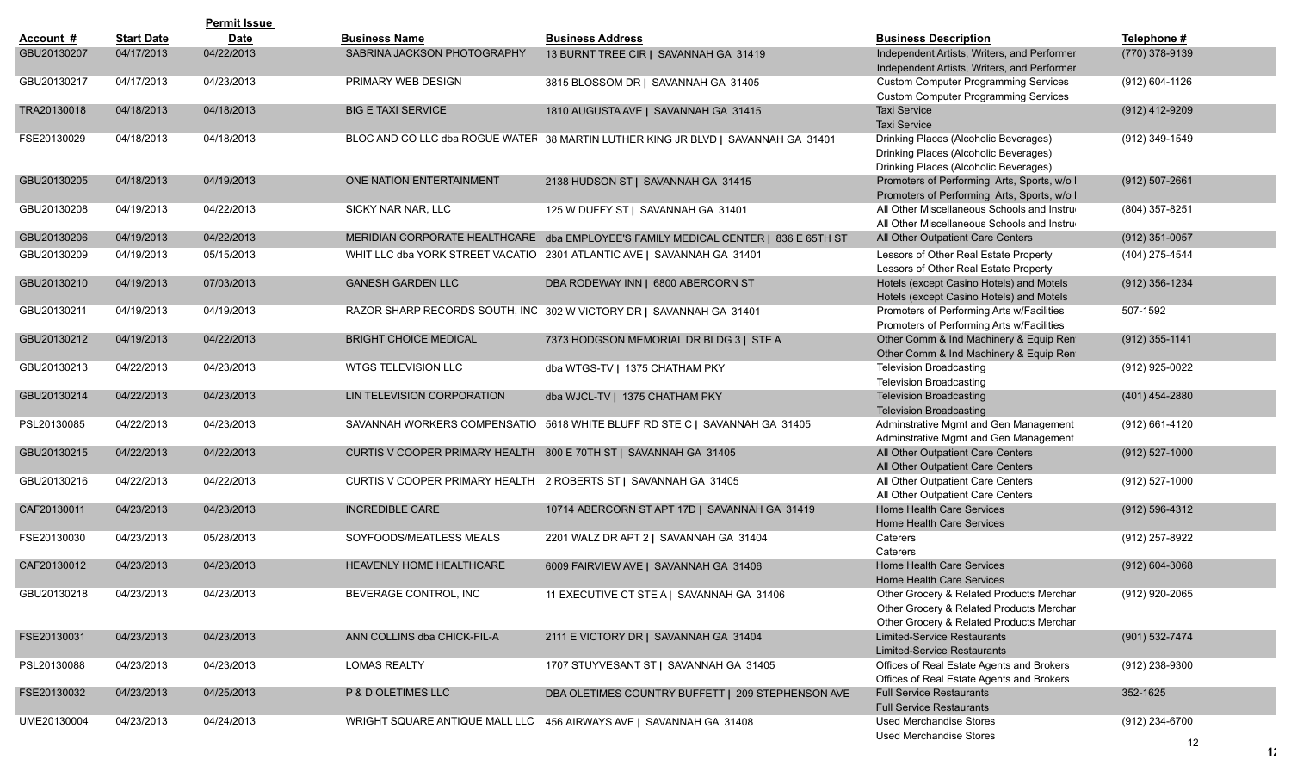|             |                   | <b>Permit Issue</b> |                              |                                                                                    |                                                                                                                                  |                      |
|-------------|-------------------|---------------------|------------------------------|------------------------------------------------------------------------------------|----------------------------------------------------------------------------------------------------------------------------------|----------------------|
| Account #   | <b>Start Date</b> | <b>Date</b>         | <b>Business Name</b>         | <b>Business Address</b>                                                            | <b>Business Description</b>                                                                                                      | Telephone #          |
| GBU20130207 | 04/17/2013        | 04/22/2013          | SABRINA JACKSON PHOTOGRAPHY  | 13 BURNT TREE CIR   SAVANNAH GA 31419                                              | Independent Artists, Writers, and Performer<br>Independent Artists, Writers, and Performer                                       | (770) 378-9139       |
| GBU20130217 | 04/17/2013        | 04/23/2013          | PRIMARY WEB DESIGN           | 3815 BLOSSOM DR   SAVANNAH GA 31405                                                | <b>Custom Computer Programming Services</b><br><b>Custom Computer Programming Services</b>                                       | (912) 604-1126       |
| TRA20130018 | 04/18/2013        | 04/18/2013          | <b>BIG E TAXI SERVICE</b>    | 1810 AUGUSTA AVE   SAVANNAH GA 31415                                               | <b>Taxi Service</b><br><b>Taxi Service</b>                                                                                       | (912) 412-9209       |
| FSE20130029 | 04/18/2013        | 04/18/2013          |                              | BLOC AND CO LLC dba ROGUE WATER 38 MARTIN LUTHER KING JR BLVD   SAVANNAH GA 31401  | Drinking Places (Alcoholic Beverages)<br>Drinking Places (Alcoholic Beverages)<br>Drinking Places (Alcoholic Beverages)          | (912) 349-1549       |
| GBU20130205 | 04/18/2013        | 04/19/2013          | ONE NATION ENTERTAINMENT     | 2138 HUDSON ST   SAVANNAH GA 31415                                                 | Promoters of Performing Arts, Sports, w/o I<br>Promoters of Performing Arts, Sports, w/o I                                       | $(912) 507 - 2661$   |
| GBU20130208 | 04/19/2013        | 04/22/2013          | SICKY NAR NAR, LLC           | 125 W DUFFY ST   SAVANNAH GA 31401                                                 | All Other Miscellaneous Schools and Instru-<br>All Other Miscellaneous Schools and Instru-                                       | (804) 357-8251       |
| GBU20130206 | 04/19/2013        | 04/22/2013          |                              | MERIDIAN CORPORATE HEALTHCARE dba EMPLOYEE'S FAMILY MEDICAL CENTER   836 E 65TH ST | All Other Outpatient Care Centers                                                                                                | $(912)$ 351-0057     |
| GBU20130209 | 04/19/2013        | 05/15/2013          |                              | WHIT LLC dba YORK STREET VACATIO 2301 ATLANTIC AVE   SAVANNAH GA 31401             | Lessors of Other Real Estate Property<br>Lessors of Other Real Estate Property                                                   | (404) 275-4544       |
| GBU20130210 | 04/19/2013        | 07/03/2013          | <b>GANESH GARDEN LLC</b>     | DBA RODEWAY INN   6800 ABERCORN ST                                                 | Hotels (except Casino Hotels) and Motels<br>Hotels (except Casino Hotels) and Motels                                             | (912) 356-1234       |
| GBU20130211 | 04/19/2013        | 04/19/2013          |                              | RAZOR SHARP RECORDS SOUTH, INC 302 W VICTORY DR   SAVANNAH GA 31401                | Promoters of Performing Arts w/Facilities<br>Promoters of Performing Arts w/Facilities                                           | 507-1592             |
| GBU20130212 | 04/19/2013        | 04/22/2013          | <b>BRIGHT CHOICE MEDICAL</b> | 7373 HODGSON MEMORIAL DR BLDG 3   STE A                                            | Other Comm & Ind Machinery & Equip Ren<br>Other Comm & Ind Machinery & Equip Ren                                                 | $(912)$ 355-1141     |
| GBU20130213 | 04/22/2013        | 04/23/2013          | WTGS TELEVISION LLC          | dba WTGS-TV   1375 CHATHAM PKY                                                     | <b>Television Broadcasting</b><br><b>Television Broadcasting</b>                                                                 | (912) 925-0022       |
| GBU20130214 | 04/22/2013        | 04/23/2013          | LIN TELEVISION CORPORATION   | dba WJCL-TV   1375 CHATHAM PKY                                                     | <b>Television Broadcasting</b><br><b>Television Broadcasting</b>                                                                 | $(401)$ 454-2880     |
| PSL20130085 | 04/22/2013        | 04/23/2013          |                              | SAVANNAH WORKERS COMPENSATIO 5618 WHITE BLUFF RD STE C   SAVANNAH GA 31405         | Adminstrative Mgmt and Gen Management<br>Adminstrative Mgmt and Gen Management                                                   | (912) 661-4120       |
| GBU20130215 | 04/22/2013        | 04/22/2013          |                              | CURTIS V COOPER PRIMARY HEALTH 800 E 70TH ST   SAVANNAH GA 31405                   | All Other Outpatient Care Centers<br>All Other Outpatient Care Centers                                                           | $(912) 527 - 1000$   |
| GBU20130216 | 04/22/2013        | 04/22/2013          |                              | CURTIS V COOPER PRIMARY HEALTH 2 ROBERTS ST   SAVANNAH GA 31405                    | All Other Outpatient Care Centers<br>All Other Outpatient Care Centers                                                           | (912) 527-1000       |
| CAF20130011 | 04/23/2013        | 04/23/2013          | <b>INCREDIBLE CARE</b>       | 10714 ABERCORN ST APT 17D   SAVANNAH GA 31419                                      | Home Health Care Services<br>Home Health Care Services                                                                           | $(912) 596 - 4312$   |
| FSE20130030 | 04/23/2013        | 05/28/2013          | SOYFOODS/MEATLESS MEALS      | 2201 WALZ DR APT 2   SAVANNAH GA 31404                                             | Caterers<br>Caterers                                                                                                             | (912) 257-8922       |
| CAF20130012 | 04/23/2013        | 04/23/2013          | HEAVENLY HOME HEALTHCARE     | 6009 FAIRVIEW AVE   SAVANNAH GA 31406                                              | <b>Home Health Care Services</b><br><b>Home Health Care Services</b>                                                             | $(912) 604 - 3068$   |
| GBU20130218 | 04/23/2013        | 04/23/2013          | BEVERAGE CONTROL, INC        | 11 EXECUTIVE CT STE A   SAVANNAH GA 31406                                          | Other Grocery & Related Products Merchar<br>Other Grocery & Related Products Merchar<br>Other Grocery & Related Products Merchar | (912) 920-2065       |
| FSE20130031 | 04/23/2013        | 04/23/2013          | ANN COLLINS dba CHICK-FIL-A  | 2111 E VICTORY DR   SAVANNAH GA 31404                                              | Limited-Service Restaurants<br><b>Limited-Service Restaurants</b>                                                                | (901) 532-7474       |
| PSL20130088 | 04/23/2013        | 04/23/2013          | <b>LOMAS REALTY</b>          | 1707 STUYVESANT ST   SAVANNAH GA 31405                                             | Offices of Real Estate Agents and Brokers<br>Offices of Real Estate Agents and Brokers                                           | (912) 238-9300       |
| FSE20130032 | 04/23/2013        | 04/25/2013          | P & D OLETIMES LLC           | DBA OLETIMES COUNTRY BUFFETT   209 STEPHENSON AVE                                  | <b>Full Service Restaurants</b><br><b>Full Service Restaurants</b>                                                               | 352-1625             |
| UME20130004 | 04/23/2013        | 04/24/2013          |                              | WRIGHT SQUARE ANTIQUE MALL LLC 456 AIRWAYS AVE   SAVANNAH GA 31408                 | <b>Used Merchandise Stores</b><br><b>Used Merchandise Stores</b>                                                                 | (912) 234-6700<br>12 |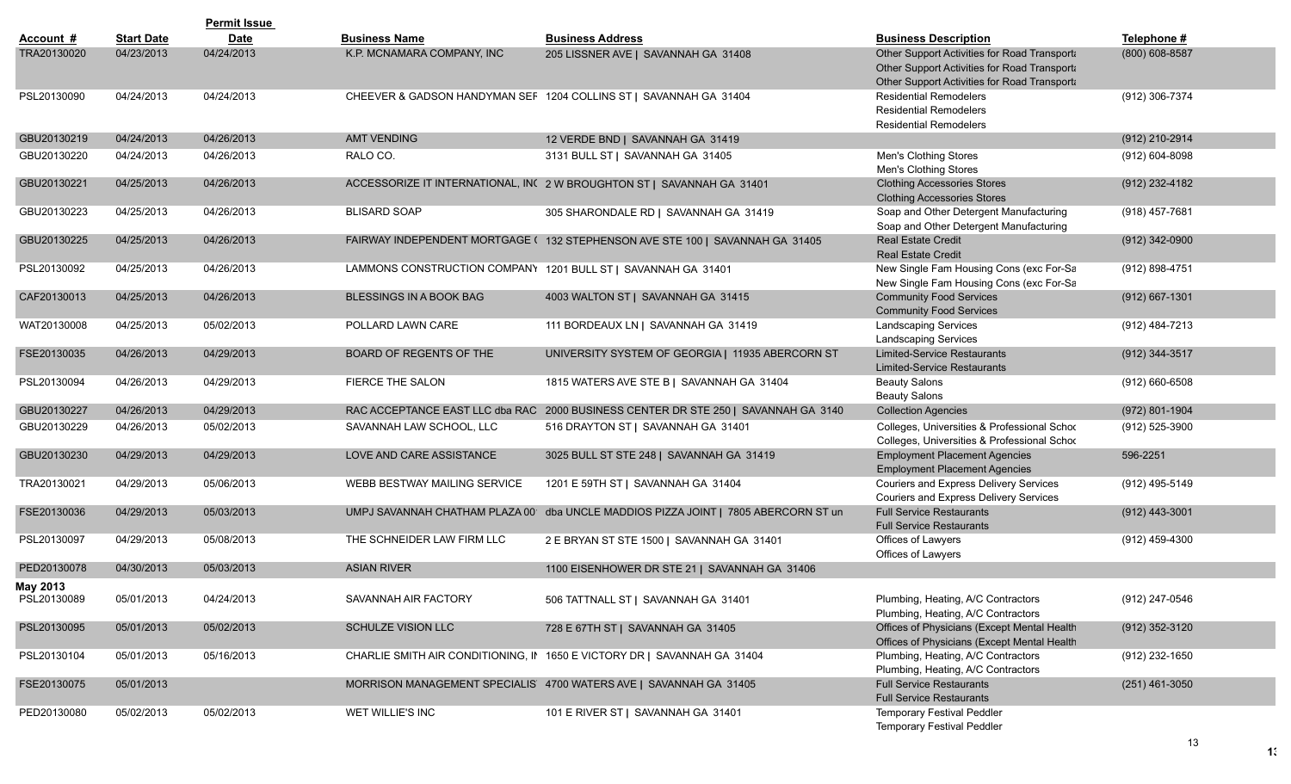|                         |                   | <b>Permit Issue</b> |                                                               |                                                                                    |                                                                                                                                            |                    |
|-------------------------|-------------------|---------------------|---------------------------------------------------------------|------------------------------------------------------------------------------------|--------------------------------------------------------------------------------------------------------------------------------------------|--------------------|
| Account #               | <b>Start Date</b> | <b>Date</b>         | <b>Business Name</b>                                          | <b>Business Address</b>                                                            | <b>Business Description</b>                                                                                                                | Telephone #        |
| TRA20130020             | 04/23/2013        | 04/24/2013          | K.P. MCNAMARA COMPANY. INC                                    | 205 LISSNER AVE   SAVANNAH GA 31408                                                | Other Support Activities for Road Transport<br>Other Support Activities for Road Transporta<br>Other Support Activities for Road Transport | (800) 608-8587     |
| PSL20130090             | 04/24/2013        | 04/24/2013          |                                                               | CHEEVER & GADSON HANDYMAN SEF 1204 COLLINS ST   SAVANNAH GA 31404                  | <b>Residential Remodelers</b><br><b>Residential Remodelers</b><br><b>Residential Remodelers</b>                                            | (912) 306-7374     |
| GBU20130219             | 04/24/2013        | 04/26/2013          | <b>AMT VENDING</b>                                            | 12 VERDE BND   SAVANNAH GA 31419                                                   |                                                                                                                                            | (912) 210-2914     |
| GBU20130220             | 04/24/2013        | 04/26/2013          | RALO CO.                                                      | 3131 BULL ST   SAVANNAH GA 31405                                                   | Men's Clothing Stores<br>Men's Clothing Stores                                                                                             | (912) 604-8098     |
| GBU20130221             | 04/25/2013        | 04/26/2013          |                                                               | ACCESSORIZE IT INTERNATIONAL, IN( 2 W BROUGHTON ST   SAVANNAH GA 31401             | <b>Clothing Accessories Stores</b><br><b>Clothing Accessories Stores</b>                                                                   | (912) 232-4182     |
| GBU20130223             | 04/25/2013        | 04/26/2013          | <b>BLISARD SOAP</b>                                           | 305 SHARONDALE RD   SAVANNAH GA 31419                                              | Soap and Other Detergent Manufacturing<br>Soap and Other Detergent Manufacturing                                                           | $(918)$ 457-7681   |
| GBU20130225             | 04/25/2013        | 04/26/2013          |                                                               | FAIRWAY INDEPENDENT MORTGAGE ( 132 STEPHENSON AVE STE 100   SAVANNAH GA 31405      | <b>Real Estate Credit</b><br><b>Real Estate Credit</b>                                                                                     | $(912)$ 342-0900   |
| PSL20130092             | 04/25/2013        | 04/26/2013          | LAMMONS CONSTRUCTION COMPANY 1201 BULL ST   SAVANNAH GA 31401 |                                                                                    | New Single Fam Housing Cons (exc For-Sa<br>New Single Fam Housing Cons (exc For-Sa                                                         | (912) 898-4751     |
| CAF20130013             | 04/25/2013        | 04/26/2013          | <b>BLESSINGS IN A BOOK BAG</b>                                | 4003 WALTON ST   SAVANNAH GA 31415                                                 | <b>Community Food Services</b><br><b>Community Food Services</b>                                                                           | $(912) 667 - 1301$ |
| WAT20130008             | 04/25/2013        | 05/02/2013          | POLLARD LAWN CARE                                             | 111 BORDEAUX LN   SAVANNAH GA 31419                                                | <b>Landscaping Services</b><br><b>Landscaping Services</b>                                                                                 | (912) 484-7213     |
| FSE20130035             | 04/26/2013        | 04/29/2013          | BOARD OF REGENTS OF THE                                       | UNIVERSITY SYSTEM OF GEORGIA   11935 ABERCORN ST                                   | <b>Limited-Service Restaurants</b><br><b>Limited-Service Restaurants</b>                                                                   | (912) 344-3517     |
| PSL20130094             | 04/26/2013        | 04/29/2013          | <b>FIERCE THE SALON</b>                                       | 1815 WATERS AVE STE B   SAVANNAH GA 31404                                          | <b>Beauty Salons</b><br><b>Beauty Salons</b>                                                                                               | $(912) 660 - 6508$ |
| GBU20130227             | 04/26/2013        | 04/29/2013          |                                                               | RAC ACCEPTANCE EAST LLC dba RAC 2000 BUSINESS CENTER DR STE 250   SAVANNAH GA 3140 | <b>Collection Agencies</b>                                                                                                                 | (972) 801-1904     |
| GBU20130229             | 04/26/2013        | 05/02/2013          | SAVANNAH LAW SCHOOL, LLC                                      | 516 DRAYTON ST   SAVANNAH GA 31401                                                 | Colleges, Universities & Professional Schod<br>Colleges, Universities & Professional Schod                                                 | (912) 525-3900     |
| GBU20130230             | 04/29/2013        | 04/29/2013          | LOVE AND CARE ASSISTANCE                                      | 3025 BULL ST STE 248   SAVANNAH GA 31419                                           | <b>Employment Placement Agencies</b><br><b>Employment Placement Agencies</b>                                                               | 596-2251           |
| TRA20130021             | 04/29/2013        | 05/06/2013          | WEBB BESTWAY MAILING SERVICE                                  | 1201 E 59TH ST   SAVANNAH GA 31404                                                 | Couriers and Express Delivery Services<br>Couriers and Express Delivery Services                                                           | (912) 495-5149     |
| FSE20130036             | 04/29/2013        | 05/03/2013          |                                                               | UMPJ SAVANNAH CHATHAM PLAZA 00 dba UNCLE MADDIOS PIZZA JOINT   7805 ABERCORN ST un | <b>Full Service Restaurants</b><br><b>Full Service Restaurants</b>                                                                         | $(912)$ 443-3001   |
| PSL20130097             | 04/29/2013        | 05/08/2013          | THE SCHNEIDER LAW FIRM LLC                                    | 2 E BRYAN ST STE 1500   SAVANNAH GA 31401                                          | Offices of Lawyers<br>Offices of Lawyers                                                                                                   | (912) 459-4300     |
| PED20130078             | 04/30/2013        | 05/03/2013          | <b>ASIAN RIVER</b>                                            | 1100 EISENHOWER DR STE 21   SAVANNAH GA 31406                                      |                                                                                                                                            |                    |
| May 2013<br>PSL20130089 | 05/01/2013        | 04/24/2013          | SAVANNAH AIR FACTORY                                          | 506 TATTNALL ST   SAVANNAH GA 31401                                                | Plumbing, Heating, A/C Contractors<br>Plumbing, Heating, A/C Contractors                                                                   | (912) 247-0546     |
| PSL20130095             | 05/01/2013        | 05/02/2013          | <b>SCHULZE VISION LLC</b>                                     | 728 E 67TH ST   SAVANNAH GA 31405                                                  | Offices of Physicians (Except Mental Health<br>Offices of Physicians (Except Mental Health                                                 | (912) 352-3120     |
| PSL20130104             | 05/01/2013        | 05/16/2013          |                                                               | CHARLIE SMITH AIR CONDITIONING, II 1650 E VICTORY DR   SAVANNAH GA 31404           | Plumbing, Heating, A/C Contractors<br>Plumbing, Heating, A/C Contractors                                                                   | (912) 232-1650     |
| FSE20130075             | 05/01/2013        |                     |                                                               | MORRISON MANAGEMENT SPECIALIS 4700 WATERS AVE   SAVANNAH GA 31405                  | <b>Full Service Restaurants</b><br><b>Full Service Restaurants</b>                                                                         | $(251)$ 461-3050   |
| PED20130080             | 05/02/2013        | 05/02/2013          | WET WILLIE'S INC                                              | 101 E RIVER ST   SAVANNAH GA 31401                                                 | Temporary Festival Peddler<br><b>Temporary Festival Peddler</b>                                                                            |                    |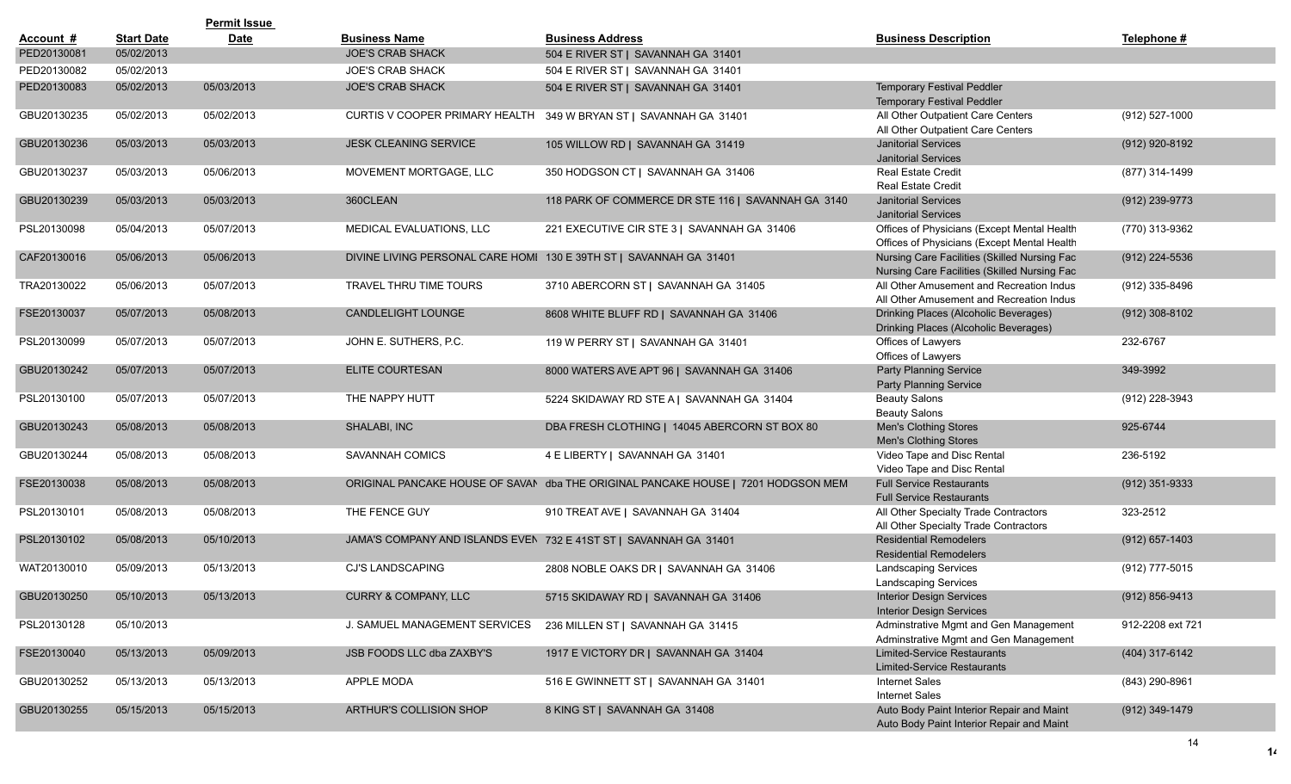|             |                   | <b>Permit Issue</b> |                                 |                                                                                   |                                                                                              |                    |
|-------------|-------------------|---------------------|---------------------------------|-----------------------------------------------------------------------------------|----------------------------------------------------------------------------------------------|--------------------|
| Account #   | <b>Start Date</b> | <b>Date</b>         | <b>Business Name</b>            | <b>Business Address</b>                                                           | <b>Business Description</b>                                                                  | Telephone #        |
| PED20130081 | 05/02/2013        |                     | <b>JOE'S CRAB SHACK</b>         | 504 E RIVER ST   SAVANNAH GA 31401                                                |                                                                                              |                    |
| PED20130082 | 05/02/2013        |                     | <b>JOE'S CRAB SHACK</b>         | 504 E RIVER ST   SAVANNAH GA 31401                                                |                                                                                              |                    |
| PED20130083 | 05/02/2013        | 05/03/2013          | <b>JOE'S CRAB SHACK</b>         | 504 E RIVER ST   SAVANNAH GA 31401                                                | <b>Temporary Festival Peddler</b><br><b>Temporary Festival Peddler</b>                       |                    |
| GBU20130235 | 05/02/2013        | 05/02/2013          | CURTIS V COOPER PRIMARY HEALTH  | 349 W BRYAN ST   SAVANNAH GA 31401                                                | All Other Outpatient Care Centers<br>All Other Outpatient Care Centers                       | (912) 527-1000     |
| GBU20130236 | 05/03/2013        | 05/03/2013          | <b>JESK CLEANING SERVICE</b>    | 105 WILLOW RD   SAVANNAH GA 31419                                                 | <b>Janitorial Services</b><br><b>Janitorial Services</b>                                     | (912) 920-8192     |
| GBU20130237 | 05/03/2013        | 05/06/2013          | MOVEMENT MORTGAGE, LLC          | 350 HODGSON CT   SAVANNAH GA 31406                                                | <b>Real Estate Credit</b><br><b>Real Estate Credit</b>                                       | (877) 314-1499     |
| GBU20130239 | 05/03/2013        | 05/03/2013          | 360CLEAN                        | 118 PARK OF COMMERCE DR STE 116   SAVANNAH GA 3140                                | <b>Janitorial Services</b><br><b>Janitorial Services</b>                                     | (912) 239-9773     |
| PSL20130098 | 05/04/2013        | 05/07/2013          | MEDICAL EVALUATIONS, LLC        | 221 EXECUTIVE CIR STE 3   SAVANNAH GA 31406                                       | Offices of Physicians (Except Mental Health<br>Offices of Physicians (Except Mental Health   | (770) 313-9362     |
| CAF20130016 | 05/06/2013        | 05/06/2013          |                                 | DIVINE LIVING PERSONAL CARE HOMI 130 E 39TH ST   SAVANNAH GA 31401                | Nursing Care Facilities (Skilled Nursing Fac<br>Nursing Care Facilities (Skilled Nursing Fac | $(912)$ 224-5536   |
| TRA20130022 | 05/06/2013        | 05/07/2013          | TRAVEL THRU TIME TOURS          | 3710 ABERCORN ST   SAVANNAH GA 31405                                              | All Other Amusement and Recreation Indus<br>All Other Amusement and Recreation Indus         | (912) 335-8496     |
| FSE20130037 | 05/07/2013        | 05/08/2013          | <b>CANDLELIGHT LOUNGE</b>       | 8608 WHITE BLUFF RD   SAVANNAH GA 31406                                           | Drinking Places (Alcoholic Beverages)<br>Drinking Places (Alcoholic Beverages)               | $(912)$ 308-8102   |
| PSL20130099 | 05/07/2013        | 05/07/2013          | JOHN E. SUTHERS, P.C.           | 119 W PERRY ST   SAVANNAH GA 31401                                                | Offices of Lawyers<br>Offices of Lawyers                                                     | 232-6767           |
| GBU20130242 | 05/07/2013        | 05/07/2013          | <b>ELITE COURTESAN</b>          | 8000 WATERS AVE APT 96   SAVANNAH GA 31406                                        | <b>Party Planning Service</b><br><b>Party Planning Service</b>                               | 349-3992           |
| PSL20130100 | 05/07/2013        | 05/07/2013          | THE NAPPY HUTT                  | 5224 SKIDAWAY RD STE A   SAVANNAH GA 31404                                        | <b>Beauty Salons</b><br><b>Beauty Salons</b>                                                 | (912) 228-3943     |
| GBU20130243 | 05/08/2013        | 05/08/2013          | SHALABI, INC                    | DBA FRESH CLOTHING   14045 ABERCORN ST BOX 80                                     | <b>Men's Clothing Stores</b><br>Men's Clothing Stores                                        | 925-6744           |
| GBU20130244 | 05/08/2013        | 05/08/2013          | SAVANNAH COMICS                 | 4 E LIBERTY   SAVANNAH GA 31401                                                   | Video Tape and Disc Rental<br>Video Tape and Disc Rental                                     | 236-5192           |
| FSE20130038 | 05/08/2013        | 05/08/2013          |                                 | ORIGINAL PANCAKE HOUSE OF SAVAN dba THE ORIGINAL PANCAKE HOUSE   7201 HODGSON MEM | <b>Full Service Restaurants</b><br><b>Full Service Restaurants</b>                           | (912) 351-9333     |
| PSL20130101 | 05/08/2013        | 05/08/2013          | THE FENCE GUY                   | 910 TREAT AVE   SAVANNAH GA 31404                                                 | All Other Specialty Trade Contractors<br>All Other Specialty Trade Contractors               | 323-2512           |
| PSL20130102 | 05/08/2013        | 05/10/2013          |                                 | JAMA'S COMPANY AND ISLANDS EVEN 732 E 41ST ST   SAVANNAH GA 31401                 | <b>Residential Remodelers</b><br><b>Residential Remodelers</b>                               | $(912)$ 657-1403   |
| WAT20130010 | 05/09/2013        | 05/13/2013          | CJ'S LANDSCAPING                | 2808 NOBLE OAKS DR   SAVANNAH GA 31406                                            | <b>Landscaping Services</b><br><b>Landscaping Services</b>                                   | (912) 777-5015     |
| GBU20130250 | 05/10/2013        | 05/13/2013          | <b>CURRY &amp; COMPANY, LLC</b> | 5715 SKIDAWAY RD   SAVANNAH GA 31406                                              | Interior Design Services<br><b>Interior Design Services</b>                                  | $(912) 856 - 9413$ |
| PSL20130128 | 05/10/2013        |                     | J. SAMUEL MANAGEMENT SERVICES   | 236 MILLEN ST   SAVANNAH GA 31415                                                 | Adminstrative Mgmt and Gen Management<br>Adminstrative Mgmt and Gen Management               | 912-2208 ext 721   |
| FSE20130040 | 05/13/2013        | 05/09/2013          | JSB FOODS LLC dba ZAXBY'S       | 1917 E VICTORY DR   SAVANNAH GA 31404                                             | <b>Limited-Service Restaurants</b><br>Limited-Service Restaurants                            | (404) 317-6142     |
| GBU20130252 | 05/13/2013        | 05/13/2013          | APPLE MODA                      | 516 E GWINNETT ST   SAVANNAH GA 31401                                             | Internet Sales<br>Internet Sales                                                             | (843) 290-8961     |
| GBU20130255 | 05/15/2013        | 05/15/2013          | ARTHUR'S COLLISION SHOP         | 8 KING ST   SAVANNAH GA 31408                                                     | Auto Body Paint Interior Repair and Maint<br>Auto Body Paint Interior Repair and Maint       | (912) 349-1479     |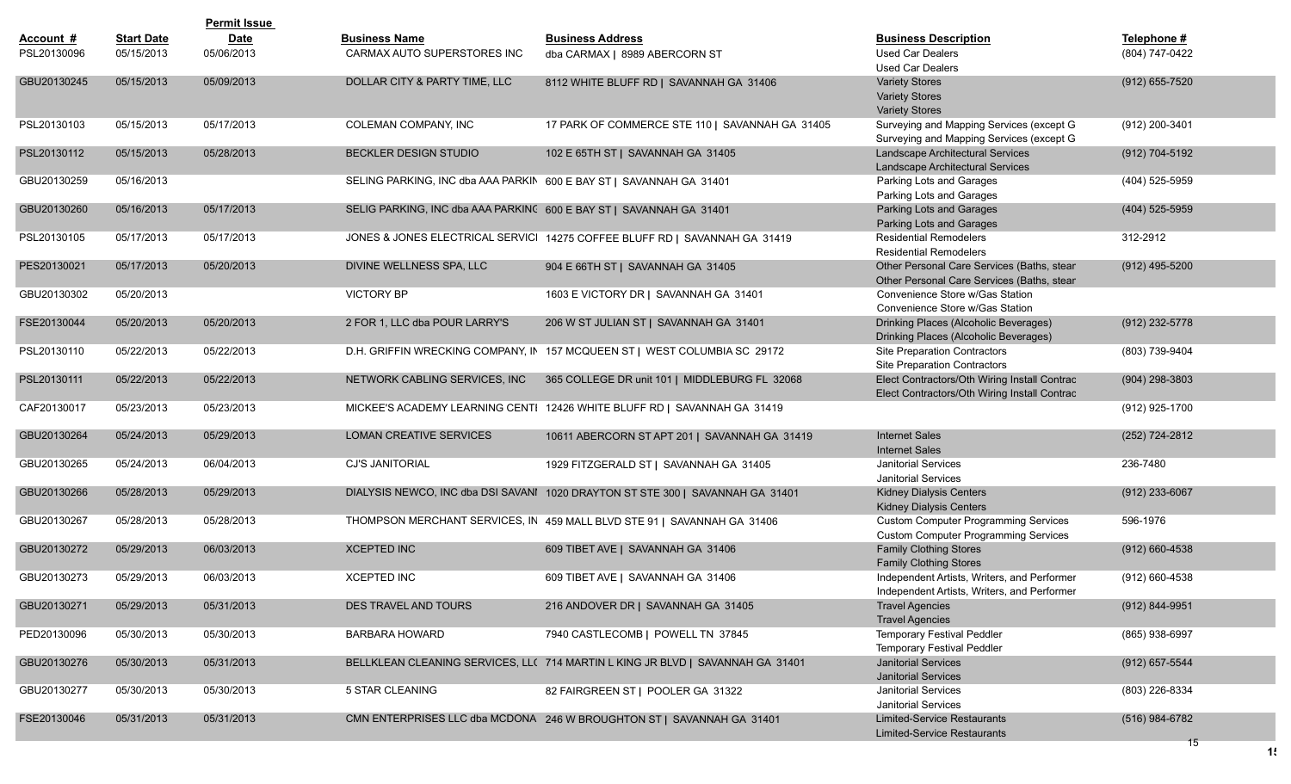|             |                   | <b>Permit Issue</b> |                                                                     |                                                                                |                                                                                              |                      |
|-------------|-------------------|---------------------|---------------------------------------------------------------------|--------------------------------------------------------------------------------|----------------------------------------------------------------------------------------------|----------------------|
| Account #   | <b>Start Date</b> | <b>Date</b>         | <b>Business Name</b>                                                | <b>Business Address</b>                                                        | <b>Business Description</b>                                                                  | Telephone #          |
| PSL20130096 | 05/15/2013        | 05/06/2013          | CARMAX AUTO SUPERSTORES INC                                         | dba CARMAX   8989 ABERCORN ST                                                  | Used Car Dealers<br><b>Used Car Dealers</b>                                                  | (804) 747-0422       |
| GBU20130245 | 05/15/2013        | 05/09/2013          | DOLLAR CITY & PARTY TIME, LLC                                       | 8112 WHITE BLUFF RD   SAVANNAH GA 31406                                        | <b>Variety Stores</b><br><b>Variety Stores</b><br><b>Variety Stores</b>                      | $(912)$ 655-7520     |
| PSL20130103 | 05/15/2013        | 05/17/2013          | COLEMAN COMPANY, INC                                                | 17 PARK OF COMMERCE STE 110   SAVANNAH GA 31405                                | Surveying and Mapping Services (except G<br>Surveying and Mapping Services (except G         | (912) 200-3401       |
| PSL20130112 | 05/15/2013        | 05/28/2013          | <b>BECKLER DESIGN STUDIO</b>                                        | 102 E 65TH ST   SAVANNAH GA 31405                                              | Landscape Architectural Services<br>Landscape Architectural Services                         | (912) 704-5192       |
| GBU20130259 | 05/16/2013        |                     | SELING PARKING, INC dba AAA PARKIN 600 E BAY ST   SAVANNAH GA 31401 |                                                                                | Parking Lots and Garages<br>Parking Lots and Garages                                         | (404) 525-5959       |
| GBU20130260 | 05/16/2013        | 05/17/2013          | SELIG PARKING, INC dba AAA PARKINC 600 E BAY ST   SAVANNAH GA 31401 |                                                                                | Parking Lots and Garages<br>Parking Lots and Garages                                         | $(404)$ 525-5959     |
| PSL20130105 | 05/17/2013        | 05/17/2013          |                                                                     | JONES & JONES ELECTRICAL SERVICI 14275 COFFEE BLUFF RD   SAVANNAH GA 31419     | <b>Residential Remodelers</b><br><b>Residential Remodelers</b>                               | 312-2912             |
| PES20130021 | 05/17/2013        | 05/20/2013          | DIVINE WELLNESS SPA, LLC                                            | 904 E 66TH ST   SAVANNAH GA 31405                                              | Other Personal Care Services (Baths, stear<br>Other Personal Care Services (Baths, stear     | $(912)$ 495-5200     |
| GBU20130302 | 05/20/2013        |                     | <b>VICTORY BP</b>                                                   | 1603 E VICTORY DR   SAVANNAH GA 31401                                          | Convenience Store w/Gas Station<br>Convenience Store w/Gas Station                           |                      |
| FSE20130044 | 05/20/2013        | 05/20/2013          | 2 FOR 1, LLC dba POUR LARRY'S                                       | 206 W ST JULIAN ST   SAVANNAH GA 31401                                         | Drinking Places (Alcoholic Beverages)<br>Drinking Places (Alcoholic Beverages)               | (912) 232-5778       |
| PSL20130110 | 05/22/2013        | 05/22/2013          |                                                                     | D.H. GRIFFIN WRECKING COMPANY, IN 157 MCQUEEN ST   WEST COLUMBIA SC 29172      | Site Preparation Contractors<br><b>Site Preparation Contractors</b>                          | (803) 739-9404       |
| PSL20130111 | 05/22/2013        | 05/22/2013          | NETWORK CABLING SERVICES, INC                                       | 365 COLLEGE DR unit 101   MIDDLEBURG FL 32068                                  | Elect Contractors/Oth Wiring Install Contrac<br>Elect Contractors/Oth Wiring Install Contrac | $(904)$ 298-3803     |
| CAF20130017 | 05/23/2013        | 05/23/2013          |                                                                     | MICKEE'S ACADEMY LEARNING CENTI 12426 WHITE BLUFF RD   SAVANNAH GA 31419       |                                                                                              | (912) 925-1700       |
| GBU20130264 | 05/24/2013        | 05/29/2013          | LOMAN CREATIVE SERVICES                                             | 10611 ABERCORN ST APT 201   SAVANNAH GA 31419                                  | <b>Internet Sales</b><br><b>Internet Sales</b>                                               | (252) 724-2812       |
| GBU20130265 | 05/24/2013        | 06/04/2013          | <b>CJ'S JANITORIAL</b>                                              | 1929 FITZGERALD ST   SAVANNAH GA 31405                                         | <b>Janitorial Services</b><br><b>Janitorial Services</b>                                     | 236-7480             |
| GBU20130266 | 05/28/2013        | 05/29/2013          |                                                                     | DIALYSIS NEWCO, INC dba DSI SAVANI 1020 DRAYTON ST STE 300   SAVANNAH GA 31401 | Kidney Dialysis Centers<br><b>Kidney Dialysis Centers</b>                                    | (912) 233-6067       |
| GBU20130267 | 05/28/2013        | 05/28/2013          |                                                                     | THOMPSON MERCHANT SERVICES, IN 459 MALL BLVD STE 91   SAVANNAH GA 31406        | <b>Custom Computer Programming Services</b><br><b>Custom Computer Programming Services</b>   | 596-1976             |
| GBU20130272 | 05/29/2013        | 06/03/2013          | <b>XCEPTED INC</b>                                                  | 609 TIBET AVE   SAVANNAH GA 31406                                              | <b>Family Clothing Stores</b><br><b>Family Clothing Stores</b>                               | $(912)$ 660-4538     |
| GBU20130273 | 05/29/2013        | 06/03/2013          | <b>XCEPTED INC</b>                                                  | 609 TIBET AVE   SAVANNAH GA 31406                                              | Independent Artists, Writers, and Performer<br>Independent Artists, Writers, and Performer   | (912) 660-4538       |
| GBU20130271 | 05/29/2013        | 05/31/2013          | DES TRAVEL AND TOURS                                                | 216 ANDOVER DR   SAVANNAH GA 31405                                             | <b>Travel Agencies</b><br><b>Travel Agencies</b>                                             | (912) 844-9951       |
| PED20130096 | 05/30/2013        | 05/30/2013          | <b>BARBARA HOWARD</b>                                               | 7940 CASTLECOMB   POWELL TN 37845                                              | <b>Temporary Festival Peddler</b><br><b>Temporary Festival Peddler</b>                       | (865) 938-6997       |
| GBU20130276 | 05/30/2013        | 05/31/2013          |                                                                     | BELLKLEAN CLEANING SERVICES, LL(714 MARTIN L KING JR BLVD   SAVANNAH GA 31401  | <b>Janitorial Services</b><br><b>Janitorial Services</b>                                     | $(912)$ 657-5544     |
| GBU20130277 | 05/30/2013        | 05/30/2013          | 5 STAR CLEANING                                                     | 82 FAIRGREEN ST   POOLER GA 31322                                              | <b>Janitorial Services</b><br><b>Janitorial Services</b>                                     | (803) 226-8334       |
| FSE20130046 | 05/31/2013        | 05/31/2013          |                                                                     | CMN ENTERPRISES LLC dba MCDONA 246 W BROUGHTON ST   SAVANNAH GA 31401          | <b>Limited-Service Restaurants</b><br>Limited-Service Restaurants                            | (516) 984-6782<br>15 |
|             |                   |                     |                                                                     |                                                                                |                                                                                              |                      |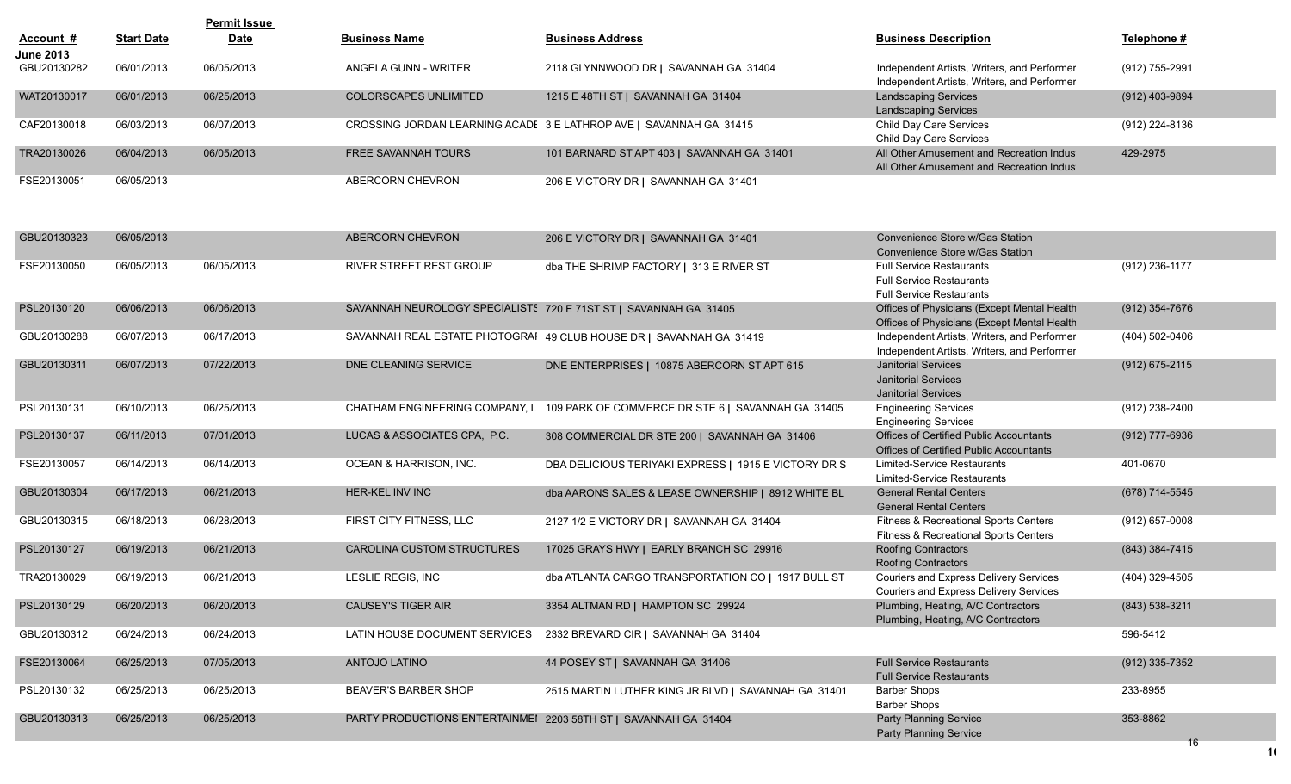|                  |                   | <b>Permit Issue</b> |                              |                                                                    |                                                                                            |                |
|------------------|-------------------|---------------------|------------------------------|--------------------------------------------------------------------|--------------------------------------------------------------------------------------------|----------------|
| Account #        | <u>Start Date</u> | <b>Date</b>         | <b>Business Name</b>         | <b>Business Address</b>                                            | <b>Business Description</b>                                                                | Telephone #    |
| <b>June 2013</b> |                   |                     |                              |                                                                    |                                                                                            |                |
| GBU20130282      | 06/01/2013        | 06/05/2013          | ANGELA GUNN - WRITER         | 2118 GLYNNWOOD DR   SAVANNAH GA 31404                              | Independent Artists, Writers, and Performer<br>Independent Artists, Writers, and Performer | (912) 755-2991 |
| WAT20130017      | 06/01/2013        | 06/25/2013          | <b>COLORSCAPES UNLIMITED</b> | 1215 E 48TH ST   SAVANNAH GA 31404                                 | <b>Landscaping Services</b>                                                                | (912) 403-9894 |
|                  |                   |                     |                              |                                                                    | <b>Landscaping Services</b>                                                                |                |
| CAF20130018      | 06/03/2013        | 06/07/2013          |                              | CROSSING JORDAN LEARNING ACADE 3 E LATHROP AVE   SAVANNAH GA 31415 | Child Day Care Services                                                                    | (912) 224-8136 |
|                  |                   |                     |                              |                                                                    | Child Day Care Services                                                                    |                |
| TRA20130026      | 06/04/2013        | 06/05/2013          | <b>FREE SAVANNAH TOURS</b>   | 101 BARNARD ST APT 403   SAVANNAH GA 31401                         | All Other Amusement and Recreation Indus                                                   | 429-2975       |
|                  |                   |                     |                              |                                                                    | All Other Amusement and Recreation Indus                                                   |                |
| FSE20130051      | 06/05/2013        |                     | ABERCORN CHEVRON             | 206 E VICTORY DR   SAVANNAH GA 31401                               |                                                                                            |                |

| GBU20130323 | 06/05/2013 |            | ABERCORN CHEVRON                  | 206 E VICTORY DR   SAVANNAH GA 31401                                | Convenience Store w/Gas Station<br>Convenience Store w/Gas Station                                    |                  |
|-------------|------------|------------|-----------------------------------|---------------------------------------------------------------------|-------------------------------------------------------------------------------------------------------|------------------|
| FSE20130050 | 06/05/2013 | 06/05/2013 | RIVER STREET REST GROUP           | dba THE SHRIMP FACTORY   313 E RIVER ST                             | <b>Full Service Restaurants</b><br><b>Full Service Restaurants</b><br><b>Full Service Restaurants</b> | (912) 236-1177   |
| PSL20130120 | 06/06/2013 | 06/06/2013 |                                   | SAVANNAH NEUROLOGY SPECIALISTS 720 E 71ST ST   SAVANNAH GA 31405    | Offices of Physicians (Except Mental Health<br>Offices of Physicians (Except Mental Health            | (912) 354-7676   |
| GBU20130288 | 06/07/2013 | 06/17/2013 |                                   | SAVANNAH REAL ESTATE PHOTOGRAI 49 CLUB HOUSE DR   SAVANNAH GA 31419 | Independent Artists, Writers, and Performer<br>Independent Artists, Writers, and Performer            | (404) 502-0406   |
| GBU20130311 | 06/07/2013 | 07/22/2013 | DNE CLEANING SERVICE              | DNE ENTERPRISES   10875 ABERCORN ST APT 615                         | <b>Janitorial Services</b><br><b>Janitorial Services</b><br><b>Janitorial Services</b>                | (912) 675-2115   |
| PSL20130131 | 06/10/2013 | 06/25/2013 | CHATHAM ENGINEERING COMPANY, L    | 109 PARK OF COMMERCE DR STE 6   SAVANNAH GA 31405                   | <b>Engineering Services</b><br><b>Engineering Services</b>                                            | (912) 238-2400   |
| PSL20130137 | 06/11/2013 | 07/01/2013 | LUCAS & ASSOCIATES CPA, P.C.      | 308 COMMERCIAL DR STE 200   SAVANNAH GA 31406                       | Offices of Certified Public Accountants<br><b>Offices of Certified Public Accountants</b>             | (912) 777-6936   |
| FSE20130057 | 06/14/2013 | 06/14/2013 | OCEAN & HARRISON, INC.            | DBA DELICIOUS TERIYAKI EXPRESS   1915 E VICTORY DR S                | <b>Limited-Service Restaurants</b><br><b>Limited-Service Restaurants</b>                              | 401-0670         |
| GBU20130304 | 06/17/2013 | 06/21/2013 | <b>HER-KEL INV INC</b>            | dba AARONS SALES & LEASE OWNERSHIP   8912 WHITE BL                  | <b>General Rental Centers</b><br><b>General Rental Centers</b>                                        | (678) 714-5545   |
| GBU20130315 | 06/18/2013 | 06/28/2013 | FIRST CITY FITNESS, LLC           | 2127 1/2 E VICTORY DR   SAVANNAH GA 31404                           | <b>Fitness &amp; Recreational Sports Centers</b><br><b>Fitness &amp; Recreational Sports Centers</b>  | $(912)$ 657-0008 |
| PSL20130127 | 06/19/2013 | 06/21/2013 | <b>CAROLINA CUSTOM STRUCTURES</b> | 17025 GRAYS HWY   EARLY BRANCH SC 29916                             | <b>Roofing Contractors</b><br>Roofing Contractors                                                     | (843) 384-7415   |
| TRA20130029 | 06/19/2013 | 06/21/2013 | LESLIE REGIS, INC                 | dba ATLANTA CARGO TRANSPORTATION CO   1917 BULL ST                  | Couriers and Express Delivery Services<br>Couriers and Express Delivery Services                      | (404) 329-4505   |
| PSL20130129 | 06/20/2013 | 06/20/2013 | <b>CAUSEY'S TIGER AIR</b>         | 3354 ALTMAN RD   HAMPTON SC 29924                                   | Plumbing, Heating, A/C Contractors<br>Plumbing, Heating, A/C Contractors                              | $(843)$ 538-3211 |
| GBU20130312 | 06/24/2013 | 06/24/2013 | LATIN HOUSE DOCUMENT SERVICES     | 2332 BREVARD CIR   SAVANNAH GA 31404                                |                                                                                                       | 596-5412         |
| FSE20130064 | 06/25/2013 | 07/05/2013 | <b>ANTOJO LATINO</b>              | 44 POSEY ST   SAVANNAH GA 31406                                     | <b>Full Service Restaurants</b><br><b>Full Service Restaurants</b>                                    | (912) 335-7352   |
| PSL20130132 | 06/25/2013 | 06/25/2013 | <b>BEAVER'S BARBER SHOP</b>       | 2515 MARTIN LUTHER KING JR BLVD   SAVANNAH GA 31401                 | <b>Barber Shops</b><br><b>Barber Shops</b>                                                            | 233-8955         |
| GBU20130313 | 06/25/2013 | 06/25/2013 |                                   | PARTY PRODUCTIONS ENTERTAINMEI 2203 58TH ST   SAVANNAH GA 31404     | <b>Party Planning Service</b><br><b>Party Planning Service</b>                                        | 353-8862<br>16   |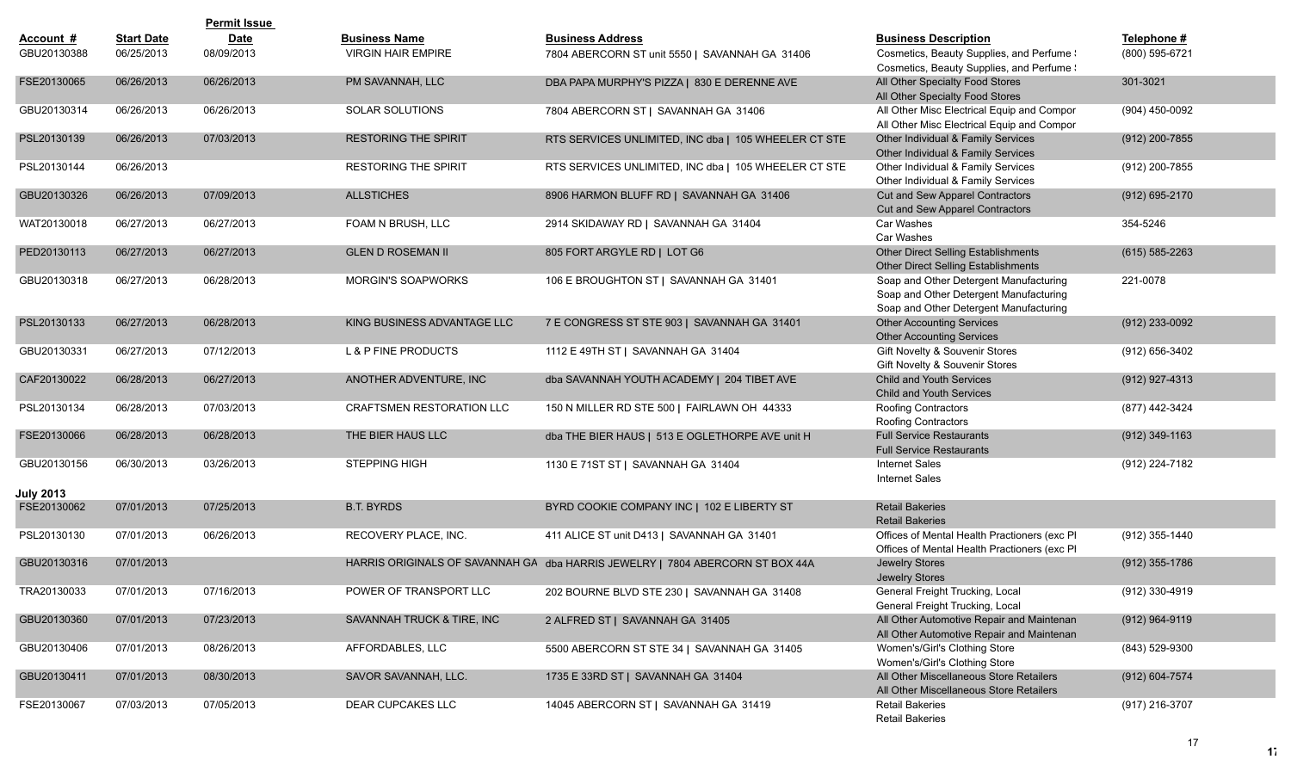|                                 |                   | <b>Permit Issue</b> |                                  |                                                                               |                                                                                                                            |                    |
|---------------------------------|-------------------|---------------------|----------------------------------|-------------------------------------------------------------------------------|----------------------------------------------------------------------------------------------------------------------------|--------------------|
| Account #                       | <b>Start Date</b> | <b>Date</b>         | <b>Business Name</b>             | <b>Business Address</b>                                                       | <b>Business Description</b>                                                                                                | Telephone #        |
| GBU20130388                     | 06/25/2013        | 08/09/2013          | <b>VIRGIN HAIR EMPIRE</b>        | 7804 ABERCORN ST unit 5550   SAVANNAH GA 31406                                | Cosmetics, Beauty Supplies, and Perfume !<br>Cosmetics, Beauty Supplies, and Perfume !                                     | (800) 595-6721     |
| FSE20130065                     | 06/26/2013        | 06/26/2013          | PM SAVANNAH, LLC                 | DBA PAPA MURPHY'S PIZZA   830 E DERENNE AVE                                   | All Other Specialty Food Stores<br>All Other Specialty Food Stores                                                         | 301-3021           |
| GBU20130314                     | 06/26/2013        | 06/26/2013          | SOLAR SOLUTIONS                  | 7804 ABERCORN ST   SAVANNAH GA 31406                                          | All Other Misc Electrical Equip and Compor<br>All Other Misc Electrical Equip and Compor                                   | (904) 450-0092     |
| PSL20130139                     | 06/26/2013        | 07/03/2013          | <b>RESTORING THE SPIRIT</b>      | RTS SERVICES UNLIMITED, INC dba   105 WHEELER CT STE                          | Other Individual & Family Services<br>Other Individual & Family Services                                                   | (912) 200-7855     |
| PSL20130144                     | 06/26/2013        |                     | <b>RESTORING THE SPIRIT</b>      | RTS SERVICES UNLIMITED, INC dba   105 WHEELER CT STE                          | Other Individual & Family Services<br>Other Individual & Family Services                                                   | (912) 200-7855     |
| GBU20130326                     | 06/26/2013        | 07/09/2013          | <b>ALLSTICHES</b>                | 8906 HARMON BLUFF RD   SAVANNAH GA 31406                                      | Cut and Sew Apparel Contractors<br>Cut and Sew Apparel Contractors                                                         | (912) 695-2170     |
| WAT20130018                     | 06/27/2013        | 06/27/2013          | FOAM N BRUSH, LLC                | 2914 SKIDAWAY RD   SAVANNAH GA 31404                                          | Car Washes<br>Car Washes                                                                                                   | 354-5246           |
| PED20130113                     | 06/27/2013        | 06/27/2013          | <b>GLEN D ROSEMAN II</b>         | 805 FORT ARGYLE RD   LOT G6                                                   | Other Direct Selling Establishments<br>Other Direct Selling Establishments                                                 | $(615) 585 - 2263$ |
| GBU20130318                     | 06/27/2013        | 06/28/2013          | <b>MORGIN'S SOAPWORKS</b>        | 106 E BROUGHTON ST   SAVANNAH GA 31401                                        | Soap and Other Detergent Manufacturing<br>Soap and Other Detergent Manufacturing<br>Soap and Other Detergent Manufacturing | 221-0078           |
| PSL20130133                     | 06/27/2013        | 06/28/2013          | KING BUSINESS ADVANTAGE LLC      | 7 E CONGRESS ST STE 903   SAVANNAH GA 31401                                   | <b>Other Accounting Services</b><br><b>Other Accounting Services</b>                                                       | (912) 233-0092     |
| GBU20130331                     | 06/27/2013        | 07/12/2013          | <b>L &amp; P FINE PRODUCTS</b>   | 1112 E 49TH ST   SAVANNAH GA 31404                                            | Gift Novelty & Souvenir Stores<br>Gift Novelty & Souvenir Stores                                                           | (912) 656-3402     |
| CAF20130022                     | 06/28/2013        | 06/27/2013          | ANOTHER ADVENTURE, INC           | dba SAVANNAH YOUTH ACADEMY   204 TIBET AVE                                    | <b>Child and Youth Services</b><br>Child and Youth Services                                                                | (912) 927-4313     |
| PSL20130134                     | 06/28/2013        | 07/03/2013          | <b>CRAFTSMEN RESTORATION LLC</b> | 150 N MILLER RD STE 500   FAIRLAWN OH 44333                                   | Roofing Contractors<br>Roofing Contractors                                                                                 | (877) 442-3424     |
| FSE20130066                     | 06/28/2013        | 06/28/2013          | THE BIER HAUS LLC                | dba THE BIER HAUS   513 E OGLETHORPE AVE unit H                               | <b>Full Service Restaurants</b><br><b>Full Service Restaurants</b>                                                         | $(912)$ 349-1163   |
| GBU20130156                     | 06/30/2013        | 03/26/2013          | <b>STEPPING HIGH</b>             | 1130 E 71ST ST   SAVANNAH GA 31404                                            | <b>Internet Sales</b><br><b>Internet Sales</b>                                                                             | (912) 224-7182     |
| <b>July 2013</b><br>FSE20130062 | 07/01/2013        | 07/25/2013          | <b>B.T. BYRDS</b>                | BYRD COOKIE COMPANY INC   102 E LIBERTY ST                                    | <b>Retail Bakeries</b>                                                                                                     |                    |
|                                 |                   |                     |                                  |                                                                               | <b>Retail Bakeries</b>                                                                                                     |                    |
| PSL20130130                     | 07/01/2013        | 06/26/2013          | RECOVERY PLACE, INC.             | 411 ALICE ST unit D413   SAVANNAH GA 31401                                    | Offices of Mental Health Practioners (exc PI<br>Offices of Mental Health Practioners (exc PI                               | (912) 355-1440     |
| GBU20130316                     | 07/01/2013        |                     |                                  | HARRIS ORIGINALS OF SAVANNAH GA dba HARRIS JEWELRY   7804 ABERCORN ST BOX 44A | Jewelry Stores<br>Jewelry Stores                                                                                           | $(912)$ 355-1786   |
| TRA20130033                     | 07/01/2013        | 07/16/2013          | POWER OF TRANSPORT LLC           | 202 BOURNE BLVD STE 230   SAVANNAH GA 31408                                   | General Freight Trucking, Local<br>General Freight Trucking, Local                                                         | (912) 330-4919     |
| GBU20130360                     | 07/01/2013        | 07/23/2013          | SAVANNAH TRUCK & TIRE, INC       | 2 ALFRED ST   SAVANNAH GA 31405                                               | All Other Automotive Repair and Maintenan<br>All Other Automotive Repair and Maintenan                                     | $(912)$ 964-9119   |
| GBU20130406                     | 07/01/2013        | 08/26/2013          | AFFORDABLES, LLC                 | 5500 ABERCORN ST STE 34   SAVANNAH GA 31405                                   | Women's/Girl's Clothing Store<br>Women's/Girl's Clothing Store                                                             | (843) 529-9300     |
| GBU20130411                     | 07/01/2013        | 08/30/2013          | SAVOR SAVANNAH, LLC.             | 1735 E 33RD ST   SAVANNAH GA 31404                                            | All Other Miscellaneous Store Retailers<br>All Other Miscellaneous Store Retailers                                         | (912) 604-7574     |
| FSE20130067                     | 07/03/2013        | 07/05/2013          | DEAR CUPCAKES LLC                | 14045 ABERCORN ST   SAVANNAH GA 31419                                         | <b>Retail Bakeries</b><br><b>Retail Bakeries</b>                                                                           | (917) 216-3707     |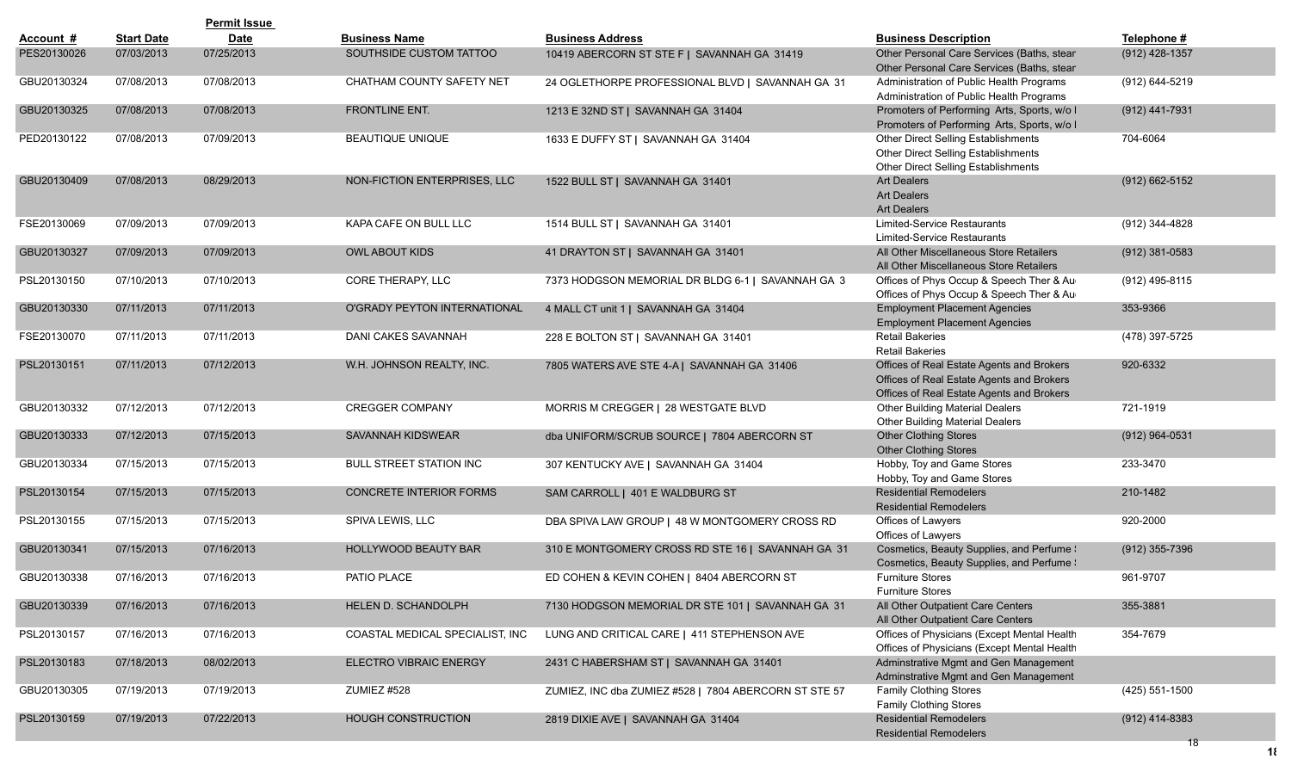|             |                   | <b>Permit Issue</b> |                                     |                                                       |                                                                                                                                     |                    |
|-------------|-------------------|---------------------|-------------------------------------|-------------------------------------------------------|-------------------------------------------------------------------------------------------------------------------------------------|--------------------|
| Account #   | <b>Start Date</b> | <b>Date</b>         | <b>Business Name</b>                | <b>Business Address</b>                               | <b>Business Description</b>                                                                                                         | Telephone #        |
| PES20130026 | 07/03/2013        | 07/25/2013          | SOUTHSIDE CUSTOM TATTOO             | 10419 ABERCORN ST STE F   SAVANNAH GA 31419           | Other Personal Care Services (Baths, stear<br>Other Personal Care Services (Baths, stear                                            | $(912)$ 428-1357   |
| GBU20130324 | 07/08/2013        | 07/08/2013          | CHATHAM COUNTY SAFETY NET           | 24 OGLETHORPE PROFESSIONAL BLVD   SAVANNAH GA 31      | Administration of Public Health Programs<br>Administration of Public Health Programs                                                | (912) 644-5219     |
| GBU20130325 | 07/08/2013        | 07/08/2013          | FRONTLINE ENT.                      | 1213 E 32ND ST   SAVANNAH GA 31404                    | Promoters of Performing Arts, Sports, w/o I<br>Promoters of Performing Arts, Sports, w/o I                                          | $(912)$ 441-7931   |
| PED20130122 | 07/08/2013        | 07/09/2013          | BEAUTIQUE UNIQUE                    | 1633 E DUFFY ST   SAVANNAH GA 31404                   | Other Direct Selling Establishments<br>Other Direct Selling Establishments<br>Other Direct Selling Establishments                   | 704-6064           |
| GBU20130409 | 07/08/2013        | 08/29/2013          | NON-FICTION ENTERPRISES, LLC        | 1522 BULL ST   SAVANNAH GA 31401                      | <b>Art Dealers</b><br><b>Art Dealers</b><br><b>Art Dealers</b>                                                                      | $(912) 662 - 5152$ |
| FSE20130069 | 07/09/2013        | 07/09/2013          | KAPA CAFE ON BULL LLC               | 1514 BULL ST   SAVANNAH GA 31401                      | <b>Limited-Service Restaurants</b><br>Limited-Service Restaurants                                                                   | (912) 344-4828     |
| GBU20130327 | 07/09/2013        | 07/09/2013          | <b>OWL ABOUT KIDS</b>               | 41 DRAYTON ST   SAVANNAH GA 31401                     | All Other Miscellaneous Store Retailers<br>All Other Miscellaneous Store Retailers                                                  | $(912)$ 381-0583   |
| PSL20130150 | 07/10/2013        | 07/10/2013          | CORE THERAPY, LLC                   | 7373 HODGSON MEMORIAL DR BLDG 6-1   SAVANNAH GA 3     | Offices of Phys Occup & Speech Ther & Au<br>Offices of Phys Occup & Speech Ther & Au                                                | (912) 495-8115     |
| GBU20130330 | 07/11/2013        | 07/11/2013          | <b>O'GRADY PEYTON INTERNATIONAL</b> | 4 MALL CT unit 1   SAVANNAH GA 31404                  | <b>Employment Placement Agencies</b><br><b>Employment Placement Agencies</b>                                                        | 353-9366           |
| FSE20130070 | 07/11/2013        | 07/11/2013          | DANI CAKES SAVANNAH                 | 228 E BOLTON ST   SAVANNAH GA 31401                   | <b>Retail Bakeries</b><br><b>Retail Bakeries</b>                                                                                    | (478) 397-5725     |
| PSL20130151 | 07/11/2013        | 07/12/2013          | W.H. JOHNSON REALTY, INC.           | 7805 WATERS AVE STE 4-A   SAVANNAH GA 31406           | Offices of Real Estate Agents and Brokers<br>Offices of Real Estate Agents and Brokers<br>Offices of Real Estate Agents and Brokers | 920-6332           |
| GBU20130332 | 07/12/2013        | 07/12/2013          | <b>CREGGER COMPANY</b>              | MORRIS M CREGGER   28 WESTGATE BLVD                   | <b>Other Building Material Dealers</b><br><b>Other Building Material Dealers</b>                                                    | 721-1919           |
| GBU20130333 | 07/12/2013        | 07/15/2013          | SAVANNAH KIDSWEAR                   | dba UNIFORM/SCRUB SOURCE   7804 ABERCORN ST           | <b>Other Clothing Stores</b><br><b>Other Clothing Stores</b>                                                                        | $(912)$ 964-0531   |
| GBU20130334 | 07/15/2013        | 07/15/2013          | BULL STREET STATION INC             | 307 KENTUCKY AVE   SAVANNAH GA 31404                  | Hobby, Toy and Game Stores<br>Hobby, Toy and Game Stores                                                                            | 233-3470           |
| PSL20130154 | 07/15/2013        | 07/15/2013          | <b>CONCRETE INTERIOR FORMS</b>      | SAM CARROLL   401 E WALDBURG ST                       | <b>Residential Remodelers</b><br><b>Residential Remodelers</b>                                                                      | 210-1482           |
| PSL20130155 | 07/15/2013        | 07/15/2013          | SPIVA LEWIS, LLC                    | DBA SPIVA LAW GROUP   48 W MONTGOMERY CROSS RD        | Offices of Lawyers<br>Offices of Lawyers                                                                                            | 920-2000           |
| GBU20130341 | 07/15/2013        | 07/16/2013          | HOLLYWOOD BEAUTY BAR                | 310 E MONTGOMERY CROSS RD STE 16   SAVANNAH GA 31     | Cosmetics, Beauty Supplies, and Perfume \<br>Cosmetics, Beauty Supplies, and Perfume \                                              | $(912)$ 355-7396   |
| GBU20130338 | 07/16/2013        | 07/16/2013          | PATIO PLACE                         | ED COHEN & KEVIN COHEN   8404 ABERCORN ST             | <b>Furniture Stores</b><br><b>Furniture Stores</b>                                                                                  | 961-9707           |
| GBU20130339 | 07/16/2013        | 07/16/2013          | HELEN D. SCHANDOLPH                 | 7130 HODGSON MEMORIAL DR STE 101   SAVANNAH GA 31     | All Other Outpatient Care Centers<br>All Other Outpatient Care Centers                                                              | 355-3881           |
| PSL20130157 | 07/16/2013        | 07/16/2013          | COASTAL MEDICAL SPECIALIST, INC     | LUNG AND CRITICAL CARE   411 STEPHENSON AVE           | Offices of Physicians (Except Mental Health<br>Offices of Physicians (Except Mental Health                                          | 354-7679           |
| PSL20130183 | 07/18/2013        | 08/02/2013          | <b>ELECTRO VIBRAIC ENERGY</b>       | 2431 C HABERSHAM ST   SAVANNAH GA 31401               | Adminstrative Mgmt and Gen Management<br>Adminstrative Mgmt and Gen Management                                                      |                    |
| GBU20130305 | 07/19/2013        | 07/19/2013          | ZUMIEZ #528                         | ZUMIEZ, INC dba ZUMIEZ #528   7804 ABERCORN ST STE 57 | Family Clothing Stores<br>Family Clothing Stores                                                                                    | (425) 551-1500     |
| PSL20130159 | 07/19/2013        | 07/22/2013          | HOUGH CONSTRUCTION                  | 2819 DIXIE AVE   SAVANNAH GA 31404                    | <b>Residential Remodelers</b><br><b>Residential Remodelers</b>                                                                      | $(912)$ 414-8383   |
|             |                   |                     |                                     |                                                       |                                                                                                                                     | 18                 |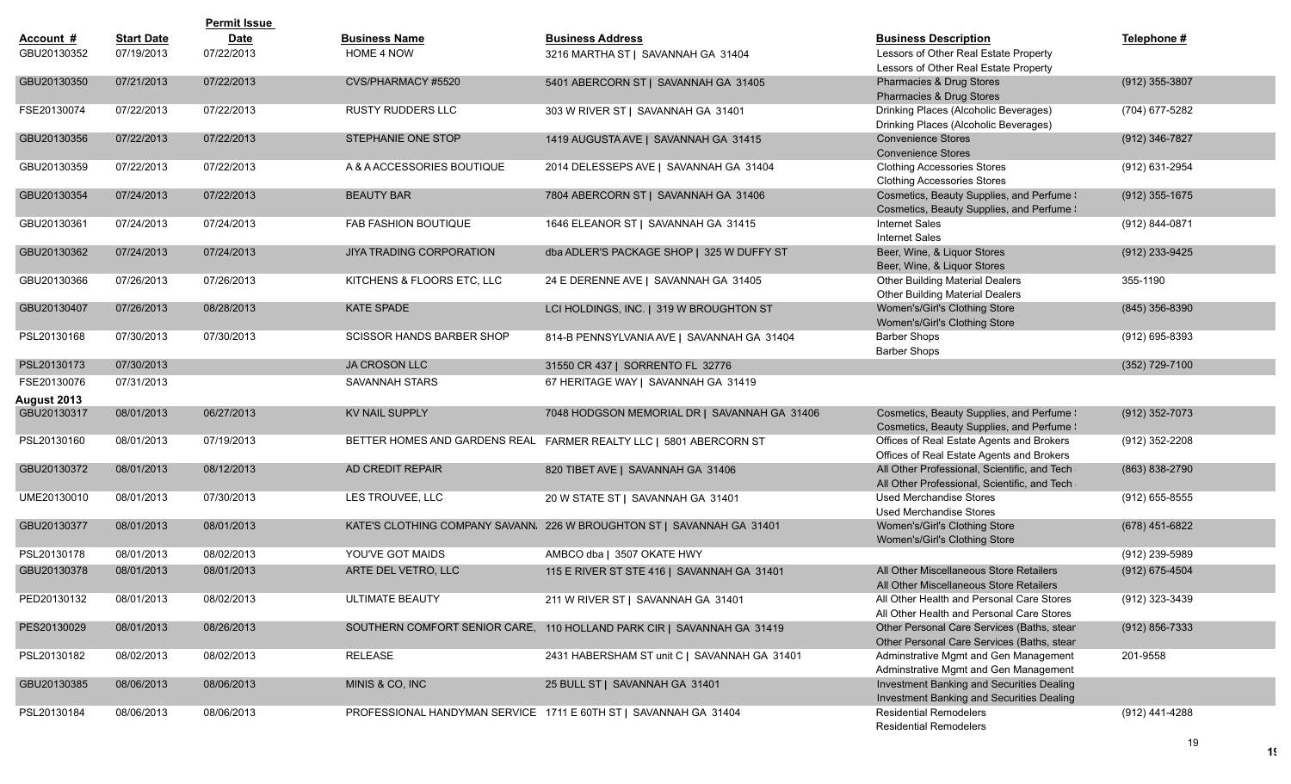|             |                   | <b>Permit Issue</b> |                                  |                                                                        |                                                                                              |                    |
|-------------|-------------------|---------------------|----------------------------------|------------------------------------------------------------------------|----------------------------------------------------------------------------------------------|--------------------|
| Account #   | <b>Start Date</b> | <b>Date</b>         | <b>Business Name</b>             | <b>Business Address</b>                                                | <b>Business Description</b>                                                                  | Telephone #        |
| GBU20130352 | 07/19/2013        | 07/22/2013          | HOME 4 NOW                       | 3216 MARTHA ST   SAVANNAH GA 31404                                     | Lessors of Other Real Estate Property                                                        |                    |
|             |                   |                     |                                  |                                                                        | Lessors of Other Real Estate Property                                                        |                    |
| GBU20130350 | 07/21/2013        | 07/22/2013          | CVS/PHARMACY #5520               | 5401 ABERCORN ST   SAVANNAH GA 31405                                   | Pharmacies & Drug Stores<br>Pharmacies & Drug Stores                                         | (912) 355-3807     |
| FSE20130074 | 07/22/2013        | 07/22/2013          | <b>RUSTY RUDDERS LLC</b>         | 303 W RIVER ST   SAVANNAH GA 31401                                     | Drinking Places (Alcoholic Beverages)<br>Drinking Places (Alcoholic Beverages)               | (704) 677-5282     |
| GBU20130356 | 07/22/2013        | 07/22/2013          | STEPHANIE ONE STOP               | 1419 AUGUSTA AVE   SAVANNAH GA 31415                                   | <b>Convenience Stores</b><br><b>Convenience Stores</b>                                       | (912) 346-7827     |
| GBU20130359 | 07/22/2013        | 07/22/2013          | A & A ACCESSORIES BOUTIQUE       | 2014 DELESSEPS AVE   SAVANNAH GA 31404                                 | <b>Clothing Accessories Stores</b><br><b>Clothing Accessories Stores</b>                     | (912) 631-2954     |
| GBU20130354 | 07/24/2013        | 07/22/2013          | <b>BEAUTY BAR</b>                | 7804 ABERCORN ST   SAVANNAH GA 31406                                   | Cosmetics, Beauty Supplies, and Perfume !<br>Cosmetics, Beauty Supplies, and Perfume !       | $(912)$ 355-1675   |
| GBU20130361 | 07/24/2013        | 07/24/2013          | <b>FAB FASHION BOUTIQUE</b>      | 1646 ELEANOR ST   SAVANNAH GA 31415                                    | <b>Internet Sales</b><br><b>Internet Sales</b>                                               | (912) 844-0871     |
| GBU20130362 | 07/24/2013        | 07/24/2013          | JIYA TRADING CORPORATION         | dba ADLER'S PACKAGE SHOP   325 W DUFFY ST                              | Beer, Wine, & Liquor Stores<br>Beer, Wine, & Liquor Stores                                   | (912) 233-9425     |
| GBU20130366 | 07/26/2013        | 07/26/2013          | KITCHENS & FLOORS ETC, LLC       | 24 E DERENNE AVE   SAVANNAH GA 31405                                   | <b>Other Building Material Dealers</b><br><b>Other Building Material Dealers</b>             | 355-1190           |
| GBU20130407 | 07/26/2013        | 08/28/2013          | <b>KATE SPADE</b>                | LCI HOLDINGS, INC.   319 W BROUGHTON ST                                | Women's/Girl's Clothing Store<br>Women's/Girl's Clothing Store                               | (845) 356-8390     |
| PSL20130168 | 07/30/2013        | 07/30/2013          | <b>SCISSOR HANDS BARBER SHOP</b> | 814-B PENNSYLVANIA AVE   SAVANNAH GA 31404                             | <b>Barber Shops</b><br><b>Barber Shops</b>                                                   | (912) 695-8393     |
| PSL20130173 | 07/30/2013        |                     | <b>JA CROSON LLC</b>             | 31550 CR 437   SORRENTO FL 32776                                       |                                                                                              | (352) 729-7100     |
| FSE20130076 | 07/31/2013        |                     | <b>SAVANNAH STARS</b>            | 67 HERITAGE WAY   SAVANNAH GA 31419                                    |                                                                                              |                    |
| August 2013 |                   |                     |                                  |                                                                        |                                                                                              |                    |
| GBU20130317 | 08/01/2013        | 06/27/2013          | <b>KV NAIL SUPPLY</b>            | 7048 HODGSON MEMORIAL DR   SAVANNAH GA 31406                           | Cosmetics, Beauty Supplies, and Perfume !<br>Cosmetics, Beauty Supplies, and Perfume \       | $(912)$ 352-7073   |
| PSL20130160 | 08/01/2013        | 07/19/2013          | BETTER HOMES AND GARDENS REAL    | FARMER REALTY LLC   5801 ABERCORN ST                                   | Offices of Real Estate Agents and Brokers<br>Offices of Real Estate Agents and Brokers       | (912) 352-2208     |
| GBU20130372 | 08/01/2013        | 08/12/2013          | AD CREDIT REPAIR                 | 820 TIBET AVE   SAVANNAH GA 31406                                      | All Other Professional, Scientific, and Tech<br>All Other Professional, Scientific, and Tech | (863) 838-2790     |
| UME20130010 | 08/01/2013        | 07/30/2013          | LES TROUVEE, LLC                 | 20 W STATE ST   SAVANNAH GA 31401                                      | Used Merchandise Stores<br>Used Merchandise Stores                                           | $(912)$ 655-8555   |
| GBU20130377 | 08/01/2013        | 08/01/2013          |                                  | KATE'S CLOTHING COMPANY SAVANN. 226 W BROUGHTON ST   SAVANNAH GA 31401 | Women's/Girl's Clothing Store<br>Women's/Girl's Clothing Store                               | (678) 451-6822     |
| PSL20130178 | 08/01/2013        | 08/02/2013          | YOU'VE GOT MAIDS                 | AMBCO dba   3507 OKATE HWY                                             |                                                                                              | (912) 239-5989     |
| GBU20130378 | 08/01/2013        | 08/01/2013          | ARTE DEL VETRO, LLC              | 115 E RIVER ST STE 416   SAVANNAH GA 31401                             | All Other Miscellaneous Store Retailers<br>All Other Miscellaneous Store Retailers           | $(912)$ 675-4504   |
| PED20130132 | 08/01/2013        | 08/02/2013          | <b>ULTIMATE BEAUTY</b>           | 211 W RIVER ST   SAVANNAH GA 31401                                     | All Other Health and Personal Care Stores<br>All Other Health and Personal Care Stores       | (912) 323-3439     |
| PES20130029 | 08/01/2013        | 08/26/2013          |                                  | SOUTHERN COMFORT SENIOR CARE, 110 HOLLAND PARK CIR   SAVANNAH GA 31419 | Other Personal Care Services (Baths, stear<br>Other Personal Care Services (Baths, stear     | $(912) 856 - 7333$ |
| PSL20130182 | 08/02/2013        | 08/02/2013          | RELEASE                          | 2431 HABERSHAM ST unit C   SAVANNAH GA 31401                           | Adminstrative Mgmt and Gen Management<br>Adminstrative Mgmt and Gen Management               | 201-9558           |
| GBU20130385 | 08/06/2013        | 08/06/2013          | MINIS & CO, INC                  | 25 BULL ST   SAVANNAH GA 31401                                         | Investment Banking and Securities Dealing<br>Investment Banking and Securities Dealing       |                    |
| PSL20130184 | 08/06/2013        | 08/06/2013          |                                  | PROFESSIONAL HANDYMAN SERVICE 1711 E 60TH ST   SAVANNAH GA 31404       | <b>Residential Remodelers</b><br><b>Residential Remodelers</b>                               | (912) 441-4288     |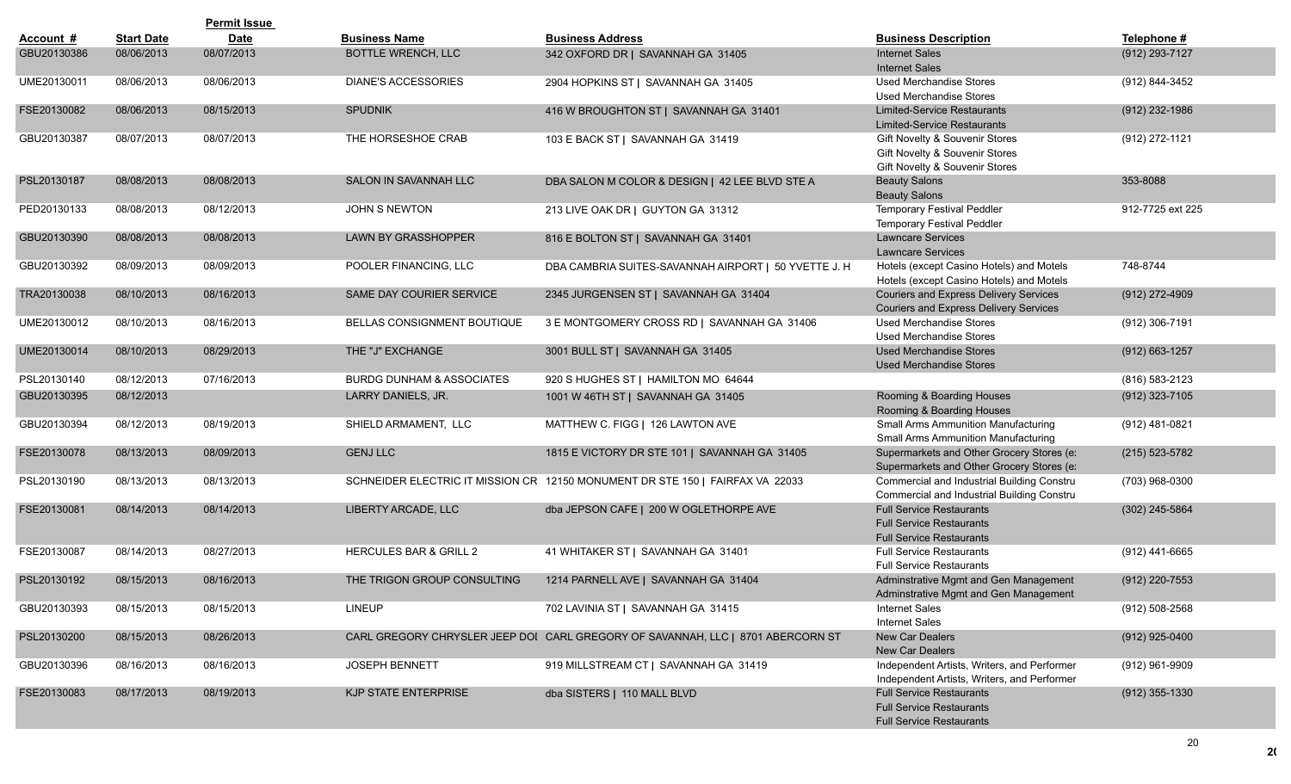|             |                   | <b>Permit Issue</b> |                                      |                                                                                 |                                                                                                       |                    |
|-------------|-------------------|---------------------|--------------------------------------|---------------------------------------------------------------------------------|-------------------------------------------------------------------------------------------------------|--------------------|
| Account #   | <b>Start Date</b> | <b>Date</b>         | <b>Business Name</b>                 | <b>Business Address</b>                                                         | <b>Business Description</b>                                                                           | Telephone #        |
| GBU20130386 | 08/06/2013        | 08/07/2013          | <b>BOTTLE WRENCH, LLC</b>            | 342 OXFORD DR   SAVANNAH GA 31405                                               | <b>Internet Sales</b><br><b>Internet Sales</b>                                                        | (912) 293-7127     |
| UME20130011 | 08/06/2013        | 08/06/2013          | <b>DIANE'S ACCESSORIES</b>           | 2904 HOPKINS ST   SAVANNAH GA 31405                                             | <b>Used Merchandise Stores</b><br><b>Used Merchandise Stores</b>                                      | (912) 844-3452     |
| FSE20130082 | 08/06/2013        | 08/15/2013          | SPUDNIK                              | 416 W BROUGHTON ST   SAVANNAH GA 31401                                          | <b>Limited-Service Restaurants</b><br><b>Limited-Service Restaurants</b>                              | (912) 232-1986     |
| GBU20130387 | 08/07/2013        | 08/07/2013          | THE HORSESHOE CRAB                   | 103 E BACK ST   SAVANNAH GA 31419                                               | Gift Novelty & Souvenir Stores<br>Gift Novelty & Souvenir Stores<br>Gift Novelty & Souvenir Stores    | (912) 272-1121     |
| PSL20130187 | 08/08/2013        | 08/08/2013          | SALON IN SAVANNAH LLC                | DBA SALON M COLOR & DESIGN   42 LEE BLVD STE A                                  | <b>Beauty Salons</b><br><b>Beauty Salons</b>                                                          | 353-8088           |
| PED20130133 | 08/08/2013        | 08/12/2013          | <b>JOHN S NEWTON</b>                 | 213 LIVE OAK DR   GUYTON GA 31312                                               | Temporary Festival Peddler<br>Temporary Festival Peddler                                              | 912-7725 ext 225   |
| GBU20130390 | 08/08/2013        | 08/08/2013          | LAWN BY GRASSHOPPER                  | 816 E BOLTON ST   SAVANNAH GA 31401                                             | <b>Lawncare Services</b><br><b>Lawncare Services</b>                                                  |                    |
| GBU20130392 | 08/09/2013        | 08/09/2013          | POOLER FINANCING, LLC                | DBA CAMBRIA SUITES-SAVANNAH AIRPORT   50 YVETTE J. H                            | Hotels (except Casino Hotels) and Motels<br>Hotels (except Casino Hotels) and Motels                  | 748-8744           |
| TRA20130038 | 08/10/2013        | 08/16/2013          | SAME DAY COURIER SERVICE             | 2345 JURGENSEN ST   SAVANNAH GA 31404                                           | Couriers and Express Delivery Services<br>Couriers and Express Delivery Services                      | (912) 272-4909     |
| UME20130012 | 08/10/2013        | 08/16/2013          | BELLAS CONSIGNMENT BOUTIQUE          | 3 E MONTGOMERY CROSS RD   SAVANNAH GA 31406                                     | <b>Used Merchandise Stores</b><br><b>Used Merchandise Stores</b>                                      | (912) 306-7191     |
| UME20130014 | 08/10/2013        | 08/29/2013          | THE "J" EXCHANGE                     | 3001 BULL ST   SAVANNAH GA 31405                                                | <b>Used Merchandise Stores</b><br><b>Used Merchandise Stores</b>                                      | $(912) 663 - 1257$ |
| PSL20130140 | 08/12/2013        | 07/16/2013          | <b>BURDG DUNHAM &amp; ASSOCIATES</b> | 920 S HUGHES ST   HAMILTON MO 64644                                             |                                                                                                       | (816) 583-2123     |
| GBU20130395 | 08/12/2013        |                     | LARRY DANIELS, JR.                   | 1001 W 46TH ST   SAVANNAH GA 31405                                              | Rooming & Boarding Houses<br>Rooming & Boarding Houses                                                | (912) 323-7105     |
| GBU20130394 | 08/12/2013        | 08/19/2013          | SHIELD ARMAMENT, LLC                 | MATTHEW C. FIGG   126 LAWTON AVE                                                | <b>Small Arms Ammunition Manufacturing</b><br><b>Small Arms Ammunition Manufacturing</b>              | (912) 481-0821     |
| FSE20130078 | 08/13/2013        | 08/09/2013          | <b>GENJ LLC</b>                      | 1815 E VICTORY DR STE 101   SAVANNAH GA 31405                                   | Supermarkets and Other Grocery Stores (e:<br>Supermarkets and Other Grocery Stores (e:                | $(215) 523 - 5782$ |
| PSL20130190 | 08/13/2013        | 08/13/2013          |                                      | SCHNEIDER ELECTRIC IT MISSION CR 12150 MONUMENT DR STE 150   FAIRFAX VA 22033   | Commercial and Industrial Building Constru<br>Commercial and Industrial Building Constru              | (703) 968-0300     |
| FSE20130081 | 08/14/2013        | 08/14/2013          | LIBERTY ARCADE, LLC                  | dba JEPSON CAFE   200 W OGLETHORPE AVE                                          | <b>Full Service Restaurants</b><br><b>Full Service Restaurants</b><br><b>Full Service Restaurants</b> | (302) 245-5864     |
| FSE20130087 | 08/14/2013        | 08/27/2013          | HERCULES BAR & GRILL 2               | 41 WHITAKER ST   SAVANNAH GA 31401                                              | <b>Full Service Restaurants</b><br><b>Full Service Restaurants</b>                                    | (912) 441-6665     |
| PSL20130192 | 08/15/2013        | 08/16/2013          | THE TRIGON GROUP CONSULTING          | 1214 PARNELL AVE   SAVANNAH GA 31404                                            | Adminstrative Mgmt and Gen Management<br>Adminstrative Mgmt and Gen Management                        | (912) 220-7553     |
| GBU20130393 | 08/15/2013        | 08/15/2013          | <b>LINEUP</b>                        | 702 LAVINIA ST   SAVANNAH GA 31415                                              | <b>Internet Sales</b><br><b>Internet Sales</b>                                                        | (912) 508-2568     |
| PSL20130200 | 08/15/2013        | 08/26/2013          |                                      | CARL GREGORY CHRYSLER JEEP DOI CARL GREGORY OF SAVANNAH, LLC   8701 ABERCORN ST | New Car Dealers<br>New Car Dealers                                                                    | $(912)$ 925-0400   |
| GBU20130396 | 08/16/2013        | 08/16/2013          | <b>JOSEPH BENNETT</b>                | 919 MILLSTREAM CT   SAVANNAH GA 31419                                           | Independent Artists, Writers, and Performer<br>Independent Artists, Writers, and Performer            | (912) 961-9909     |
| FSE20130083 | 08/17/2013        | 08/19/2013          | KJP STATE ENTERPRISE                 | dba SISTERS   110 MALL BLVD                                                     | <b>Full Service Restaurants</b><br><b>Full Service Restaurants</b><br><b>Full Service Restaurants</b> | $(912)$ 355-1330   |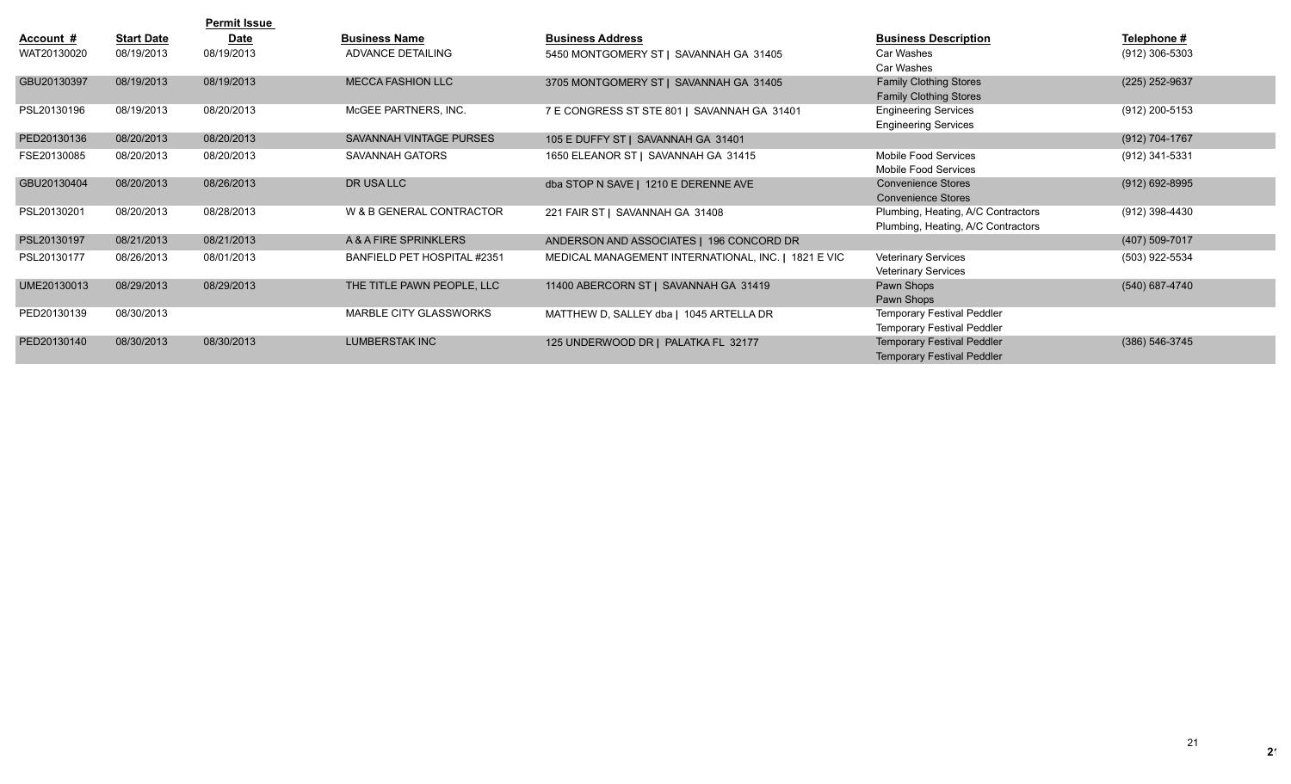|                  |                   | <b>Permit Issue</b> |                             |                                                     |                                                                |                    |
|------------------|-------------------|---------------------|-----------------------------|-----------------------------------------------------|----------------------------------------------------------------|--------------------|
| <u>Account #</u> | <b>Start Date</b> | <b>Date</b>         | <b>Business Name</b>        | <b>Business Address</b>                             | <b>Business Description</b>                                    | Telephone #        |
| WAT20130020      | 08/19/2013        | 08/19/2013          | ADVANCE DETAILING           | 5450 MONTGOMERY ST   SAVANNAH GA 31405              | Car Washes                                                     | (912) 306-5303     |
|                  |                   |                     |                             |                                                     | Car Washes                                                     |                    |
| GBU20130397      | 08/19/2013        | 08/19/2013          | <b>MECCA FASHION LLC</b>    | 3705 MONTGOMERY ST   SAVANNAH GA 31405              | <b>Family Clothing Stores</b><br><b>Family Clothing Stores</b> | (225) 252-9637     |
| PSL20130196      | 08/19/2013        | 08/20/2013          | MCGEE PARTNERS, INC.        | 7 E CONGRESS ST STE 801   SAVANNAH GA 31401         | <b>Engineering Services</b><br><b>Engineering Services</b>     | (912) 200-5153     |
| PED20130136      | 08/20/2013        | 08/20/2013          | SAVANNAH VINTAGE PURSES     | 105 E DUFFY ST   SAVANNAH GA 31401                  |                                                                | (912) 704-1767     |
| FSE20130085      | 08/20/2013        | 08/20/2013          | SAVANNAH GATORS             | 1650 ELEANOR ST   SAVANNAH GA 31415                 | Mobile Food Services                                           | (912) 341-5331     |
|                  |                   |                     |                             |                                                     | Mobile Food Services                                           |                    |
| GBU20130404      | 08/20/2013        | 08/26/2013          | DR USA LLC                  | dba STOP N SAVE   1210 E DERENNE AVE                | <b>Convenience Stores</b><br><b>Convenience Stores</b>         | $(912) 692 - 8995$ |
| PSL20130201      | 08/20/2013        | 08/28/2013          | W & B GENERAL CONTRACTOR    | 221 FAIR ST   SAVANNAH GA 31408                     | Plumbing, Heating, A/C Contractors                             | (912) 398-4430     |
|                  |                   |                     |                             |                                                     | Plumbing, Heating, A/C Contractors                             |                    |
| PSL20130197      | 08/21/2013        | 08/21/2013          | A & A FIRE SPRINKLERS       | ANDERSON AND ASSOCIATES   196 CONCORD DR            |                                                                | (407) 509-7017     |
| PSL20130177      | 08/26/2013        | 08/01/2013          | BANFIELD PET HOSPITAL #2351 | MEDICAL MANAGEMENT INTERNATIONAL, INC.   1821 E VIC | <b>Veterinary Services</b>                                     | (503) 922-5534     |
|                  |                   |                     |                             |                                                     | <b>Veterinary Services</b>                                     |                    |
| UME20130013      | 08/29/2013        | 08/29/2013          | THE TITLE PAWN PEOPLE, LLC  | 11400 ABERCORN ST   SAVANNAH GA 31419               | Pawn Shops                                                     | (540) 687-4740     |
|                  |                   |                     |                             |                                                     | Pawn Shops                                                     |                    |
| PED20130139      | 08/30/2013        |                     | MARBLE CITY GLASSWORKS      | MATTHEW D. SALLEY dba   1045 ARTELLA DR             | <b>Temporary Festival Peddler</b>                              |                    |
|                  |                   |                     |                             |                                                     | <b>Temporary Festival Peddler</b>                              |                    |
| PED20130140      | 08/30/2013        | 08/30/2013          | <b>LUMBERSTAK INC</b>       | 125 UNDERWOOD DR   PALATKA FL 32177                 | <b>Temporary Festival Peddler</b>                              | (386) 546-3745     |
|                  |                   |                     |                             |                                                     | <b>Temporary Festival Peddler</b>                              |                    |

 $2<sup>r</sup>$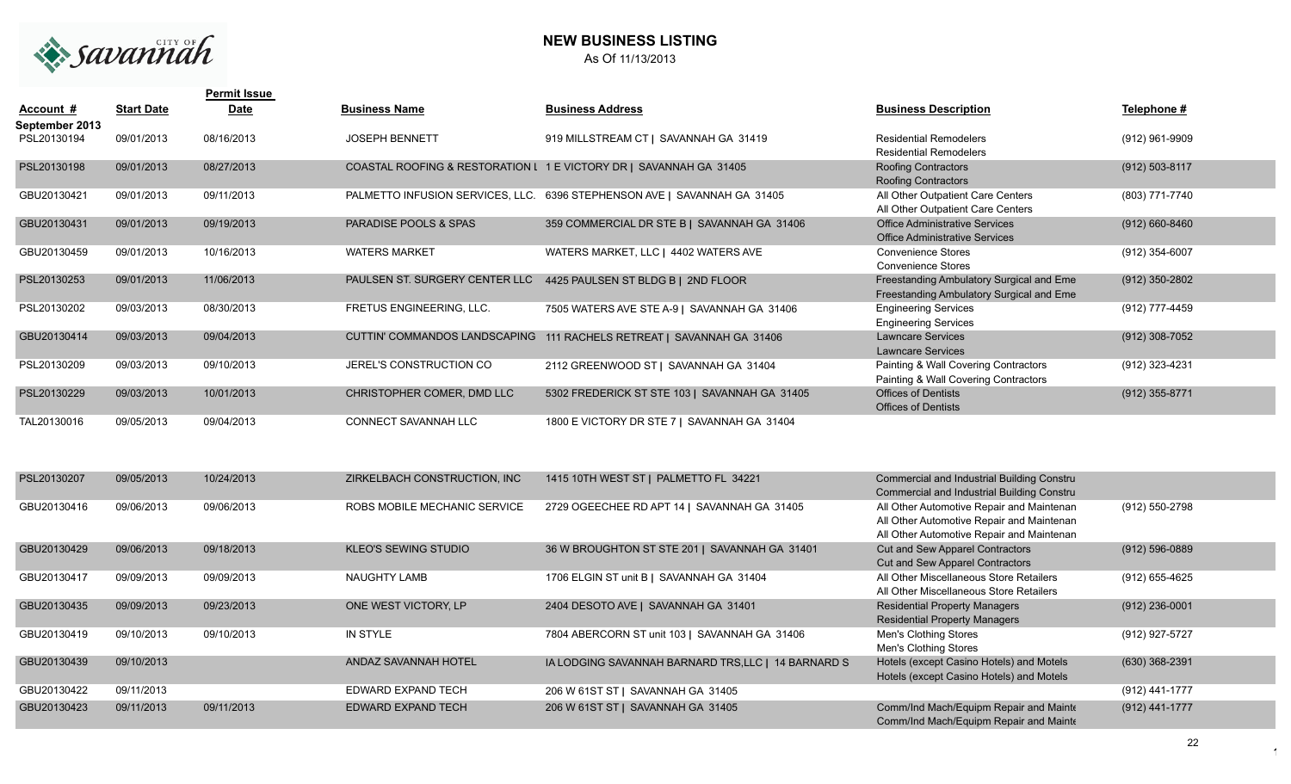

## **NEW BUSINESS LISTING** As Of 11/13/2013

|                |                   | <b>Permit Issue</b> |                                |                                                                          |                                          |                    |
|----------------|-------------------|---------------------|--------------------------------|--------------------------------------------------------------------------|------------------------------------------|--------------------|
| Account #      | <b>Start Date</b> | <b>Date</b>         | <b>Business Name</b>           | <b>Business Address</b>                                                  | <b>Business Description</b>              | Telephone #        |
| September 2013 |                   |                     |                                |                                                                          |                                          |                    |
| PSL20130194    | 09/01/2013        | 08/16/2013          | <b>JOSEPH BENNETT</b>          | 919 MILLSTREAM CT   SAVANNAH GA 31419                                    | <b>Residential Remodelers</b>            | (912) 961-9909     |
|                |                   |                     |                                |                                                                          | <b>Residential Remodelers</b>            |                    |
| PSL20130198    | 09/01/2013        | 08/27/2013          |                                | COASTAL ROOFING & RESTORATION L 1 E VICTORY DR   SAVANNAH GA 31405       | <b>Roofing Contractors</b>               | (912) 503-8117     |
|                |                   |                     |                                |                                                                          | <b>Roofing Contractors</b>               |                    |
| GBU20130421    | 09/01/2013        | 09/11/2013          |                                | PALMETTO INFUSION SERVICES, LLC. 6396 STEPHENSON AVE   SAVANNAH GA 31405 | All Other Outpatient Care Centers        | (803) 771-7740     |
|                |                   |                     |                                |                                                                          | All Other Outpatient Care Centers        |                    |
| GBU20130431    | 09/01/2013        | 09/19/2013          | PARADISE POOLS & SPAS          | 359 COMMERCIAL DR STE B   SAVANNAH GA 31406                              | <b>Office Administrative Services</b>    | $(912) 660 - 8460$ |
|                |                   |                     |                                |                                                                          | <b>Office Administrative Services</b>    |                    |
| GBU20130459    | 09/01/2013        | 10/16/2013          | <b>WATERS MARKET</b>           | WATERS MARKET, LLC   4402 WATERS AVE                                     | <b>Convenience Stores</b>                | (912) 354-6007     |
|                |                   |                     |                                |                                                                          | <b>Convenience Stores</b>                |                    |
| PSL20130253    | 09/01/2013        | 11/06/2013          | PAULSEN ST. SURGERY CENTER LLC | 4425 PAULSEN ST BLDG B   2ND FLOOR                                       | Freestanding Ambulatory Surgical and Eme | (912) 350-2802     |
|                |                   |                     |                                |                                                                          | Freestanding Ambulatory Surgical and Eme |                    |
| PSL20130202    | 09/03/2013        | 08/30/2013          | FRETUS ENGINEERING, LLC.       | 7505 WATERS AVE STE A-9   SAVANNAH GA 31406                              | <b>Engineering Services</b>              | (912) 777-4459     |
|                |                   |                     |                                |                                                                          | <b>Engineering Services</b>              |                    |
| GBU20130414    | 09/03/2013        | 09/04/2013          | CUTTIN' COMMANDOS LANDSCAPING  | 111 RACHELS RETREAT   SAVANNAH GA 31406                                  | <b>Lawncare Services</b>                 | (912) 308-7052     |
|                |                   |                     |                                |                                                                          | <b>Lawncare Services</b>                 |                    |
| PSL20130209    | 09/03/2013        | 09/10/2013          | JEREL'S CONSTRUCTION CO        | 2112 GREENWOOD ST   SAVANNAH GA 31404                                    | Painting & Wall Covering Contractors     | (912) 323-4231     |
|                |                   |                     |                                |                                                                          | Painting & Wall Covering Contractors     |                    |
| PSL20130229    | 09/03/2013        | 10/01/2013          | CHRISTOPHER COMER, DMD LLC     | 5302 FREDERICK ST STE 103   SAVANNAH GA 31405                            | <b>Offices of Dentists</b>               | (912) 355-8771     |
|                |                   |                     |                                |                                                                          | <b>Offices of Dentists</b>               |                    |
| TAL20130016    | 09/05/2013        | 09/04/2013          | CONNECT SAVANNAH LLC           | 1800 E VICTORY DR STE 7   SAVANNAH GA 31404                              |                                          |                    |
|                |                   |                     |                                |                                                                          |                                          |                    |

| PSL20130207 | 09/05/2013 | 10/24/2013 | ZIRKELBACH CONSTRUCTION. INC | 1415 10TH WEST ST   PALMETTO FL 34221               | <b>Commercial and Industrial Building Constru</b><br>Commercial and Industrial Building Constru                                     |                    |
|-------------|------------|------------|------------------------------|-----------------------------------------------------|-------------------------------------------------------------------------------------------------------------------------------------|--------------------|
| GBU20130416 | 09/06/2013 | 09/06/2013 | ROBS MOBILE MECHANIC SERVICE | 2729 OGEECHEE RD APT 14   SAVANNAH GA 31405         | All Other Automotive Repair and Maintenan<br>All Other Automotive Repair and Maintenan<br>All Other Automotive Repair and Maintenan | (912) 550-2798     |
| GBU20130429 | 09/06/2013 | 09/18/2013 | <b>KLEO'S SEWING STUDIO</b>  | 36 W BROUGHTON ST STE 201   SAVANNAH GA 31401       | Cut and Sew Apparel Contractors<br>Cut and Sew Apparel Contractors                                                                  | $(912) 596 - 0889$ |
| GBU20130417 | 09/09/2013 | 09/09/2013 | NAUGHTY LAMB                 | 1706 ELGIN ST unit B   SAVANNAH GA 31404            | All Other Miscellaneous Store Retailers<br>All Other Miscellaneous Store Retailers                                                  | (912) 655-4625     |
| GBU20130435 | 09/09/2013 | 09/23/2013 | ONE WEST VICTORY, LP         | 2404 DESOTO AVE   SAVANNAH GA 31401                 | <b>Residential Property Managers</b><br><b>Residential Property Managers</b>                                                        | $(912)$ 236-0001   |
| GBU20130419 | 09/10/2013 | 09/10/2013 | IN STYLE                     | 7804 ABERCORN ST unit 103   SAVANNAH GA 31406       | Men's Clothing Stores<br>Men's Clothing Stores                                                                                      | (912) 927-5727     |
| GBU20130439 | 09/10/2013 |            | ANDAZ SAVANNAH HOTEL         | IA LODGING SAVANNAH BARNARD TRS, LLC   14 BARNARD S | Hotels (except Casino Hotels) and Motels<br>Hotels (except Casino Hotels) and Motels                                                | (630) 368-2391     |
| GBU20130422 | 09/11/2013 |            | EDWARD EXPAND TECH           | 206 W 61ST ST   SAVANNAH GA 31405                   |                                                                                                                                     | (912) 441-1777     |
| GBU20130423 | 09/11/2013 | 09/11/2013 | <b>EDWARD EXPAND TECH</b>    | 206 W 61ST ST   SAVANNAH GA 31405                   | Comm/Ind Mach/Equipm Repair and Mainte<br>Comm/Ind Mach/Equipm Repair and Mainte                                                    | (912) 441-1777     |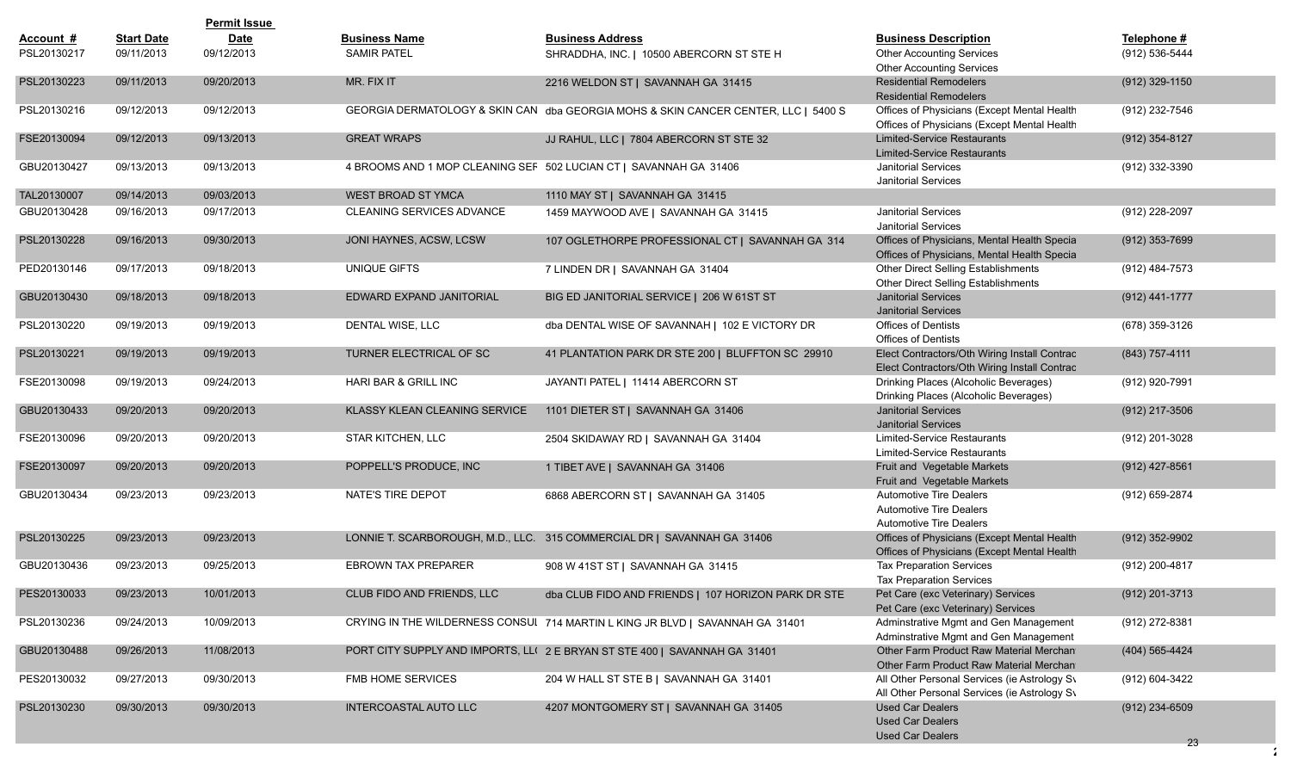|             |                   | <b>Permit Issue</b> |                               |                                                                                    |                                                                                              |                  |
|-------------|-------------------|---------------------|-------------------------------|------------------------------------------------------------------------------------|----------------------------------------------------------------------------------------------|------------------|
| Account #   | <b>Start Date</b> | <b>Date</b>         | <b>Business Name</b>          | <b>Business Address</b>                                                            | <b>Business Description</b>                                                                  | Telephone #      |
| PSL20130217 | 09/11/2013        | 09/12/2013          | <b>SAMIR PATEL</b>            | SHRADDHA, INC.   10500 ABERCORN ST STE H                                           | <b>Other Accounting Services</b><br><b>Other Accounting Services</b>                         | (912) 536-5444   |
| PSL20130223 | 09/11/2013        | 09/20/2013          | MR. FIX IT                    | 2216 WELDON ST   SAVANNAH GA 31415                                                 | <b>Residential Remodelers</b><br><b>Residential Remodelers</b>                               | $(912)$ 329-1150 |
| PSL20130216 | 09/12/2013        | 09/12/2013          |                               | GEORGIA DERMATOLOGY & SKIN CAN dba GEORGIA MOHS & SKIN CANCER CENTER, LLC   5400 S | Offices of Physicians (Except Mental Health<br>Offices of Physicians (Except Mental Health   | (912) 232-7546   |
| FSE20130094 | 09/12/2013        | 09/13/2013          | <b>GREAT WRAPS</b>            | JJ RAHUL, LLC   7804 ABERCORN ST STE 32                                            | <b>Limited-Service Restaurants</b><br><b>Limited-Service Restaurants</b>                     | $(912)$ 354-8127 |
| GBU20130427 | 09/13/2013        | 09/13/2013          |                               | 4 BROOMS AND 1 MOP CLEANING SEF 502 LUCIAN CT   SAVANNAH GA 31406                  | <b>Janitorial Services</b><br><b>Janitorial Services</b>                                     | (912) 332-3390   |
| TAL20130007 | 09/14/2013        | 09/03/2013          | WEST BROAD ST YMCA            | 1110 MAY ST   SAVANNAH GA 31415                                                    |                                                                                              |                  |
| GBU20130428 | 09/16/2013        | 09/17/2013          | CLEANING SERVICES ADVANCE     | 1459 MAYWOOD AVE   SAVANNAH GA 31415                                               | Janitorial Services<br><b>Janitorial Services</b>                                            | (912) 228-2097   |
| PSL20130228 | 09/16/2013        | 09/30/2013          | JONI HAYNES, ACSW, LCSW       | 107 OGLETHORPE PROFESSIONAL CT   SAVANNAH GA 314                                   | Offices of Physicians, Mental Health Specia<br>Offices of Physicians, Mental Health Specia   | $(912)$ 353-7699 |
| PED20130146 | 09/17/2013        | 09/18/2013          | UNIQUE GIFTS                  | 7 LINDEN DR   SAVANNAH GA 31404                                                    | Other Direct Selling Establishments<br>Other Direct Selling Establishments                   | (912) 484-7573   |
| GBU20130430 | 09/18/2013        | 09/18/2013          | EDWARD EXPAND JANITORIAL      | BIG ED JANITORIAL SERVICE   206 W 61ST ST                                          | <b>Janitorial Services</b><br><b>Janitorial Services</b>                                     | (912) 441-1777   |
| PSL20130220 | 09/19/2013        | 09/19/2013          | DENTAL WISE, LLC              | dba DENTAL WISE OF SAVANNAH   102 E VICTORY DR                                     | <b>Offices of Dentists</b><br><b>Offices of Dentists</b>                                     | (678) 359-3126   |
| PSL20130221 | 09/19/2013        | 09/19/2013          | TURNER ELECTRICAL OF SC       | 41 PLANTATION PARK DR STE 200   BLUFFTON SC 29910                                  | Elect Contractors/Oth Wiring Install Contrac<br>Elect Contractors/Oth Wiring Install Contrac | (843) 757-4111   |
| FSE20130098 | 09/19/2013        | 09/24/2013          | HARI BAR & GRILL INC          | JAYANTI PATEL   11414 ABERCORN ST                                                  | Drinking Places (Alcoholic Beverages)<br>Drinking Places (Alcoholic Beverages)               | (912) 920-7991   |
| GBU20130433 | 09/20/2013        | 09/20/2013          | KLASSY KLEAN CLEANING SERVICE | 1101 DIETER ST   SAVANNAH GA 31406                                                 | <b>Janitorial Services</b><br><b>Janitorial Services</b>                                     | (912) 217-3506   |
| FSE20130096 | 09/20/2013        | 09/20/2013          | STAR KITCHEN, LLC             | 2504 SKIDAWAY RD   SAVANNAH GA 31404                                               | Limited-Service Restaurants<br><b>Limited-Service Restaurants</b>                            | (912) 201-3028   |
| FSE20130097 | 09/20/2013        | 09/20/2013          | POPPELL'S PRODUCE, INC        | 1 TIBET AVE   SAVANNAH GA 31406                                                    | Fruit and Vegetable Markets<br>Fruit and Vegetable Markets                                   | $(912)$ 427-8561 |
| GBU20130434 | 09/23/2013        | 09/23/2013          | NATE'S TIRE DEPOT             | 6868 ABERCORN ST   SAVANNAH GA 31405                                               | Automotive Tire Dealers<br><b>Automotive Tire Dealers</b><br><b>Automotive Tire Dealers</b>  | (912) 659-2874   |
| PSL20130225 | 09/23/2013        | 09/23/2013          |                               | LONNIE T. SCARBOROUGH, M.D., LLC. 315 COMMERCIAL DR   SAVANNAH GA 31406            | Offices of Physicians (Except Mental Health<br>Offices of Physicians (Except Mental Health   | (912) 352-9902   |
| GBU20130436 | 09/23/2013        | 09/25/2013          | <b>EBROWN TAX PREPARER</b>    | 908 W 41ST ST   SAVANNAH GA 31415                                                  | <b>Tax Preparation Services</b><br><b>Tax Preparation Services</b>                           | (912) 200-4817   |
| PES20130033 | 09/23/2013        | 10/01/2013          | CLUB FIDO AND FRIENDS, LLC    | dba CLUB FIDO AND FRIENDS   107 HORIZON PARK DR STE                                | Pet Care (exc Veterinary) Services<br>Pet Care (exc Veterinary) Services                     | (912) 201-3713   |
| PSL20130236 | 09/24/2013        | 10/09/2013          |                               | CRYING IN THE WILDERNESS CONSUI 714 MARTIN L KING JR BLVD   SAVANNAH GA 31401      | Adminstrative Mgmt and Gen Management<br>Adminstrative Mgmt and Gen Management               | (912) 272-8381   |
| GBU20130488 | 09/26/2013        | 11/08/2013          |                               | PORT CITY SUPPLY AND IMPORTS, LL(2 E BRYAN ST STE 400   SAVANNAH GA 31401          | Other Farm Product Raw Material Merchan<br>Other Farm Product Raw Material Merchan           | (404) 565-4424   |
| PES20130032 | 09/27/2013        | 09/30/2013          | FMB HOME SERVICES             | 204 W HALL ST STE B   SAVANNAH GA 31401                                            | All Other Personal Services (ie Astrology Sv<br>All Other Personal Services (ie Astrology Sv | (912) 604-3422   |
| PSL20130230 | 09/30/2013        | 09/30/2013          | INTERCOASTAL AUTO LLC         | 4207 MONTGOMERY ST   SAVANNAH GA 31405                                             | <b>Used Car Dealers</b><br><b>Used Car Dealers</b><br><b>Used Car Dealers</b>                | $(912)$ 234-6509 |
|             |                   |                     |                               |                                                                                    |                                                                                              | $23 -$           |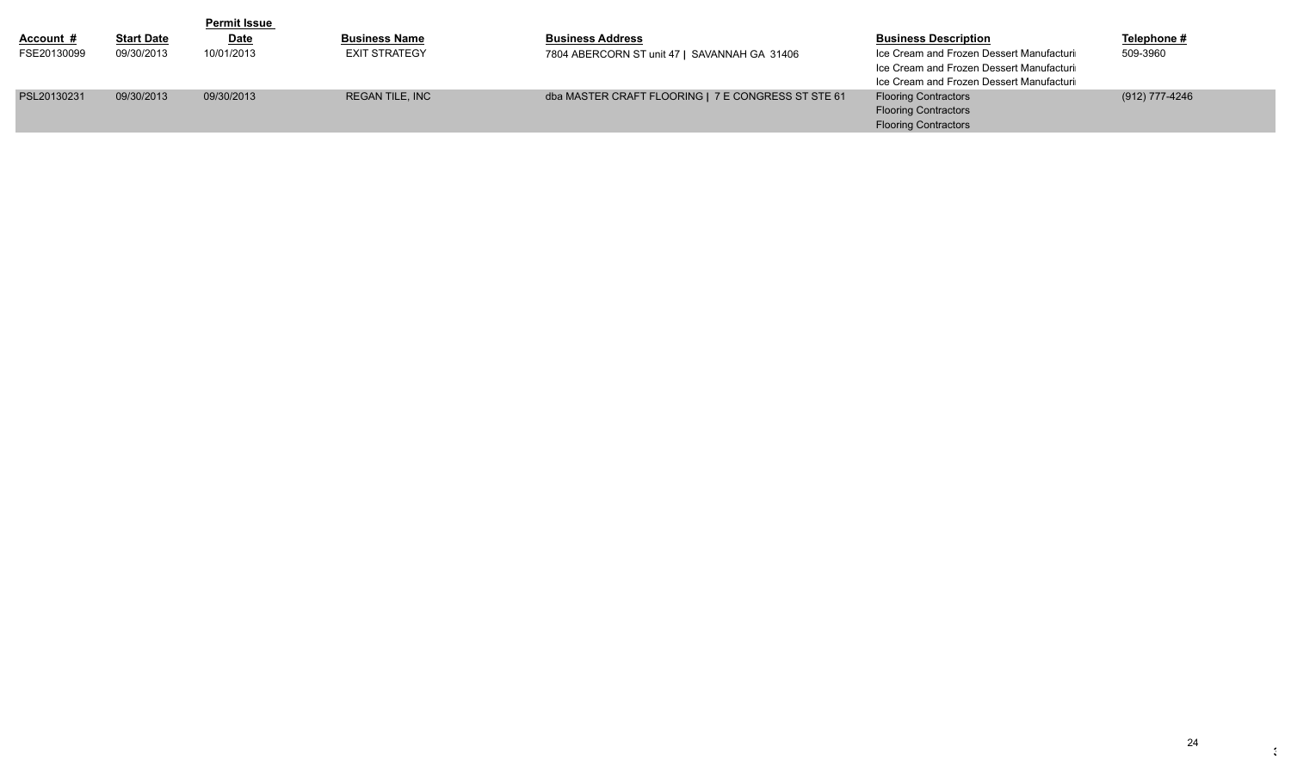|                  |                   | <b>Permit Issue</b> |                        |                                                    |                                                                                                                                  |                |
|------------------|-------------------|---------------------|------------------------|----------------------------------------------------|----------------------------------------------------------------------------------------------------------------------------------|----------------|
| <u>Account #</u> | <b>Start Date</b> | <b>Date</b>         | <b>Business Name</b>   | <b>Business Address</b>                            | <b>Business Description</b>                                                                                                      | Telephone #    |
| FSE20130099      | 09/30/2013        | 10/01/2013          | <b>EXIT STRATEGY</b>   | 7804 ABERCORN ST unit 47   SAVANNAH GA 31406       | Ice Cream and Frozen Dessert Manufacturi<br>Ice Cream and Frozen Dessert Manufacturi<br>Ice Cream and Frozen Dessert Manufacturi | 509-3960       |
| PSL20130231      | 09/30/2013        | 09/30/2013          | <b>REGAN TILE, INC</b> | dba MASTER CRAFT FLOORING   7 E CONGRESS ST STE 61 | <b>Flooring Contractors</b><br><b>Flooring Contractors</b><br><b>Flooring Contractors</b>                                        | (912) 777-4246 |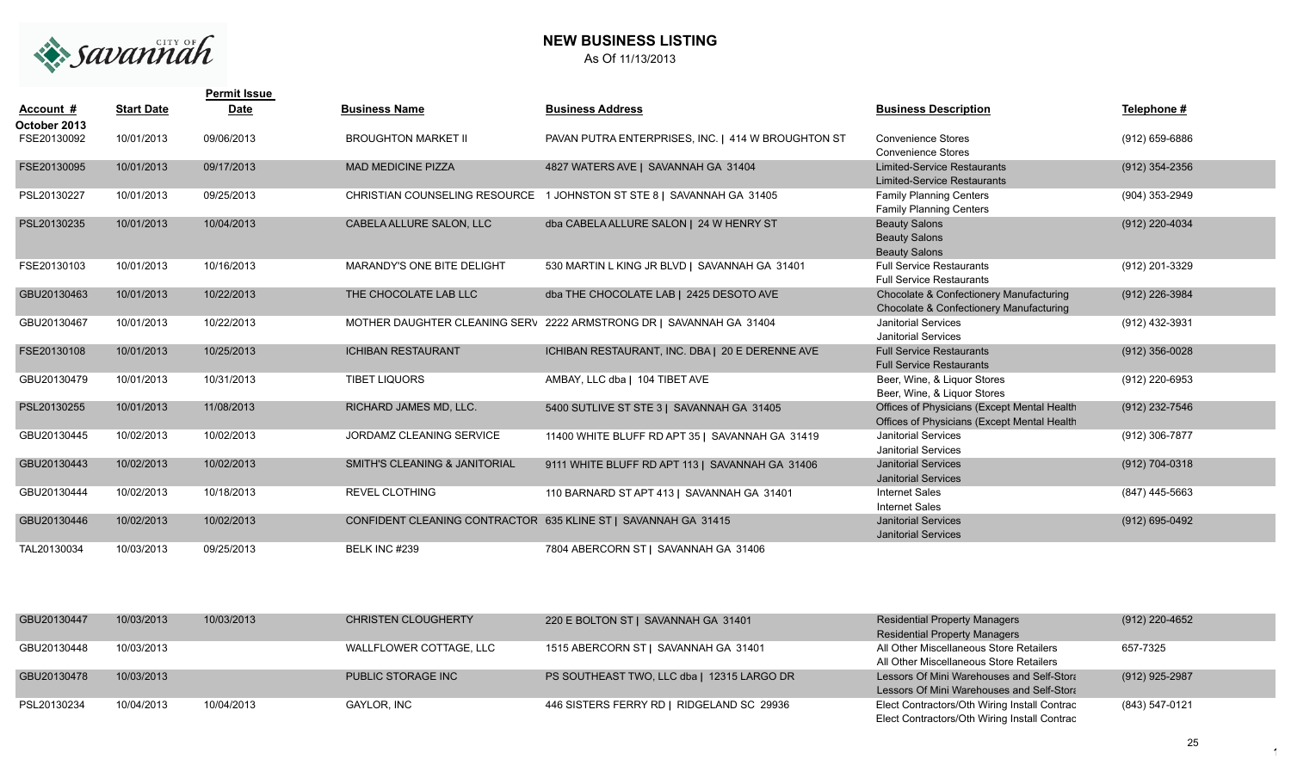

## **NEW BUSINESS LISTING** As Of 11/13/2013

|                             |                   | <b>Permit Issue</b> |                                          |                                                                     |                                                                                            |                  |
|-----------------------------|-------------------|---------------------|------------------------------------------|---------------------------------------------------------------------|--------------------------------------------------------------------------------------------|------------------|
| Account #                   | <b>Start Date</b> | <b>Date</b>         | <b>Business Name</b>                     | <b>Business Address</b>                                             | <b>Business Description</b>                                                                | Telephone #      |
| October 2013<br>FSE20130092 | 10/01/2013        | 09/06/2013          | <b>BROUGHTON MARKET II</b>               | PAVAN PUTRA ENTERPRISES, INC.   414 W BROUGHTON ST                  | <b>Convenience Stores</b><br><b>Convenience Stores</b>                                     | (912) 659-6886   |
| FSE20130095                 | 10/01/2013        | 09/17/2013          | <b>MAD MEDICINE PIZZA</b>                | 4827 WATERS AVE   SAVANNAH GA 31404                                 | <b>Limited-Service Restaurants</b><br><b>Limited-Service Restaurants</b>                   | (912) 354-2356   |
| PSL20130227                 | 10/01/2013        | 09/25/2013          | CHRISTIAN COUNSELING RESOURCE            | 1 JOHNSTON ST STE 8   SAVANNAH GA 31405                             | <b>Family Planning Centers</b><br><b>Family Planning Centers</b>                           | (904) 353-2949   |
| PSL20130235                 | 10/01/2013        | 10/04/2013          | CABELA ALLURE SALON. LLC                 | dba CABELA ALLURE SALON   24 W HENRY ST                             | <b>Beauty Salons</b><br><b>Beauty Salons</b><br><b>Beauty Salons</b>                       | (912) 220-4034   |
| FSE20130103                 | 10/01/2013        | 10/16/2013          | <b>MARANDY'S ONE BITE DELIGHT</b>        | 530 MARTIN L KING JR BLVD   SAVANNAH GA 31401                       | <b>Full Service Restaurants</b><br><b>Full Service Restaurants</b>                         | (912) 201-3329   |
| GBU20130463                 | 10/01/2013        | 10/22/2013          | THE CHOCOLATE LAB LLC                    | dba THE CHOCOLATE LAB   2425 DESOTO AVE                             | Chocolate & Confectionery Manufacturing<br>Chocolate & Confectionery Manufacturing         | (912) 226-3984   |
| GBU20130467                 | 10/01/2013        | 10/22/2013          |                                          | MOTHER DAUGHTER CLEANING SERV 2222 ARMSTRONG DR   SAVANNAH GA 31404 | <b>Janitorial Services</b><br><b>Janitorial Services</b>                                   | (912) 432-3931   |
| FSE20130108                 | 10/01/2013        | 10/25/2013          | <b>ICHIBAN RESTAURANT</b>                | ICHIBAN RESTAURANT, INC. DBA   20 E DERENNE AVE                     | <b>Full Service Restaurants</b><br><b>Full Service Restaurants</b>                         | $(912)$ 356-0028 |
| GBU20130479                 | 10/01/2013        | 10/31/2013          | <b>TIBET LIQUORS</b>                     | AMBAY, LLC dba   104 TIBET AVE                                      | Beer, Wine, & Liquor Stores<br>Beer, Wine, & Liquor Stores                                 | (912) 220-6953   |
| PSL20130255                 | 10/01/2013        | 11/08/2013          | RICHARD JAMES MD, LLC.                   | 5400 SUTLIVE ST STE 3   SAVANNAH GA 31405                           | Offices of Physicians (Except Mental Health<br>Offices of Physicians (Except Mental Health | (912) 232-7546   |
| GBU20130445                 | 10/02/2013        | 10/02/2013          | JORDAMZ CLEANING SERVICE                 | 11400 WHITE BLUFF RD APT 35   SAVANNAH GA 31419                     | <b>Janitorial Services</b><br><b>Janitorial Services</b>                                   | (912) 306-7877   |
| GBU20130443                 | 10/02/2013        | 10/02/2013          | <b>SMITH'S CLEANING &amp; JANITORIAL</b> | 9111 WHITE BLUFF RD APT 113   SAVANNAH GA 31406                     | <b>Janitorial Services</b><br><b>Janitorial Services</b>                                   | (912) 704-0318   |
| GBU20130444                 | 10/02/2013        | 10/18/2013          | <b>REVEL CLOTHING</b>                    | 110 BARNARD ST APT 413   SAVANNAH GA 31401                          | <b>Internet Sales</b><br><b>Internet Sales</b>                                             | (847) 445-5663   |
| GBU20130446                 | 10/02/2013        | 10/02/2013          | CONFIDENT CLEANING CONTRACTOR            | 635 KLINE ST   SAVANNAH GA 31415                                    | <b>Janitorial Services</b><br><b>Janitorial Services</b>                                   | (912) 695-0492   |
| TAL20130034                 | 10/03/2013        | 09/25/2013          | <b>BELK INC #239</b>                     | 7804 ABERCORN ST   SAVANNAH GA 31406                                |                                                                                            |                  |

| GBU20130447 | 10/03/2013 | 10/03/2013 | <b>CHRISTEN CLOUGHERTY</b> | 220 E BOLTON ST   SAVANNAH GA 31401        | <b>Residential Property Managers</b><br><b>Residential Property Managers</b> | (912) 220-4652 |
|-------------|------------|------------|----------------------------|--------------------------------------------|------------------------------------------------------------------------------|----------------|
| GBU20130448 | 10/03/2013 |            | WALLFLOWER COTTAGE, LLC    | 1515 ABERCORN ST   SAVANNAH GA 31401       | All Other Miscellaneous Store Retailers                                      | 657-7325       |
|             |            |            |                            |                                            | All Other Miscellaneous Store Retailers                                      |                |
| GBU20130478 | 10/03/2013 |            | PUBLIC STORAGE INC         | PS SOUTHEAST TWO, LLC dba   12315 LARGO DR | Lessors Of Mini Warehouses and Self-Stora                                    | (912) 925-2987 |
|             |            |            |                            |                                            | Lessors Of Mini Warehouses and Self-Stora                                    |                |
| PSL20130234 | 10/04/2013 | 10/04/2013 | <b>GAYLOR, INC</b>         | 446 SISTERS FERRY RD   RIDGELAND SC 29936  | Elect Contractors/Oth Wiring Install Contrac                                 | (843) 547-0121 |
|             |            |            |                            |                                            | Elect Contractors/Oth Wiring Install Contrac                                 |                |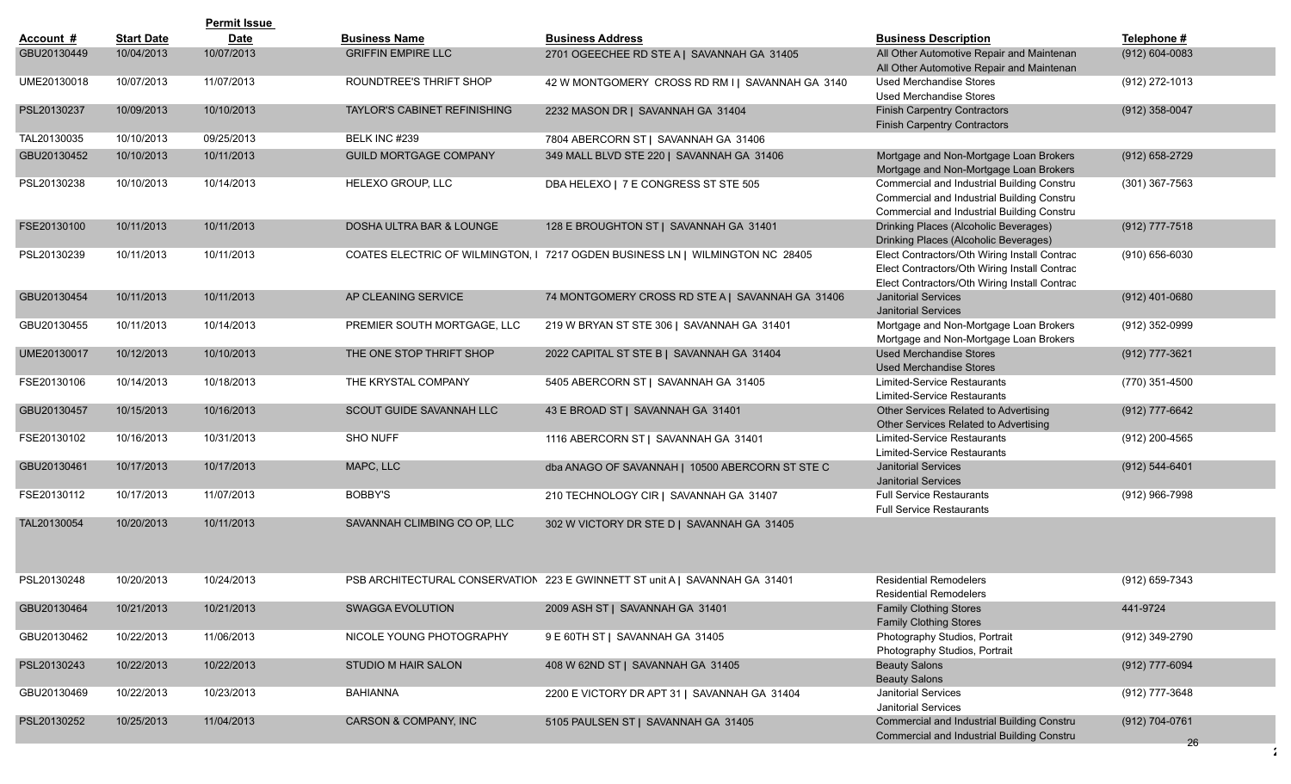|             |                   | <b>Permit Issue</b> |                                     |                                                                               |                                                                                                                                              |                      |
|-------------|-------------------|---------------------|-------------------------------------|-------------------------------------------------------------------------------|----------------------------------------------------------------------------------------------------------------------------------------------|----------------------|
| Account #   | <b>Start Date</b> | <b>Date</b>         | <b>Business Name</b>                | <b>Business Address</b>                                                       | <b>Business Description</b>                                                                                                                  | Telephone #          |
| GBU20130449 | 10/04/2013        | 10/07/2013          | <b>GRIFFIN EMPIRE LLC</b>           | 2701 OGEECHEE RD STE A   SAVANNAH GA 31405                                    | All Other Automotive Repair and Maintenan<br>All Other Automotive Repair and Maintenan                                                       | $(912) 604 - 0083$   |
| UME20130018 | 10/07/2013        | 11/07/2013          | ROUNDTREE'S THRIFT SHOP             | 42 W MONTGOMERY CROSS RD RM I   SAVANNAH GA 3140                              | Used Merchandise Stores<br><b>Used Merchandise Stores</b>                                                                                    | (912) 272-1013       |
| PSL20130237 | 10/09/2013        | 10/10/2013          | <b>TAYLOR'S CABINET REFINISHING</b> | 2232 MASON DR   SAVANNAH GA 31404                                             | <b>Finish Carpentry Contractors</b><br><b>Finish Carpentry Contractors</b>                                                                   | $(912)$ 358-0047     |
| TAL20130035 | 10/10/2013        | 09/25/2013          | BELK INC #239                       | 7804 ABERCORN ST   SAVANNAH GA 31406                                          |                                                                                                                                              |                      |
| GBU20130452 | 10/10/2013        | 10/11/2013          | <b>GUILD MORTGAGE COMPANY</b>       | 349 MALL BLVD STE 220   SAVANNAH GA 31406                                     | Mortgage and Non-Mortgage Loan Brokers<br>Mortgage and Non-Mortgage Loan Brokers                                                             | (912) 658-2729       |
| PSL20130238 | 10/10/2013        | 10/14/2013          | HELEXO GROUP, LLC                   | DBA HELEXO   7 E CONGRESS ST STE 505                                          | Commercial and Industrial Building Constru<br>Commercial and Industrial Building Constru<br>Commercial and Industrial Building Constru       | (301) 367-7563       |
| FSE20130100 | 10/11/2013        | 10/11/2013          | DOSHA ULTRA BAR & LOUNGE            | 128 E BROUGHTON ST   SAVANNAH GA 31401                                        | Drinking Places (Alcoholic Beverages)<br>Drinking Places (Alcoholic Beverages)                                                               | (912) 777-7518       |
| PSL20130239 | 10/11/2013        | 10/11/2013          |                                     | COATES ELECTRIC OF WILMINGTON, I 7217 OGDEN BUSINESS LN   WILMINGTON NC 28405 | Elect Contractors/Oth Wiring Install Contrac<br>Elect Contractors/Oth Wiring Install Contrac<br>Elect Contractors/Oth Wiring Install Contrac | (910) 656-6030       |
| GBU20130454 | 10/11/2013        | 10/11/2013          | AP CLEANING SERVICE                 | 74 MONTGOMERY CROSS RD STE A   SAVANNAH GA 31406                              | <b>Janitorial Services</b><br><b>Janitorial Services</b>                                                                                     | $(912)$ 401-0680     |
| GBU20130455 | 10/11/2013        | 10/14/2013          | PREMIER SOUTH MORTGAGE, LLC         | 219 W BRYAN ST STE 306   SAVANNAH GA 31401                                    | Mortgage and Non-Mortgage Loan Brokers<br>Mortgage and Non-Mortgage Loan Brokers                                                             | (912) 352-0999       |
| UME20130017 | 10/12/2013        | 10/10/2013          | THE ONE STOP THRIFT SHOP            | 2022 CAPITAL ST STE B   SAVANNAH GA 31404                                     | <b>Used Merchandise Stores</b><br><b>Used Merchandise Stores</b>                                                                             | (912) 777-3621       |
| FSE20130106 | 10/14/2013        | 10/18/2013          | THE KRYSTAL COMPANY                 | 5405 ABERCORN ST   SAVANNAH GA 31405                                          | Limited-Service Restaurants<br>Limited-Service Restaurants                                                                                   | (770) 351-4500       |
| GBU20130457 | 10/15/2013        | 10/16/2013          | SCOUT GUIDE SAVANNAH LLC            | 43 E BROAD ST   SAVANNAH GA 31401                                             | Other Services Related to Advertising<br>Other Services Related to Advertising                                                               | (912) 777-6642       |
| FSE20130102 | 10/16/2013        | 10/31/2013          | <b>SHO NUFF</b>                     | 1116 ABERCORN ST   SAVANNAH GA 31401                                          | <b>Limited-Service Restaurants</b><br>Limited-Service Restaurants                                                                            | (912) 200-4565       |
| GBU20130461 | 10/17/2013        | 10/17/2013          | MAPC, LLC                           | dba ANAGO OF SAVANNAH   10500 ABERCORN ST STE C                               | <b>Janitorial Services</b><br><b>Janitorial Services</b>                                                                                     | $(912) 544 - 6401$   |
| FSE20130112 | 10/17/2013        | 11/07/2013          | <b>BOBBY'S</b>                      | 210 TECHNOLOGY CIR   SAVANNAH GA 31407                                        | <b>Full Service Restaurants</b><br><b>Full Service Restaurants</b>                                                                           | (912) 966-7998       |
| TAL20130054 | 10/20/2013        | 10/11/2013          | SAVANNAH CLIMBING CO OP, LLC        | 302 W VICTORY DR STE D   SAVANNAH GA 31405                                    |                                                                                                                                              |                      |
| PSL20130248 | 10/20/2013        | 10/24/2013          |                                     | PSB ARCHITECTURAL CONSERVATION 223 E GWINNETT ST unit A   SAVANNAH GA 31401   | <b>Residential Remodelers</b><br><b>Residential Remodelers</b>                                                                               | (912) 659-7343       |
| GBU20130464 | 10/21/2013        | 10/21/2013          | SWAGGA EVOLUTION                    | 2009 ASH ST   SAVANNAH GA 31401                                               | <b>Family Clothing Stores</b><br><b>Family Clothing Stores</b>                                                                               | 441-9724             |
| GBU20130462 | 10/22/2013        | 11/06/2013          | NICOLE YOUNG PHOTOGRAPHY            | 9 E 60TH ST   SAVANNAH GA 31405                                               | Photography Studios, Portrait<br>Photography Studios, Portrait                                                                               | (912) 349-2790       |
| PSL20130243 | 10/22/2013        | 10/22/2013          | STUDIO M HAIR SALON                 | 408 W 62ND ST   SAVANNAH GA 31405                                             | <b>Beauty Salons</b><br><b>Beauty Salons</b>                                                                                                 | (912) 777-6094       |
| GBU20130469 | 10/22/2013        | 10/23/2013          | <b>BAHIANNA</b>                     | 2200 E VICTORY DR APT 31   SAVANNAH GA 31404                                  | Janitorial Services<br>Janitorial Services                                                                                                   | (912) 777-3648       |
| PSL20130252 | 10/25/2013        | 11/04/2013          | CARSON & COMPANY, INC               | 5105 PAULSEN ST   SAVANNAH GA 31405                                           | Commercial and Industrial Building Constru<br>Commercial and Industrial Building Constru                                                     | (912) 704-0761<br>26 |
|             |                   |                     |                                     |                                                                               |                                                                                                                                              |                      |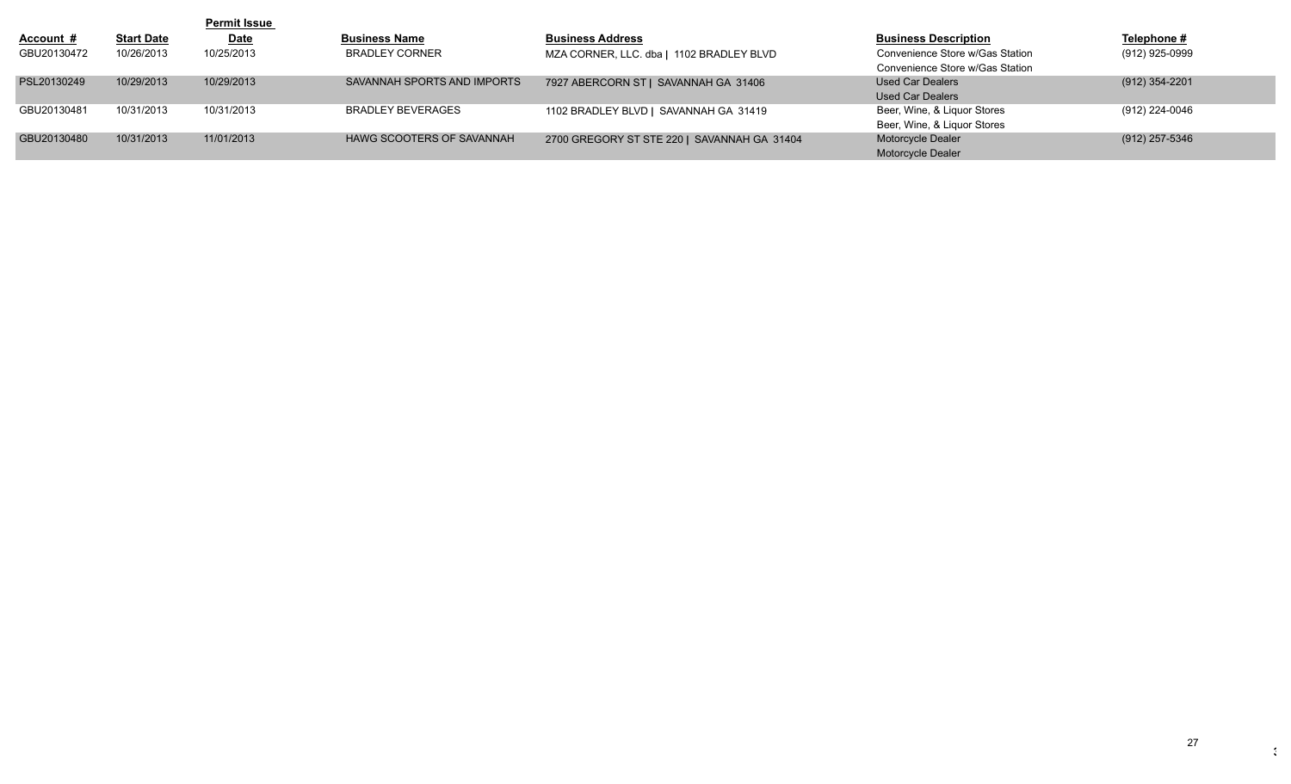|             |                   | <b>Permit Issue</b> |                                  |                                             |                                 |                |
|-------------|-------------------|---------------------|----------------------------------|---------------------------------------------|---------------------------------|----------------|
| Account #   | <b>Start Date</b> | <b>Date</b>         | <b>Business Name</b>             | <b>Business Address</b>                     | <b>Business Description</b>     | Telephone #    |
| GBU20130472 | 10/26/2013        | 10/25/2013          | <b>BRADLEY CORNER</b>            | MZA CORNER, LLC. dba   1102 BRADLEY BLVD    | Convenience Store w/Gas Station | (912) 925-0999 |
|             |                   |                     |                                  |                                             | Convenience Store w/Gas Station |                |
| PSL20130249 | 10/29/2013        | 10/29/2013          | SAVANNAH SPORTS AND IMPORTS      | 7927 ABERCORN ST   SAVANNAH GA 31406        | Used Car Dealers                | (912) 354-2201 |
|             |                   |                     |                                  |                                             | <b>Used Car Dealers</b>         |                |
| GBU20130481 | 10/31/2013        | 10/31/2013          | <b>BRADLEY BEVERAGES</b>         | 1102 BRADLEY BLVD   SAVANNAH GA 31419       | Beer, Wine, & Liquor Stores     | (912) 224-0046 |
|             |                   |                     |                                  |                                             | Beer, Wine, & Liquor Stores     |                |
| GBU20130480 | 10/31/2013        | 11/01/2013          | <b>HAWG SCOOTERS OF SAVANNAH</b> | 2700 GREGORY ST STE 220   SAVANNAH GA 31404 | Motorcycle Dealer               | (912) 257-5346 |
|             |                   |                     |                                  |                                             | Motorcycle Dealer               |                |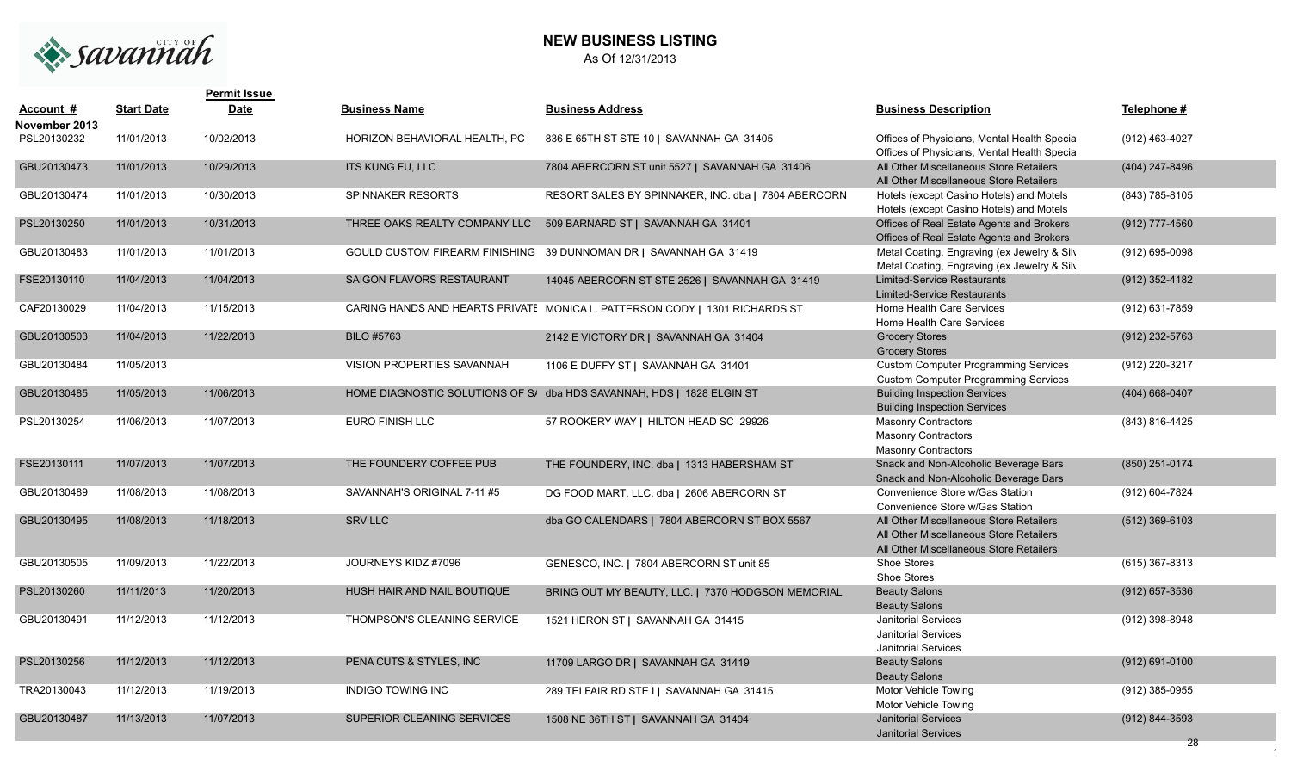

# **NEW BUSINESS LISTING** As Of 12/31/2013

|                            |                   | <b>Permit Issue</b> |                               |                                                                             |                                                                                                                               |                  |
|----------------------------|-------------------|---------------------|-------------------------------|-----------------------------------------------------------------------------|-------------------------------------------------------------------------------------------------------------------------------|------------------|
| Account #<br>November 2013 | <b>Start Date</b> | <b>Date</b>         | <b>Business Name</b>          | <b>Business Address</b>                                                     | <b>Business Description</b>                                                                                                   | Telephone #      |
| PSL20130232                | 11/01/2013        | 10/02/2013          | HORIZON BEHAVIORAL HEALTH, PC | 836 E 65TH ST STE 10   SAVANNAH GA 31405                                    | Offices of Physicians, Mental Health Specia<br>Offices of Physicians, Mental Health Specia                                    | (912) 463-4027   |
| GBU20130473                | 11/01/2013        | 10/29/2013          | <b>ITS KUNG FU, LLC</b>       | 7804 ABERCORN ST unit 5527   SAVANNAH GA 31406                              | All Other Miscellaneous Store Retailers<br>All Other Miscellaneous Store Retailers                                            | (404) 247-8496   |
| GBU20130474                | 11/01/2013        | 10/30/2013          | SPINNAKER RESORTS             | RESORT SALES BY SPINNAKER, INC. dba   7804 ABERCORN                         | Hotels (except Casino Hotels) and Motels<br>Hotels (except Casino Hotels) and Motels                                          | (843) 785-8105   |
| PSL20130250                | 11/01/2013        | 10/31/2013          | THREE OAKS REALTY COMPANY LLC | 509 BARNARD ST   SAVANNAH GA 31401                                          | Offices of Real Estate Agents and Brokers<br>Offices of Real Estate Agents and Brokers                                        | (912) 777-4560   |
| GBU20130483                | 11/01/2013        | 11/01/2013          |                               | GOULD CUSTOM FIREARM FINISHING 39 DUNNOMAN DR   SAVANNAH GA 31419           | Metal Coating, Engraving (ex Jewelry & Silv<br>Metal Coating, Engraving (ex Jewelry & Silv                                    | (912) 695-0098   |
| FSE20130110                | 11/04/2013        | 11/04/2013          | SAIGON FLAVORS RESTAURANT     | 14045 ABERCORN ST STE 2526   SAVANNAH GA 31419                              | <b>Limited-Service Restaurants</b><br><b>Limited-Service Restaurants</b>                                                      | (912) 352-4182   |
| CAF20130029                | 11/04/2013        | 11/15/2013          |                               | CARING HANDS AND HEARTS PRIVATE MONICA L. PATTERSON CODY   1301 RICHARDS ST | Home Health Care Services<br>Home Health Care Services                                                                        | (912) 631-7859   |
| GBU20130503                | 11/04/2013        | 11/22/2013          | <b>BILO #5763</b>             | 2142 E VICTORY DR   SAVANNAH GA 31404                                       | <b>Grocery Stores</b><br><b>Grocery Stores</b>                                                                                | (912) 232-5763   |
| GBU20130484                | 11/05/2013        |                     | VISION PROPERTIES SAVANNAH    | 1106 E DUFFY ST   SAVANNAH GA 31401                                         | <b>Custom Computer Programming Services</b><br><b>Custom Computer Programming Services</b>                                    | (912) 220-3217   |
| GBU20130485                | 11/05/2013        | 11/06/2013          |                               | HOME DIAGNOSTIC SOLUTIONS OF S/ dba HDS SAVANNAH, HDS   1828 ELGIN ST       | <b>Building Inspection Services</b><br><b>Building Inspection Services</b>                                                    | (404) 668-0407   |
| PSL20130254                | 11/06/2013        | 11/07/2013          | <b>EURO FINISH LLC</b>        | 57 ROOKERY WAY   HILTON HEAD SC 29926                                       | <b>Masonry Contractors</b><br><b>Masonry Contractors</b><br><b>Masonry Contractors</b>                                        | (843) 816-4425   |
| FSE20130111                | 11/07/2013        | 11/07/2013          | THE FOUNDERY COFFEE PUB       | THE FOUNDERY, INC. dba   1313 HABERSHAM ST                                  | Snack and Non-Alcoholic Beverage Bars<br>Snack and Non-Alcoholic Beverage Bars                                                | (850) 251-0174   |
| GBU20130489                | 11/08/2013        | 11/08/2013          | SAVANNAH'S ORIGINAL 7-11 #5   | DG FOOD MART, LLC. dba   2606 ABERCORN ST                                   | Convenience Store w/Gas Station<br>Convenience Store w/Gas Station                                                            | (912) 604-7824   |
| GBU20130495                | 11/08/2013        | 11/18/2013          | <b>SRV LLC</b>                | dba GO CALENDARS   7804 ABERCORN ST BOX 5567                                | All Other Miscellaneous Store Retailers<br>All Other Miscellaneous Store Retailers<br>All Other Miscellaneous Store Retailers | $(512)$ 369-6103 |
| GBU20130505                | 11/09/2013        | 11/22/2013          | JOURNEYS KIDZ #7096           | GENESCO, INC.   7804 ABERCORN ST unit 85                                    | Shoe Stores<br>Shoe Stores                                                                                                    | (615) 367-8313   |
| PSL20130260                | 11/11/2013        | 11/20/2013          | HUSH HAIR AND NAIL BOUTIQUE   | BRING OUT MY BEAUTY, LLC.   7370 HODGSON MEMORIAL                           | <b>Beauty Salons</b><br><b>Beauty Salons</b>                                                                                  | $(912)$ 657-3536 |
| GBU20130491                | 11/12/2013        | 11/12/2013          | THOMPSON'S CLEANING SERVICE   | 1521 HERON ST   SAVANNAH GA 31415                                           | Janitorial Services<br><b>Janitorial Services</b><br><b>Janitorial Services</b>                                               | (912) 398-8948   |
| PSL20130256                | 11/12/2013        | 11/12/2013          | PENA CUTS & STYLES. INC       | 11709 LARGO DR   SAVANNAH GA 31419                                          | <b>Beauty Salons</b><br><b>Beauty Salons</b>                                                                                  | (912) 691-0100   |
| TRA20130043                | 11/12/2013        | 11/19/2013          | <b>INDIGO TOWING INC</b>      | 289 TELFAIR RD STE I   SAVANNAH GA 31415                                    | Motor Vehicle Towing<br>Motor Vehicle Towing                                                                                  | (912) 385-0955   |
| GBU20130487                | 11/13/2013        | 11/07/2013          | SUPERIOR CLEANING SERVICES    | 1508 NE 36TH ST   SAVANNAH GA 31404                                         | <b>Janitorial Services</b><br><b>Janitorial Services</b>                                                                      | (912) 844-3593   |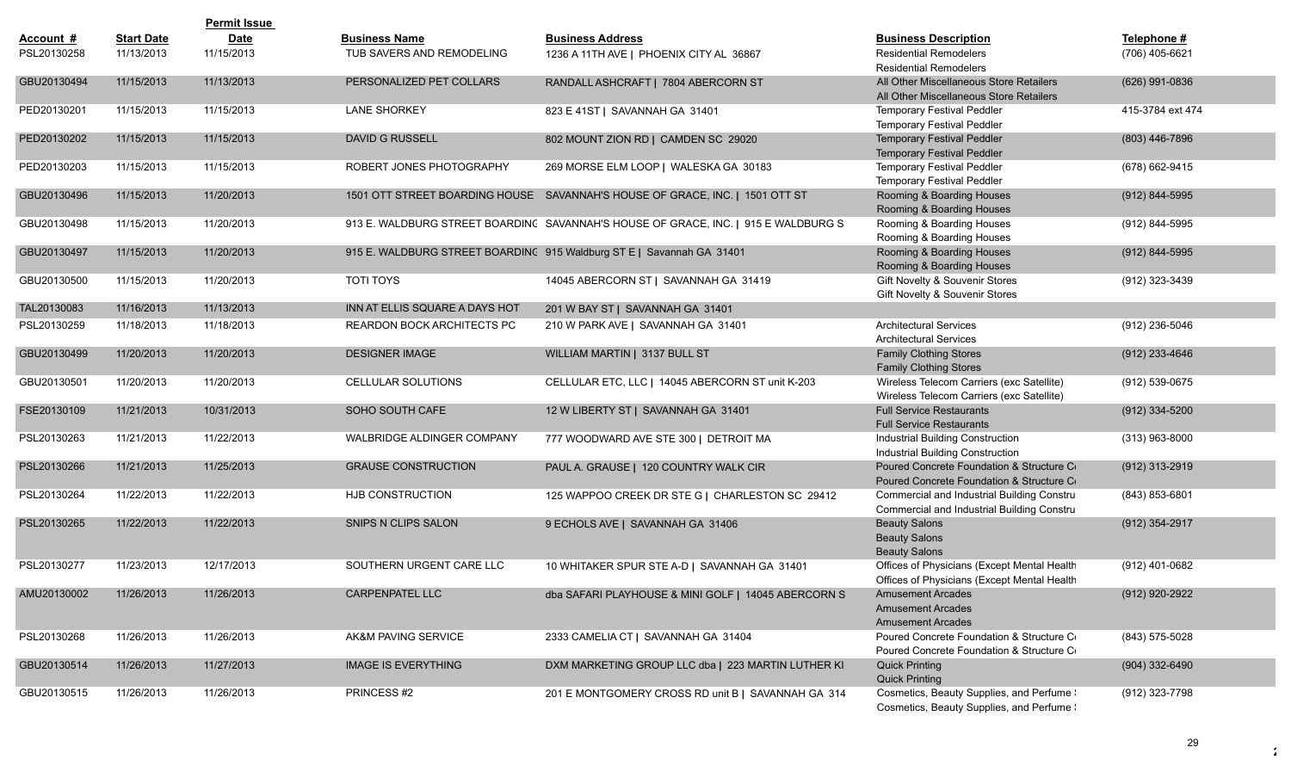|             |                   | <b>Permit Issue</b> |                                |                                                                                    |                                                                                            |                  |
|-------------|-------------------|---------------------|--------------------------------|------------------------------------------------------------------------------------|--------------------------------------------------------------------------------------------|------------------|
| Account #   | <b>Start Date</b> | <b>Date</b>         | <b>Business Name</b>           | <b>Business Address</b>                                                            | <b>Business Description</b>                                                                | Telephone #      |
| PSL20130258 | 11/13/2013        | 11/15/2013          | TUB SAVERS AND REMODELING      | 1236 A 11TH AVE   PHOENIX CITY AL 36867                                            | <b>Residential Remodelers</b><br><b>Residential Remodelers</b>                             | (706) 405-6621   |
| GBU20130494 | 11/15/2013        | 11/13/2013          | PERSONALIZED PET COLLARS       | RANDALL ASHCRAFT   7804 ABERCORN ST                                                | All Other Miscellaneous Store Retailers<br>All Other Miscellaneous Store Retailers         | (626) 991-0836   |
| PED20130201 | 11/15/2013        | 11/15/2013          | <b>LANE SHORKEY</b>            | 823 E 41ST   SAVANNAH GA 31401                                                     | <b>Temporary Festival Peddler</b><br><b>Temporary Festival Peddler</b>                     | 415-3784 ext 474 |
| PED20130202 | 11/15/2013        | 11/15/2013          | <b>DAVID G RUSSELL</b>         | 802 MOUNT ZION RD   CAMDEN SC 29020                                                | <b>Temporary Festival Peddler</b><br><b>Temporary Festival Peddler</b>                     | (803) 446-7896   |
| PED20130203 | 11/15/2013        | 11/15/2013          | ROBERT JONES PHOTOGRAPHY       | 269 MORSE ELM LOOP   WALESKA GA 30183                                              | Temporary Festival Peddler<br><b>Temporary Festival Peddler</b>                            | (678) 662-9415   |
| GBU20130496 | 11/15/2013        | 11/20/2013          |                                | 1501 OTT STREET BOARDING HOUSE SAVANNAH'S HOUSE OF GRACE, INC.   1501 OTT ST       | Rooming & Boarding Houses<br>Rooming & Boarding Houses                                     | (912) 844-5995   |
| GBU20130498 | 11/15/2013        | 11/20/2013          |                                | 913 E. WALDBURG STREET BOARDINC SAVANNAH'S HOUSE OF GRACE, INC.   915 E WALDBURG S | Rooming & Boarding Houses<br>Rooming & Boarding Houses                                     | (912) 844-5995   |
| GBU20130497 | 11/15/2013        | 11/20/2013          |                                | 915 E. WALDBURG STREET BOARDING 915 Waldburg ST E   Savannah GA 31401              | Rooming & Boarding Houses<br>Rooming & Boarding Houses                                     | (912) 844-5995   |
| GBU20130500 | 11/15/2013        | 11/20/2013          | <b>TOTI TOYS</b>               | 14045 ABERCORN ST   SAVANNAH GA 31419                                              | Gift Novelty & Souvenir Stores<br>Gift Novelty & Souvenir Stores                           | (912) 323-3439   |
| TAL20130083 | 11/16/2013        | 11/13/2013          | INN AT ELLIS SQUARE A DAYS HOT | 201 W BAY ST   SAVANNAH GA 31401                                                   |                                                                                            |                  |
| PSL20130259 | 11/18/2013        | 11/18/2013          | REARDON BOCK ARCHITECTS PC     | 210 W PARK AVE   SAVANNAH GA 31401                                                 | <b>Architectural Services</b><br><b>Architectural Services</b>                             | (912) 236-5046   |
| GBU20130499 | 11/20/2013        | 11/20/2013          | <b>DESIGNER IMAGE</b>          | WILLIAM MARTIN   3137 BULL ST                                                      | <b>Family Clothing Stores</b><br><b>Family Clothing Stores</b>                             | $(912)$ 233-4646 |
| GBU20130501 | 11/20/2013        | 11/20/2013          | CELLULAR SOLUTIONS             | CELLULAR ETC, LLC   14045 ABERCORN ST unit K-203                                   | Wireless Telecom Carriers (exc Satellite)<br>Wireless Telecom Carriers (exc Satellite)     | (912) 539-0675   |
| FSE20130109 | 11/21/2013        | 10/31/2013          | SOHO SOUTH CAFE                | 12 W LIBERTY ST   SAVANNAH GA 31401                                                | <b>Full Service Restaurants</b><br><b>Full Service Restaurants</b>                         | $(912)$ 334-5200 |
| PSL20130263 | 11/21/2013        | 11/22/2013          | WALBRIDGE ALDINGER COMPANY     | 777 WOODWARD AVE STE 300   DETROIT MA                                              | Industrial Building Construction<br>Industrial Building Construction                       | $(313)$ 963-8000 |
| PSL20130266 | 11/21/2013        | 11/25/2013          | <b>GRAUSE CONSTRUCTION</b>     | PAUL A. GRAUSE   120 COUNTRY WALK CIR                                              | Poured Concrete Foundation & Structure Co<br>Poured Concrete Foundation & Structure Co     | (912) 313-2919   |
| PSL20130264 | 11/22/2013        | 11/22/2013          | HJB CONSTRUCTION               | 125 WAPPOO CREEK DR STE G   CHARLESTON SC 29412                                    | Commercial and Industrial Building Constru<br>Commercial and Industrial Building Constru   | (843) 853-6801   |
| PSL20130265 | 11/22/2013        | 11/22/2013          | <b>SNIPS N CLIPS SALON</b>     | 9 ECHOLS AVE   SAVANNAH GA 31406                                                   | <b>Beauty Salons</b><br><b>Beauty Salons</b><br><b>Beauty Salons</b>                       | (912) 354-2917   |
| PSL20130277 | 11/23/2013        | 12/17/2013          | SOUTHERN URGENT CARE LLC       | 10 WHITAKER SPUR STE A-D   SAVANNAH GA 31401                                       | Offices of Physicians (Except Mental Health<br>Offices of Physicians (Except Mental Health | (912) 401-0682   |
| AMU20130002 | 11/26/2013        | 11/26/2013          | CARPENPATEL LLC                | dba SAFARI PLAYHOUSE & MINI GOLF   14045 ABERCORN S                                | <b>Amusement Arcades</b><br><b>Amusement Arcades</b><br><b>Amusement Arcades</b>           | (912) 920-2922   |
| PSL20130268 | 11/26/2013        | 11/26/2013          | AK&M PAVING SERVICE            | 2333 CAMELIA CT   SAVANNAH GA 31404                                                | Poured Concrete Foundation & Structure Co<br>Poured Concrete Foundation & Structure Co     | (843) 575-5028   |
| GBU20130514 | 11/26/2013        | 11/27/2013          | <b>IMAGE IS EVERYTHING</b>     | DXM MARKETING GROUP LLC dba   223 MARTIN LUTHER KI                                 | <b>Quick Printing</b><br><b>Quick Printing</b>                                             | (904) 332-6490   |
| GBU20130515 | 11/26/2013        | 11/26/2013          | PRINCESS #2                    | 201 E MONTGOMERY CROSS RD unit B   SAVANNAH GA 314                                 | Cosmetics, Beauty Supplies, and Perfume \<br>Cosmetics, Beauty Supplies, and Perfume !     | (912) 323-7798   |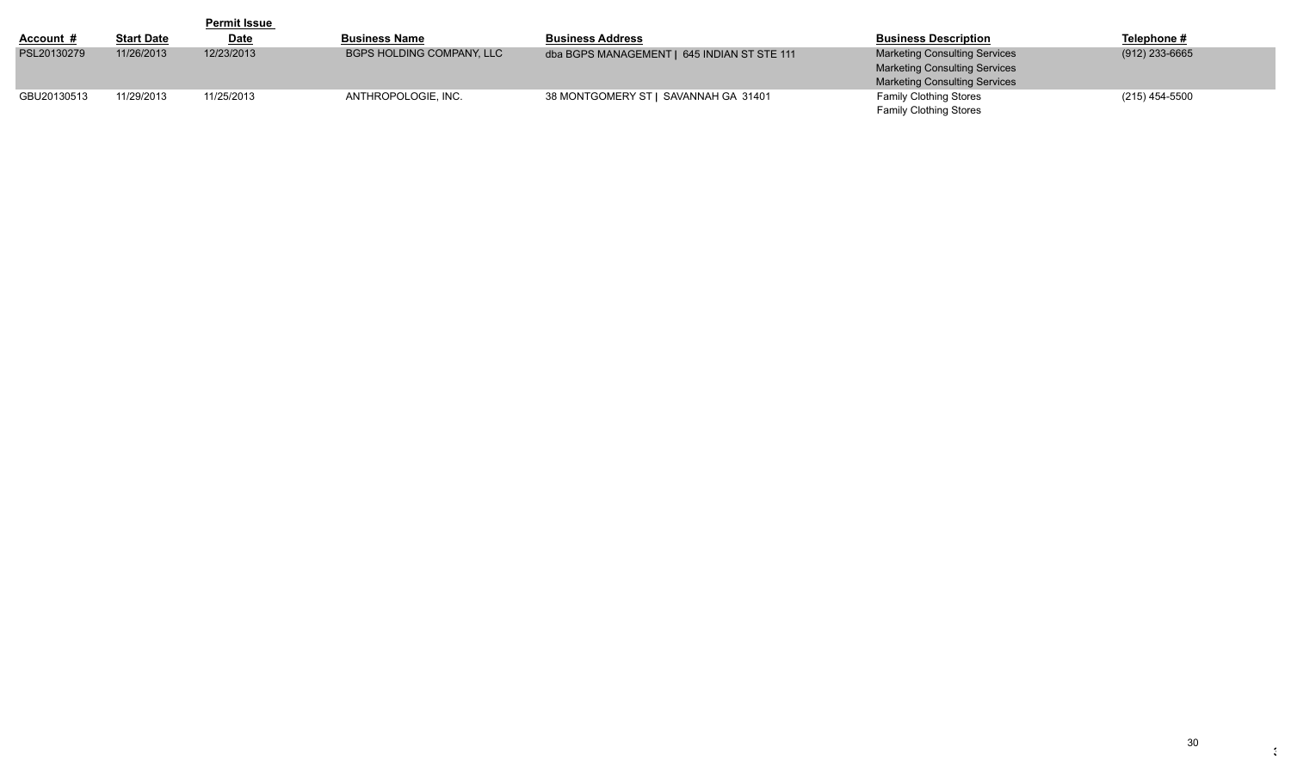|                  |                   | <b>Permit Issue</b> |                                  |                                             |                                      |                |
|------------------|-------------------|---------------------|----------------------------------|---------------------------------------------|--------------------------------------|----------------|
| <u>Account #</u> | <b>Start Date</b> | <u>Date</u>         | <b>Business Name</b>             | <b>Business Address</b>                     | <b>Business Description</b>          | Telephone #    |
| PSL20130279      | 11/26/2013        | 12/23/2013          | <b>BGPS HOLDING COMPANY, LLC</b> | dba BGPS MANAGEMENT   645 INDIAN ST STE 111 | <b>Marketing Consulting Services</b> | (912) 233-6665 |
|                  |                   |                     |                                  |                                             | <b>Marketing Consulting Services</b> |                |
|                  |                   |                     |                                  |                                             | <b>Marketing Consulting Services</b> |                |
| GBU20130513      | 11/29/2013        | 11/25/2013          | ANTHROPOLOGIE, INC.              | 38 MONTGOMERY ST   SAVANNAH GA 31401        | <b>Family Clothing Stores</b>        | (215) 454-5500 |
|                  |                   |                     |                                  |                                             | <b>Family Clothing Stores</b>        |                |